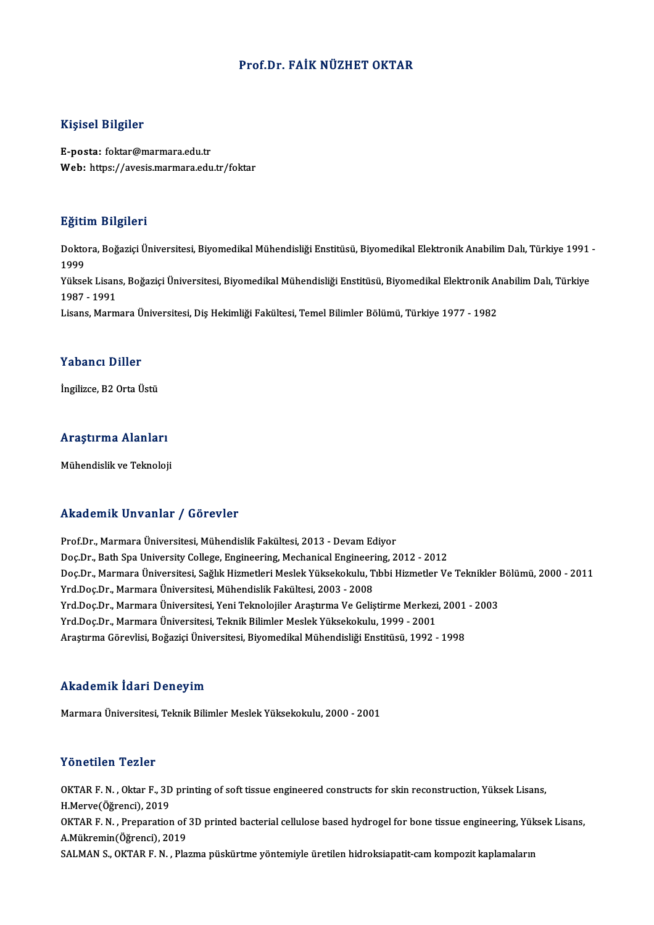#### Prof.Dr. FAİK NÜZHET OKTAR

#### Kişisel Bilgiler

E-posta: foktar@marmara.edu.tr Web: https://avesis.marmara.edu.tr/foktar

#### Eğitim Bilgileri

**Eğitim Bilgileri**<br>Doktora, Boğaziçi Üniversitesi, Biyomedikal Mühendisliği Enstitüsü, Biyomedikal Elektronik Anabilim Dalı, Türkiye 1991 -<br>1999 ngref<br>Dokto<br>1999<br><sup>Välses</sup> Doktora, Boğaziçi Üniversitesi, Biyomedikal Mühendisliği Enstitüsü, Biyomedikal Elektronik Anabilim Dalı, Türkiye 1991<br>1999<br>Yüksek Lisans, Boğaziçi Üniversitesi, Biyomedikal Mühendisliği Enstitüsü, Biyomedikal Elektronik A 1999<br>Yüksek Lisan<br>1987 - 1991<br>Lisans Marm Yüksek Lisans, Boğaziçi Üniversitesi, Biyomedikal Mühendisliği Enstitüsü, Biyomedikal Elektronik Aı<br>1987 - 1991<br>Lisans, Marmara Üniversitesi, Diş Hekimliği Fakültesi, Temel Bilimler Bölümü, Türkiye 1977 - 1982 Lisans, Marmara Üniversitesi, Diş Hekimliği Fakültesi, Temel Bilimler Bölümü, Türkiye 1977 - 1982<br>Yabancı Diller

İngilizce, B2 Orta Üstü

# ingilizce, B2 orta ostu<br>Araştırma Alanları <mark>Araştırma Alanları</mark><br>Mühendislik ve Teknoloji

# Mühendislik ve Teknoloji<br>Akademik Unvanlar / Görevler

Prof.Dr., Marmara Üniversitesi, Mühendislik Fakültesi, 2013 - Devam Ediyor rrittat omrit "On varitar" / "d'or ovier"<br>Prof.Dr., Marmara Üniversitesi, Mühendislik Fakültesi, 2013 - Devam Ediyor<br>Doc.Dr., Bath Spa University College, Engineering, Mechanical Engineering, 2012 - 2012<br>Doc.Dr., Marmara Ü Doç.Dr., Marmara Üniversitesi, Sağlık Hizmetleri Meslek Yüksekokulu, Tıbbi Hizmetler Ve Teknikler Bölümü, 2000 - 2011<br>Yrd.Doç.Dr., Marmara Üniversitesi, Mühendislik Fakültesi, 2003 - 2008 Doç.Dr., Bath Spa University College, Engineering, Mechanical Engineeri<br>Doç.Dr., Marmara Üniversitesi, Sağlık Hizmetleri Meslek Yüksekokulu, T<br>Yrd.Doç.Dr., Marmara Üniversitesi, Mühendislik Fakültesi, 2003 - 2008<br>Yrd.Doç.D Doç.Dr., Marmara Üniversitesi, Sağlık Hizmetleri Meslek Yüksekokulu, Tıbbi Hizmetler Ve Teknikler I<br>Yrd.Doç.Dr., Marmara Üniversitesi, Mühendislik Fakültesi, 2003 - 2008<br>Yrd.Doç.Dr., Marmara Üniversitesi, Yeni Teknolojiler Yrd.Doç.Dr., Marmara Üniversitesi, Mühendislik Fakültesi, 2003 - 2008<br>Yrd.Doç.Dr., Marmara Üniversitesi, Yeni Teknolojiler Araştırma Ve Geliştirme Merkezi<br>Yrd.Doç.Dr., Marmara Üniversitesi, Teknik Bilimler Meslek Yüksekoku Yrd.Doç.Dr., Marmara Üniversitesi, Yeni Teknolojiler Araştırma Ve Geliştirme Merkezi, 2001<br>Yrd.Doç.Dr., Marmara Üniversitesi, Teknik Bilimler Meslek Yüksekokulu, 1999 - 2001<br>Araştırma Görevlisi, Boğaziçi Üniversitesi, Biyo Araştırma Görevlisi, Boğaziçi Üniversitesi, Biyomedikal Mühendisliği Enstitüsü, 1992 - 1998<br>Akademik İdari Deneyim

Marmara Üniversitesi, Teknik Bilimler Meslek Yüksekokulu, 2000 - 2001

#### Yönetilen Tezler

Yönetilen Tezler<br>OKTAR F. N. , Oktar F., 3D printing of soft tissue engineered constructs for skin reconstruction, Yüksek Lisans,<br>H.Marya(Öğransi), 2019 1 SHUCHEN 1 SHUT<br>OKTAR F. N., Oktar F., 3D<br>H.Merve(Öğrenci), 2019<br>OKTAR E. N., Proposation OKTAR F. N. , Oktar F., 3D printing of soft tissue engineered constructs for skin reconstruction, Yüksek Lisans,<br>H.Merve(Öğrenci), 2019<br>OKTAR F. N. , Preparation of 3D printed bacterial cellulose based hydrogel for bone ti H.Merve(Öğrenci), 2019<br>OKTAR F. N. , Preparation of<br>A.Mükremin(Öğrenci), 2019<br>SALMAN S. OKTAR E. N. , Plo OKTAR F. N. , Preparation of 3D printed bacterial cellulose based hydrogel for bone tissue engineering, Yük<br>A.Mükremin(Öğrenci), 2019<br>SALMAN S., OKTAR F. N. , Plazma püskürtme yöntemiyle üretilen hidroksiapatit-cam kompozi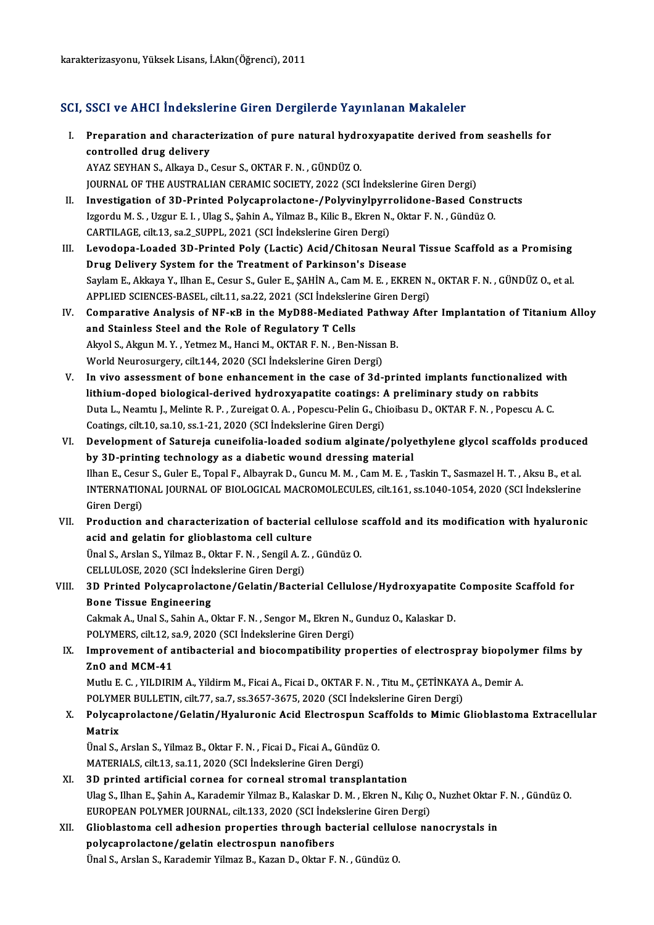#### SCI, SSCI ve AHCI İndekslerine Giren Dergilerde Yayınlanan Makaleler

- I. Preparation and characterization of pure natural hydroxyapatite derived fromseashel s for Example 2004 of the drug delivery<br>Controlled drug delivery<br>AVAZ SEVHAN S Allrava D controlled drug delivery<br>AYAZ SEYHAN S., Alkaya D., Cesur S., OKTAR F. N. , GÜNDÜZ O.
- JOURNAL OF THE AUSTRALIAN CERAMIC SOCIETY, 2022 (SCI İndekslerine Giren Dergi) II. Investigation of 3D-Printed Polycaprolactone-/Polyvinylpyrrolidone-Based Constructs JOURNAL OF THE AUSTRALIAN CERAMIC SOCIETY, 2022 (SCI İndekslerine Giren Dergi)<br>Investigation of 3D-Printed Polycaprolactone-/Polyvinylpyrrolidone-Based Const<br>Izgordu M. S., Uzgur E. I., Ulag S., Şahin A., Yilmaz B., Kilic Investigation of 3D-Printed Polycaprolactone-/Polyvinylpyrr<br>Izgordu M. S., Uzgur E. I., Ulag S., Şahin A., Yilmaz B., Kilic B., Ekren N.<br>CARTILAGE, cilt.13, sa.2\_SUPPL, 2021 (SCI İndekslerine Giren Dergi)<br>Lavadana Laadad 3 Izgordu M. S., Uzgur E. I., Ulag S., Şahin A., Yilmaz B., Kilic B., Ekren N., Oktar F. N., Gündüz O.<br>CARTILAGE, cilt.13, sa.2\_SUPPL, 2021 (SCI İndekslerine Giren Dergi)<br>III. Levodopa-Loaded 3D-Printed Poly (Lactic) Acid/Ch
- CARTILAGE, cilt.13, sa.2\_SUPPL, 2021 (SCI İndekslerine Giren Dergi)<br>Levodopa-Loaded 3D-Printed Poly (Lactic) Acid/Chitosan Neura<br>Drug Delivery System for the Treatment of Parkinson's Disease<br>Saylam E. Akkaya Y. Jiban E. Ce Levodopa-Loaded 3D-Printed Poly (Lactic) Acid/Chitosan Neural Tissue Scaffold as a Promising<br>Drug Delivery System for the Treatment of Parkinson's Disease<br>Saylam E., Akkaya Y., Ilhan E., Cesur S., Guler E., ȘAHİN A., Cam M Drug Delivery System for the Treatment of Parkinson's Disease<br>Saylam E., Akkaya Y., Ilhan E., Cesur S., Guler E., ŞAHİN A., Cam M. E. , EKREN N<br>APPLIED SCIENCES-BASEL, cilt.11, sa.22, 2021 (SCI İndekslerine Giren Dergi)<br>Co Saylam E., Akkaya Y., Ilhan E., Cesur S., Guler E., ŞAHİN A., Cam M. E., EKREN N., OKTAR F. N., GÜNDÜZ O., et al.<br>APPLIED SCIENCES-BASEL, cilt.11, sa.22, 2021 (SCI İndekslerine Giren Dergi)<br>IV. Comparative Analysis of NF-k
- APPLIED SCIENCES-BASEL, cilt.11, sa.22, 2021 (SCI indeksler<br>Comparative Analysis of NF-kB in the MyD88-Mediate<br>and Stainless Steel and the Role of Regulatory T Cells<br>Alwel S. Alwun M. V. Vetmer M. Hangi M. OKTAB E N. Ban Comparative Analysis of NF-kB in the MyD88-Mediated Pathward Stainless Steel and the Role of Regulatory T Cells<br>Akyol S., Akgun M.Y. , Yetmez M., Hanci M., OKTAR F. N. , Ben-Nissan B.<br>World Nouvesurgery, silt 144, 2020 (SC and Stainless Steel and the Role of Regulatory T Cells<br>Akyol S., Akgun M.Y., Yetmez M., Hanci M., OKTAR F.N., Ben-Nissan B.<br>World Neurosurgery, cilt.144, 2020 (SCI İndekslerine Giren Dergi) Akyol S., Akgun M. Y., Yetmez M., Hanci M., OKTAR F. N., Ben-Nissan B.<br>World Neurosurgery, cilt.144, 2020 (SCI Indekslerine Giren Dergi)<br>V. In vivo assessment of bone enhancement in the case of 3d-printed implants function
- World Neurosurgery, cilt.144, 2020 (SCI İndekslerine Giren Dergi)<br>In vivo assessment of bone enhancement in the case of 3d-printed implants functionalized<br>lithium-doped biological-derived hydroxyapatite coatings: A prelimi In vivo assessment of bone enhancement in the case of 3d-printed implants functionalized wi<br>lithium-doped biological-derived hydroxyapatite coatings: A preliminary study on rabbits<br>Duta L., Neamtu J., Melinte R. P. , Zurei lithium-doped biological-derived hydroxyapatite coatings: A<br>Duta L., Neamtu J., Melinte R. P. , Zureigat O. A. , Popescu-Pelin G., Ch<br>Coatings, cilt.10, sa.10, ss.1-21, 2020 (SCI İndekslerine Giren Dergi)<br>Develepment of Sa VI. Development of Satureja cuneifolia-loaded sodiumalginate/polyethylene glycol scaffolds produced
- by 3D-printing technology as a diabetic wound dressing material Development of Satureja cuneifolia-loaded sodium alginate/polyethylene glycol scaffolds produce<br>by 3D-printing technology as a diabetic wound dressing material<br>Ilhan E., Cesur S., Guler E., Topal F., Albayrak D., Guncu M. by 3D-printing technology as a diabetic wound dressing material<br>Ilhan E., Cesur S., Guler E., Topal F., Albayrak D., Guncu M. M. , Cam M. E. , Taskin T., Sasmazel H. T. , Aksu B., et al.<br>INTERNATIONAL JOURNAL OF BIOLOGICAL Ilhan E., Cesu<br>INTERNATIO<br>Giren Dergi)<br>Production INTERNATIONAL JOURNAL OF BIOLOGICAL MACROMOLECULES, cilt.161, ss.1040-1054, 2020 (SCI Indekslerine<br>Giren Dergi)<br>VII. Production and characterization of bacterial cellulose scaffold and its modification with hyaluronic<br>acid
- Giren Dergi)<br>Production and characterization of bacterial<br>acid and gelatin for glioblastoma cell culture<br><sup>Unol S. Arelan S. Vilmaz B. Oktor E. N. Sengil A. Z.</sup> Production and characterization of bacterial cellulose<br>acid and gelatin for glioblastoma cell culture<br>Ünal S., Arslan S., Yilmaz B., Oktar F. N. , Sengil A. Z. , Gündüz O.<br>CELLULOSE 2020 (SCLIndekalarine Ciren Dergi) acid and gelatin for glioblastoma cell culture<br>Ünal S., Arslan S., Yilmaz B., Oktar F. N. , Sengil A. Z. , Gündüz O.<br>CELLULOSE, 2020 (SCI İndekslerine Giren Dergi)

Ünal S., Arslan S., Yilmaz B., Oktar F. N. , Sengil A. Z. , Gündüz O.<br>CELLULOSE, 2020 (SCI İndekslerine Giren Dergi)<br>VIII. 3D Printed Polycaprolactone/Gelatin/Bacterial Cellulose/Hydroxyapatite Composite Scaffold for<br>Pene CELLULOSE, 2020 (SCI Indel<br>3D Printed Polycaprolact<br>Bone Tissue Engineering 3D Printed Polycaprolactone/Gelatin/Bacterial Cellulose/Hydroxyapatite<br>Bone Tissue Engineering<br>Cakmak A., Unal S., Sahin A., Oktar F. N. , Sengor M., Ekren N., Gunduz O., Kalaskar D.<br>POLYMEPS silt 12, se 9, 2020 (SCL Indek Bone Tissue Engineering<br>Cakmak A., Unal S., Sahin A., Oktar F. N. , Sengor M., Ekren N., Gunduz O., Kalaskar D.

POLYMERS, cilt.12, sa.9, 2020 (SCI Indekslerine Giren Dergi)

### IX. Improvement of antibacterial and biocompatibility properties of electrospray biopolymer films by Improvement of antibacterial and biocompatibility properties of electrospray biopolyn<br>ZnO and MCM-41<br>Mutlu E. C. , YILDIRIM A., Yildirm M., Ficai A., Ficai D., OKTAR F. N. , Titu M., ÇETİNKAYA A., Demir A.<br>POLYMER RULLETIN

ZnO and MCM-41<br>Mutlu E. C. , YILDIRIM A., Yildirm M., Ficai A., Ficai D., OKTAR F. N. , Titu M., ÇETİNKAY.<br>POLYMER BULLETIN, cilt.77, sa.7, ss.3657-3675, 2020 (SCI İndekslerine Giren Dergi)<br>Polyganrolactono (Colatin (Hyolu Mutlu E. C. , YILDIRIM A., Yildirm M., Ficai A., Ficai D., OKTAR F. N. , Titu M., ÇETİNKAYA A., Demir A.<br>POLYMER BULLETIN, cilt.77, sa.7, ss.3657-3675, 2020 (SCI İndekslerine Giren Dergi)<br>X. Polycaprolactone/Gelatin/Hyalur

## POLYMER BULLETIN, cilt.77, sa.7, ss.3657-3675, 2020 (SCI İndekslerine Giren Dergi)<br>Polycaprolactone/Gelatin/Hyaluronic Acid Electrospun Scaffolds to Mimic<br>Matrix<br>Ünal S., Arslan S., Yilmaz B., Oktar F. N. , Ficai D., Ficai Polycaprolactone/Gelatin/Hyaluronic Acid Electrospun Sc:<br>Matrix<br>Ünal S., Arslan S., Yilmaz B., Oktar F. N. , Ficai D., Ficai A., Gündüz O.<br>MATERIAL S. silt 13. ss 11. 2020 (SCL Indekslerine Ciren Dersi)

MATERIALS, cilt.13, sa.11, 2020 (SCI İndekslerine Giren Dergi)

XI. 3D printed artificial cornea for corneal stromal transplantation MATERIALS, cilt.13, sa.11, 2020 (SCI İndekslerine Giren Dergi)<br>3D printed artificial cornea for corneal stromal transplantation<br>Ulag S., Ilhan E., Şahin A., Karademir Yilmaz B., Kalaskar D. M. , Ekren N., Kılıç O., Nuzhet 3D printed artificial cornea for corneal stromal transplantation<br>Ulag S., Ilhan E., Şahin A., Karademir Yilmaz B., Kalaskar D. M. , Ekren N., Kılıç O<br>EUROPEAN POLYMER JOURNAL, cilt.133, 2020 (SCI İndekslerine Giren Dergi)<br> Ulag S., Ilhan E., Şahin A., Karademir Yilmaz B., Kalaskar D. M. , Ekren N., Kılıç O., Nuzhet Oktar<br>EUROPEAN POLYMER JOURNAL, cilt.133, 2020 (SCI İndekslerine Giren Dergi)<br>XII. Glioblastoma cell adhesion properties through

## EUROPEAN POLYMER JOURNAL, cilt.133, 2020 (SCI İndekslerine Giren Dergi)<br>Glioblastoma cell adhesion properties through bacterial cellulose na<br>polycaprolactone/gelatin electrospun nanofibers<br>Ünal S., Arslan S., Karademir Yil Glioblastoma cell adhesion properties through bacterial cellul<br>polycaprolactone/gelatin electrospun nanofibers<br>Ünal S., Arslan S., Karademir Yilmaz B., Kazan D., Oktar F. N. , Gündüz O.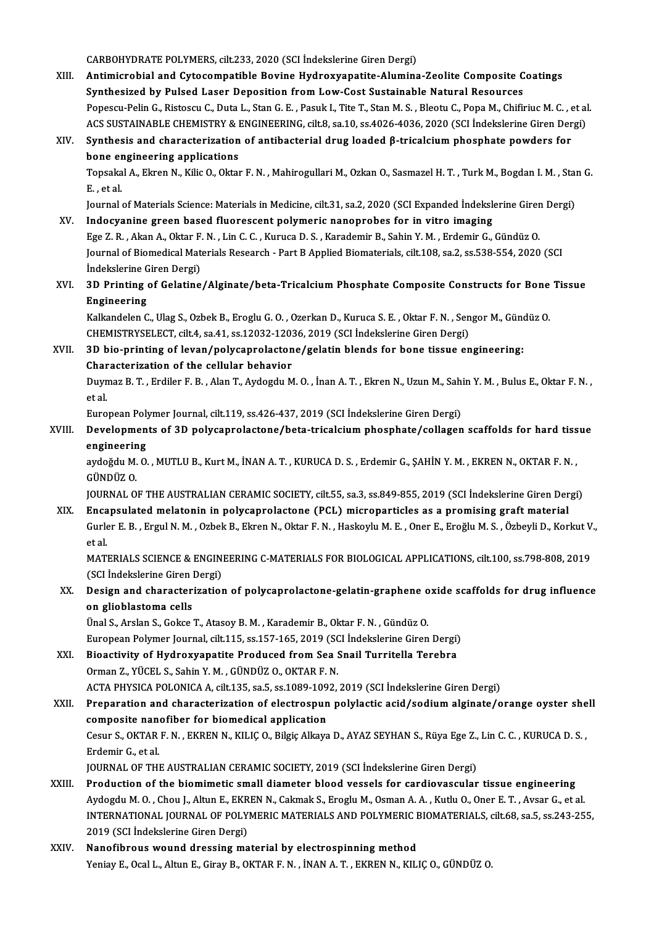CARBOHYDRATE POLYMERS, cilt.233, 2020 (SCI İndekslerine Giren Dergi)

- CARBOHYDRATE POLYMERS, cilt.233, 2020 (SCI İndekslerine Giren Dergi)<br>XIII. Antimicrobial and Cytocompatible Bovine Hydroxyapatite-Alumina-Zeolite Composite Coatings<br>Synthosized by Bulsed Laser Deposition from Low Cest Syst CARBOHYDRATE POLYMERS, cilt.233, 2020 (SCI İndekslerine Giren Dergi)<br>Antimicrobial and Cytocompatible Bovine Hydroxyapatite-Alumina-Zeolite Composite C<br>Synthesized by Pulsed Laser Deposition from Low-Cost Sustainable Natur Antimicrobial and Cytocompatible Bovine Hydroxyapatite-Alumina-Zeolite Composite Coatings<br>Synthesized by Pulsed Laser Deposition from Low-Cost Sustainable Natural Resources<br>Popescu-Pelin G., Ristoscu C., Duta L., Stan G. E Synthesized by Pulsed Laser Deposition from Low-Cost Sustainable Natural Resources<br>Popescu-Pelin G., Ristoscu C., Duta L., Stan G. E. , Pasuk I., Tite T., Stan M. S. , Bleotu C., Popa M., Chifiriuc M. C. , et al<br>ACS SUSTAI ACS SUSTAINABLE CHEMISTRY & ENGINEERING, cilt.8, sa.10, ss.4026-4036, 2020 (SCI İndekslerine Giren Dergi)
- XIV. Synthesis and characterization of antibacterial drug loaded β-tricalciumphosphate powders for bone engineering applications

Topsakal A., Ekren N., Kilic O., Oktar F. N. , Mahirogullari M., Ozkan O., Sasmazel H. T. , Turk M., Bogdan I. M. , Stan G.<br>E. . et al. Topsakal A., Ekren N., Kilic O., Oktar F. N. , Mahirogullari M., Ozkan O., Sasmazel H. T. , Turk M., Bogdan I. M. , Stan<br>E. , et al.<br>Journal of Materials Science: Materials in Medicine, cilt.31, sa.2, 2020 (SCI Expanded İn

- XV. Indocyanine green based fluorescent polymeric nanoprobes for in vitro imaging Journal of Materials Science: Materials in Medicine, cilt.31, sa.2, 2020 (SCI Expanded Indekslerine Girer<br>Indocyanine green based fluorescent polymeric nanoprobes for in vitro imaging<br>Ege Z. R. , Akan A., Oktar F. N. , Lin Journal of Biomedical Materials Research - Part B Applied Biomaterials, cilt.108, sa.2, ss.538-554, 2020 (SCI Ege Z. R. , Akan A., Oktar F.<br>Journal of Biomedical Mat<br>İndekslerine Giren Dergi)<br><sup>2D. Printing of Colatino</sup> Journal of Biomedical Materials Research - Part B Applied Biomaterials, cilt.108, sa.2, ss.538-554, 2020 (SCI<br>Indekslerine Giren Dergi)<br>XVI. 3D Printing of Gelatine/Alginate/beta-Tricalcium Phosphate Composite Constructs f
- Indekslerine<br>3D Printing<br>Engineering<br>Kalkandelen G 3D Printing of Gelatine/Alginate/beta-Tricalcium Phosphate Composite Constructs for Bone<br>Engineering<br>Kalkandelen C., Ulag S., Ozbek B., Eroglu G. O. , Ozerkan D., Kuruca S. E. , Oktar F. N. , Sengor M., Gündüz O<br>CHEMISTRYS

**Engineering**<br>Kalkandelen C., Ulag S., Ozbek B., Eroglu G. O. , Ozerkan D., Kuruca S. E. , Oktar F. N. , Sengor M., Gündüz O.<br>CHEMISTRYSELECT, cilt.4, sa.41, ss.12032-12036, 2019 (SCI İndekslerine Giren Dergi) Kalkandelen C., Ulag S., Ozbek B., Eroglu G. O., Ozerkan D., Kuruca S. E., Oktar F. N., Sengor M., Güne<br>CHEMISTRYSELECT, cilt.4, sa.41, ss.12032-12036, 2019 (SCI Indekslerine Giren Dergi)<br>XVII. 3D bio-printing of levan/pol

CHEMISTRYSELECT, cilt.4, sa.41, ss.12032-1203<br>3D bio-printing of levan/polycaprolacton<br>Characterization of the cellular behavior<br>Duymag B.T., Endilor E.B., Alan T. Aydagdu M Characterization of the cellular behavior

Duymaz B. T. , Erdiler F. B. , Alan T., Aydogdu M. O. , İnan A. T. , Ekren N., Uzun M., Sahin Y. M. , Bulus E., Oktar F. N. ,<br>et al. Duymaz B. T. , Erdiler F. B. , Alan T., Aydogdu M. O. , İnan A. T. , Ekren N., Uzun M., Sahi<br>et al.<br>European Polymer Journal, cilt.119, ss.426-437, 2019 (SCI İndekslerine Giren Dergi)<br>Develenments of 3D polyganrelastane (b

XVIII. Developments of 3D polycaprolactone/beta-tricalcium phosphate/collagen scaffolds for hard tissue<br>engineering European Poly<br>Developmen<br>engineering<br>avdeĕdu M.O. Developments of 3D polycaprolactone/beta-tricalcium phosphate/collagen scaffolds for hard tiss<br>engineering<br>aydoğdu M. O. , MUTLU B., Kurt M., İNAN A. T. , KURUCA D. S. , Erdemir G., ŞAHİN Y. M. , EKREN N., OKTAR F. N.<br>CÜND

<mark>engineerin</mark><br>aydoğdu M.<br>GÜNDÜZ O.<br>IOUPNAL O aydoğdu M. O. , MUTLU B., Kurt M., İNAN A. T. , KURUCA D. S. , Erdemir G., ŞAHİN Y. M. , EKREN N., OKTAR F. N.<br>GÜNDÜZ O.<br>JOURNAL OF THE AUSTRALIAN CERAMIC SOCIETY, cilt.55, sa.3, ss.849-855, 2019 (SCI İndekslerine Giren De

GÜNDÜZ O.<br>JOURNAL OF THE AUSTRALIAN CERAMIC SOCIETY, cilt.55, sa.3, ss.849-855, 2019 (SCI İndekslerine Giren Der<br>XIX. Encapsulated melatonin in polycaprolactone (PCL) microparticles as a promising graft material<br>Curka E.B. JOURNAL OF THE AUSTRALIAN CERAMIC SOCIETY, cilt.55, sa.3, ss.849-855, 2019 (SCI İndekslerine Giren Dergi)<br><mark>Encapsulated melatonin in polycaprolactone (PCL) microparticles as a promising graft material</mark><br>Gurler E. B. , Ergul Enca<br>Gurk<br>et al.<br>MATI Gurler E. B. , Ergul N. M. , Ozbek B., Ekren N., Oktar F. N. , Haskoylu M. E. , Oner E., Eroğlu M. S. , Özbeyli D., Korkut V<br>et al.<br>MATERIALS SCIENCE & ENGINEERING C-MATERIALS FOR BIOLOGICAL APPLICATIONS, cilt.100, ss.798-

et al.<br>MATERIALS SCIENCE & ENGIN<br>(SCI İndekslerine Giren Dergi)<br>Pesian and shanastanization MATERIALS SCIENCE & ENGINEERING C-MATERIALS FOR BIOLOGICAL APPLICATIONS, cilt.100, ss.798-808, 2019<br>(SCI İndekslerine Giren Dergi)<br>XX. Design and characterization of polycaprolactone-gelatin-graphene oxide scaffolds for dr

(SCI Indekslerine Giren)<br>Design and character<br>on glioblastoma cells<br><sup>Thol S</sup>. Arskn S. Cokse. Design and characterization of polycaprolactone-gelatin-graphene o<br>on glioblastoma cells<br>Ünal S., Arslan S., Gokce T., Atasoy B.M. , Karademir B., Oktar F. N. , Gündüz O.<br>European Bokwar Journal, silt 115, 89,157,165, 2010

**on glioblastoma cells**<br>Ünal S., Arslan S., Gokce T., Atasoy B. M. , Karademir B., Oktar F. N. , Gündüz O.<br>European Polymer Journal, cilt.115, ss.157-165, 2019 (SCI İndekslerine Giren Dergi)

Ünal S., Arslan S., Gokce T., Atasoy B. M. , Karademir B., Oktar F. N. , Gündüz O.<br>European Polymer Journal, cilt.115, ss.157-165, 2019 (SCI İndekslerine Giren Dergi)<br>XXI. Bioactivity of Hydroxyapatite Produced from Sea Sn European Polymer Journal, cilt.115, ss.157-165, 2019 (SC)<br>Bioactivity of Hydroxyapatite Produced from Sea !<br>Orman Z., YÜCEL S., Sahin Y. M. , GÜNDÜZ O., OKTAR F. N.<br>ACTA PHYSICA POLONICA A. cilt.135, sa 5, ss.1099, 1093 Bioactivity of Hydroxyapatite Produced from Sea Snail Turritella Terebra<br>Orman Z., YÜCEL S., Sahin Y. M. , GÜNDÜZ O., OKTAR F. N.<br>ACTA PHYSICA POLONICA A, cilt.135, sa.5, ss.1089-1092, 2019 (SCI İndekslerine Giren Dergi)<br>P

Orman Z., YÜCEL S., Sahin Y. M. , GÜNDÜZ O., OKTAR F. N.<br>ACTA PHYSICA POLONICA A, cilt.135, sa.5, ss.1089-1092, 2019 (SCI İndekslerine Giren Dergi)<br>XXII. Preparation and characterization of electrospun polylactic acid/sodi ACTA PHYSICA POLONICA A, cilt.135, sa.5, ss.1089-109<br>Preparation and characterization of electrospun<br>composite nanofiber for biomedical application<br>Cesur S. OKTAB E.N., EKBEN N. KU ICO, Bilgie Alkaya Preparation and characterization of electrospun polylactic acid/sodium alginate/orange oyster she<br>composite nanofiber for biomedical application<br>Cesur S., OKTAR F. N. , EKREN N., KILIÇ O., Bilgiç Alkaya D., AYAZ SEYHAN S., composite nanofiber for biomedical application<br>Cesur S., OKTAR F. N. , EKREN N., KILIÇ O., Bilgiç Alkaya D., AYAZ SEYHAN S., Rüya Ege Z.<br>Erdemir G., et al.<br>JOURNAL OF THE AUSTRALIAN CERAMIC SOCIETY, 2019 (SCI İndekslerine Cesur S., OKTAR F. N., EKREN N., KILIÇ O., Bilgiç Alkaya D., AYAZ SEYHAN S., Rüya Ege Z., Lin C. C., KURUCA D. S.,

- XXIII. Production of the biomimetic small diameter blood vessels for cardiovascular tissue engineering JOURNAL OF THE AUSTRALIAN CERAMIC SOCIETY, 2019 (SCI İndekslerine Giren Dergi)<br>Production of the biomimetic small diameter blood vessels for cardiovascular tissue engineering<br>Aydogdu M. O. , Chou J., Altun E., EKREN N., Ca Production of the biomimetic small diameter blood vessels for cardiovascular tissue engineering<br>Aydogdu M. O. , Chou J., Altun E., EKREN N., Cakmak S., Eroglu M., Osman A. A. , Kutlu O., Oner E. T. , Avsar G., et al.<br>INTER Aydogdu M. O. , Chou J., Altun E., EKR<br>INTERNATIONAL JOURNAL OF POLY<br>2019 (SCI İndekslerine Giren Dergi)<br>Nanofihnous wound drossing ma INTERNATIONAL JOURNAL OF POLYMERIC MATERIALS AND POLYMERIC I<br>2019 (SCI Indekslerine Giren Dergi)<br>XXIV. Nanofibrous wound dressing material by electrospinning method<br>Venicu E. Ocal L. Altun E. Gireu B. OKTAR E. N. INAN A. T
- 2019 (SCI İndekslerine Giren Dergi)<br>Nanofibrous wound dressing material by electrospinning method<br>Yeniay E., Ocal L., Altun E., Giray B., OKTAR F. N. , İNAN A. T. , EKREN N., KILIÇ O., GÜNDÜZ O.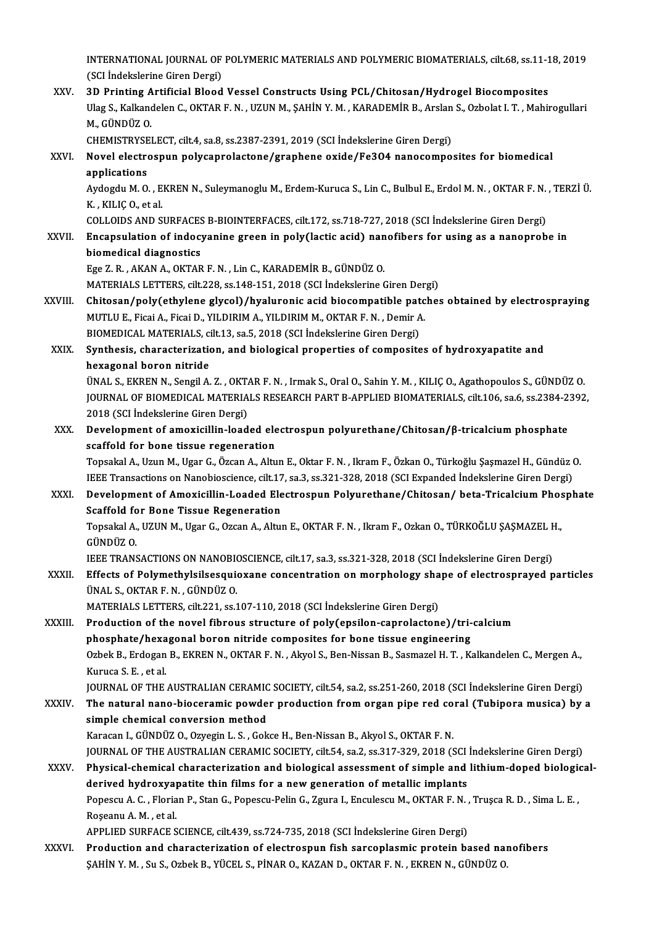INTERNATIONAL JOURNAL OF POLYMERIC MATERIALS AND POLYMERIC BIOMATERIALS, cilt.68, ss.11-18, 2019<br>(SCI Indekslavine Civen Dexgi) INTERNATIONAL JOURNAL OF<br>(SCI İndekslerine Giren Dergi)<br>2D Printing Artificial Blood INTERNATIONAL JOURNAL OF POLYMERIC MATERIALS AND POLYMERIC BIOMATERIALS, cilt.68, ss.11-1<br>(SCI Indekslerine Giren Dergi)<br>XXV. 3D Printing Artificial Blood Vessel Constructs Using PCL/Chitosan/Hydrogel Biocomposites<br>Illag S

(SCI İndekslerine Giren Dergi)<br>3D Printing Artificial Blood Vessel Constructs Using PCL/Chitosan/Hydrogel Biocomposites<br>Ulag S., Kalkandelen C., OKTAR F. N. , UZUN M., ŞAHİN Y. M. , KARADEMİR B., Arslan S., Ozbolat I. T. , 3D Printing Artificial Blood Vessel Constructs Using PCL/Chitosan/Hydrogel Biocomposites<br>Ulag S., Kalkandelen C., OKTAR F. N. , UZUN M., ŞAHİN Y. M. , KARADEMİR B., Arslan S., Ozbolat I. T. , Mahi<br>M., GÜNDÜZ O.<br>CHEMISTRYSE Ulag S., Kalkandelen C., OKTAR F. N. , UZUN M., ŞAHİN Y. M. , KARADEMİR B., Arslan<br>M., GÜNDÜZ O.<br>CHEMISTRYSELECT, cilt.4, sa.8, ss.2387-2391, 2019 (SCI İndekslerine Giren Dergi)<br>Novel elestrospun polysanralastane (sranbane

### M., GÜNDÜZ O.<br>CHEMISTRYSELECT, cilt.4, sa.8, ss.2387-2391, 2019 (SCI İndekslerine Giren Dergi)<br>XXVI. Novel electrospun polycaprolactone/graphene oxide/Fe3O4 nanocomposites for biomedical<br>annligations CHEMISTRYSE<br>Novel electro<br>applications<br>Audordu M.O. Novel electrospun polycaprolactone/graphene oxide/Fe3O4 nanocomposites for biomedical<br>applications<br>Aydogdu M. O. , EKREN N., Suleymanoglu M., Erdem-Kuruca S., Lin C., Bulbul E., Erdol M. N. , OKTAR F. N. , TERZİ Ü.<br>K. KU K

applications<br>Aydogdu M. O. , E.<br>K. , KILIÇ O., et al.<br>COLLOIDS AND S. Aydogdu M. O. , EKREN N., Suleymanoglu M., Erdem-Kuruca S., Lin C., Bulbul E., Erdol M. N. , OKTAR F. N.<br>K. , KILIÇ O., et al.<br>COLLOIDS AND SURFACES B-BIOINTERFACES, cilt.172, ss.718-727, 2018 (SCI İndekslerine Giren Dergi

K., KILIÇ 0., et al.<br>COLLOIDS AND SURFACES B-BIOINTERFACES, cilt.172, ss.718-727, 2018 (SCI İndekslerine Giren Dergi)<br>XXVII. Encapsulation of indocyanine green in poly(lactic acid) nanofibers for using as a nanoprobe i COLLOIDS AND SURFACES<br>Encapsulation of indoctrial<br>biomedical diagnostics<br>Ege 7 B AKANA OKTAR Encapsulation of indocyanine green in poly(lactic acid) nanofibers for using as a nanoprobe in<br>biomedical diagnostics<br>Ege Z.R., AKAN A., OKTAR F.N., Lin C., KARADEMİR B., GÜNDÜZ O. biomedical diagnostics<br>Ege Z. R. , AKAN A., OKTAR F. N. , Lin C., KARADEMİR B., GÜNDÜZ O.<br>MATERIALS LETTERS, cilt.228, ss.148-151, 2018 (SCI İndekslerine Giren Dergi)<br>Chitesan (nalu(athulana slusal) (hualunania asid hiasam

- Ege Z. R. , AKAN A., OKTAR F. N. , Lin C., KARADEMİR B., GÜNDÜZ O.<br>MATERIALS LETTERS, cilt.228, ss.148-151, 2018 (SCI İndekslerine Giren Dergi)<br>XXVIII. Chitosan/poly(ethylene glycol)/hyaluronic acid biocompatible patches o MATERIALS LETTERS, cilt.228, ss.148-151, 2018 (SCI İndekslerine Giren Der<br>Chitosan/poly(ethylene glycol)/hyaluronic acid biocompatible patc<br>MUTLU E., Ficai A., Ficai D., YILDIRIM A., YILDIRIM M., OKTAR F. N. , Demir A.<br>PIO Chitosan/poly(ethylene glycol)/hyaluronic acid biocompatible pat<br>MUTLU E., Ficai A., Ficai D., YILDIRIM A., YILDIRIM M., OKTAR F. N. , Demir A<br>BIOMEDICAL MATERIALS, cilt.13, sa.5, 2018 (SCI İndekslerine Giren Dergi)<br>Sunthe MUTLU E., Ficai A., Ficai D., YILDIRIM A., YILDIRIM M., OKTAR F. N. , Demir A.<br>BIOMEDICAL MATERIALS, cilt.13, sa.5, 2018 (SCI Indekslerine Giren Dergi)<br>XXIX. Synthesis, characterization, and biological properties of compos
- **BIOMEDICAL MATERIALS, confluent**<br>Synthesis, characterization<br>hexagonal boron nitride<br><sup>TIMAL S. EVPEN N. Songil A</sup> Synthesis, characterization, and biological properties of composites of hydroxyapatite and<br>hexagonal boron nitride<br>ÜNAL S., EKREN N., Sengil A. Z. , OKTAR F. N. , Irmak S., Oral O., Sahin Y. M. , KILIÇ O., Agathopoulos S.,

hexagonal boron nitride<br>ÜNAL S., EKREN N., Sengil A. Z. , OKTAR F. N. , Irmak S., Oral O., Sahin Y. M. , KILIÇ O., Agathopoulos S., GÜNDÜZ O.<br>JOURNAL OF BIOMEDICAL MATERIALS RESEARCH PART B-APPLIED BIOMATERIALS, cilt.106, ÜNAL S., EKREN N., Sengil A. Z. , OKT<br>JOURNAL OF BIOMEDICAL MATERIA<br>2018 (SCI İndekslerine Giren Dergi)<br>Develenment of amexisillin load JOURNAL OF BIOMEDICAL MATERIALS RESEARCH PART B-APPLIED BIOMATERIALS, cilt106, sa.6, ss.2384-2.<br>2018 (SCI İndekslerine Giren Dergi)<br>XXX. Development of amoxicillin-loaded electrospun polyurethane/Chitosan/β-tricalcium pho

2018 (SCI İndekslerine Giren Dergi)<br>Development of amoxicillin-loaded ele<br>scaffold for bone tissue regeneration<br>Tonsakal A. Uzun M. Ugar G. Öggan A. Altu Development of amoxicillin-loaded electrospun polyurethane/Chitosan/β-tricalcium phosphate<br>scaffold for bone tissue regeneration<br>Topsakal A., Uzun M., Ugar G., Özcan A., Altun E., Oktar F. N. , Ikram F., Özkan O., Türkoğl

scaffold for bone tissue regeneration<br>Topsakal A., Uzun M., Ugar G., Özcan A., Altun E., Oktar F. N. , Ikram F., Özkan O., Türkoğlu Şaşmazel H., Gündüz O.<br>IEEE Transactions on Nanobioscience, cilt.17, sa.3, ss.321-328, 201 Topsakal A., Uzun M., Ugar G., Özcan A., Altun E., Oktar F. N. , Ikram F., Özkan O., Türkoğlu Şaşmazel H., Gündüz O.<br>IEEE Transactions on Nanobioscience, cilt.17, sa.3, ss.321-328, 2018 (SCI Expanded Indekslerine Giren Der

**IEEE Transactions on Nanobioscience, cilt.17**<br>Development of Amoxicillin-Loaded Ele<br>Scaffold for Bone Tissue Regeneration<br>Tensakal A. UZUN M. User G. Ozsan A. Altu Development of Amoxicillin-Loaded Electrospun Polyurethane/Chitosan/ beta-Tricalcium Pho:<br>Scaffold for Bone Tissue Regeneration<br>Topsakal A., UZUN M., Ugar G., Ozcan A., Altun E., OKTAR F. N. , Ikram F., Ozkan O., TÜRKOĞLU Scaffold for Bone Tissue Regeneration<br>Topsakal A., UZUN M., Ugar G., Ozcan A., Altun E., OKTAR F. N. , Ikram F., Ozkan O., TÜRKOĞLU ŞAŞMAZEL H.,<br>GÜNDÜZ O. Topsakal A., UZUN M., Ugar G., Ozcan A., Altun E., OKTAR F. N. , Ikram F., Ozkan O., TÜRKOĞLU ŞAŞMAZEL F<br>GÜNDÜZ O.<br>IEEE TRANSACTIONS ON NANOBIOSCIENCE, cilt.17, sa.3, ss.321-328, 2018 (SCI İndekslerine Giren Dergi)<br>Effecte

GÜNDÜZ 0.<br>IEEE TRANSACTIONS ON NANOBIOSCIENCE, cilt.17, sa.3, ss.321-328, 2018 (SCI İndekslerine Giren Dergi)<br>XXXII. Effects of Polymethylsilsesquioxane concentration on morphology shape of electrosprayed particles<br>INA IEEE TRANSACTIONS ON NANOBION<br>Effects of Polymethylsilsesquion<br>ÜNAL S., OKTAR F. N. , GÜNDÜZ O.<br>MATEPIALS LETTERS silt 221 ss.1 Effects of Polymethylsilsesquioxane concentration on morphology shape of electrosprayed particles<br>ÜNAL S., OKTAR F. N. , GÜNDÜZ O.<br>MATERIALS LETTERS, cilt.221, ss.107-110, 2018 (SCI İndekslerine Giren Dergi)

UNAL S., OKTAR F. N. , GUNDUZ O.<br>MATERIALS LETTERS, cilt.221, ss.107-110, 2018 (SCI Indekslerine Giren Dergi)<br>XXXIII. Production of the novel fibrous structure of poly(epsilon-caprolactone)/tri-calcium<br>nhasphata (havaganal MATERIALS LETTERS, cilt.221, ss.107-110, 2018 (SCI Indekslerine Giren Dergi)<br>Production of the novel fibrous structure of poly(epsilon-caprolactone)/tri-<br>phosphate/hexagonal boron nitride composites for bone tissue enginee Production of the novel fibrous structure of poly(epsilon-caprolactone)/tri-calcium<br>phosphate/hexagonal boron nitride composites for bone tissue engineering<br>Ozbek B., Erdogan B., EKREN N., OKTAR F. N. , Akyol S., Ben-Nissa **phosphate/hexa**<br>Ozbek B., Erdogan<br>Kuruca S. E. , et al.<br>IOUPMAL OF THE Ozbek B., Erdogan B., EKREN N., OKTAR F. N. , Akyol S., Ben-Nissan B., Sasmazel H. T. , Kalkandelen C., Mergen A.,<br>Kuruca S. E. , et al.<br>JOURNAL OF THE AUSTRALIAN CERAMIC SOCIETY, cilt.54, sa.2, ss.251-260, 2018 (SCI İndek

Kuruca S. E. , et al.<br>JOURNAL OF THE AUSTRALIAN CERAMIC SOCIETY, cilt.54, sa.2, ss.251-260, 2018 (SCI İndekslerine Giren Dergi)<br>XXXIV. The natural nano-bioceramic powder production from organ pipe red coral (Tubipora m JOURNAL OF THE AUSTRALIAN CERAMIC<br>The natural nano-bioceramic powde<br>simple chemical conversion method<br>Karasan L CÜNDÜZ O Orvegin L S - Cok The natural nano-bioceramic powder production from organ pipe red co<br>simple chemical conversion method<br>Karacan I., GÜNDÜZ O., Ozyegin L. S. , Gokce H., Ben-Nissan B., Akyol S., OKTAR F. N.<br>JOUPMAL OF THE AUSTRALIAN CERAMIC simple chemical conversion method<br>Karacan I., GÜNDÜZ O., Ozyegin L. S. , Gokce H., Ben-Nissan B., Akyol S., OKTAR F. N.<br>JOURNAL OF THE AUSTRALIAN CERAMIC SOCIETY, cilt.54, sa.2, ss.317-329, 2018 (SCI İndekslerine Giren Der

Karacan I., GÜNDÜZ O., Ozyegin L. S. , Gokce H., Ben-Nissan B., Akyol S., OKTAR F. N.<br>JOURNAL OF THE AUSTRALIAN CERAMIC SOCIETY, cilt.54, sa.2, ss.317-329, 2018 (SCI İndekslerine Giren Dergi)<br>XXXV. Physical-chemical charac JOURNAL OF THE AUSTRALIAN CERAMIC SOCIETY, cilt.54, sa.2, ss.317-329, 2018 (SCI<br>Physical-chemical characterization and biological assessment of simple and<br>derived hydroxyapatite thin films for a new generation of metallic Physical-chemical characterization and biological assessment of simple and lithium-doped biologic<br>derived hydroxyapatite thin films for a new generation of metallic implants<br>Popescu A.C. , Florian P., Stan G., Popescu-Peli derived hydroxyapatite thin films for a new generation of metallic implants<br>Popescu A. C., Florian P., Stan G., Popescu-Pelin G., Zgura I., Enculescu M., OKTAR F. N.<br>Roşeanu A. M., et al.<br>APPLIED SURFACE SCIENCE, cilt.439, Popescu A. C., Florian P., Stan G., Popescu-Pelin G., Zgura I., Enculescu M., OKTAR F. N., Trusca R. D., Sima L. E.,

Roseanu A. M. , et al.<br>APPLIED SURFACE SCIENCE, cilt.439, ss.724-735, 2018 (SCI Indekslerine Giren Dergi)<br>XXXVI. Production and characterization of electrospun fish sarcoplasmic protein based nanofibers<br>SAHIN V. M. Sy S. O APPLIED SURFACE SCIENCE, cilt.439, ss.724-735, 2018 (SCI İndekslerine Giren Dergi)<br><mark>Production and characterization of electrospun fish sarcoplasmic protein based na</mark><br>ŞAHİN Y. M. , Su S., Ozbek B., YÜCEL S., PİNAR O., KAZA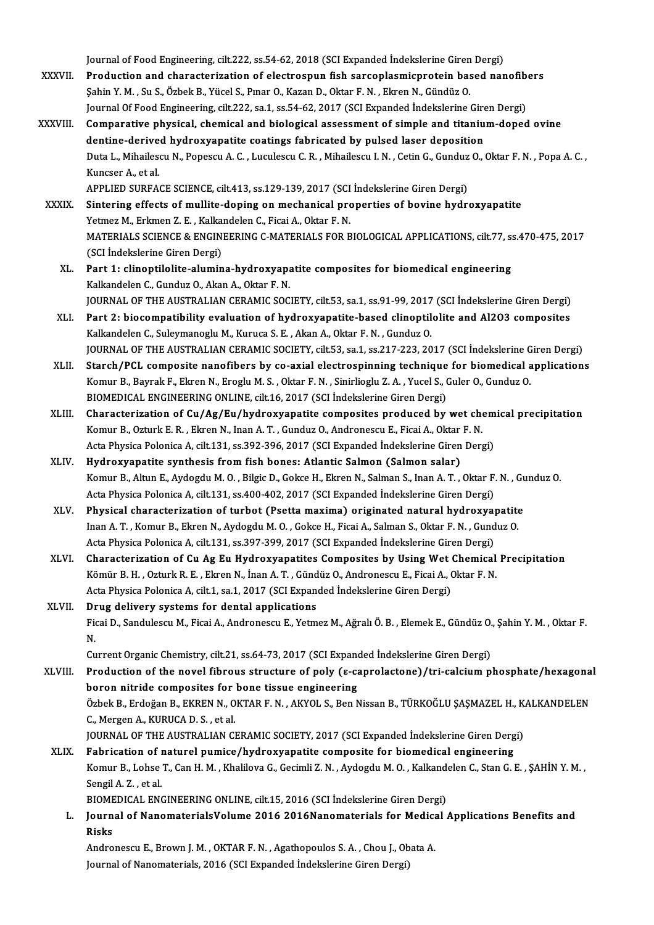Journal of Food Engineering, cilt.222, ss.54-62, 2018 (SCI Expanded İndekslerine Giren Dergi)<br>Preduction and characterization of electrosuur fish sarsonlasmiannatein based nar

- Journal of Food Engineering, cilt.222, ss.54-62, 2018 (SCI Expanded Indekslerine Giren Dergi)<br>XXXVII. Production and characterization of electrospun fish sarcoplasmicprotein based nanofibers<br>Sebin X M . Su S. Örbek B. Vüge Journal of Food Engineering, cilt.222, ss.54-62, 2018 (SCI Expanded Indekslerine Giren<br>Production and characterization of electrospun fish sarcoplasmicprotein bas<br>Şahin Y. M. , Su S., Özbek B., Yücel S., Pınar O., Kazan D. Production and characterization of electrospun fish sarcoplasmicprotein based nanofib<br>Şahin Y. M. , Su S., Özbek B., Yücel S., Pınar O., Kazan D., Oktar F. N. , Ekren N., Gündüz O.<br>Journal Of Food Engineering, cilt.222, sa Sahin Y. M. , Su S., Özbek B., Yücel S., Pınar O., Kazan D., Oktar F. N. , Ekren N., Gündüz O.<br>Journal Of Food Engineering, cilt.222, sa.1, ss.54-62, 2017 (SCI Expanded Indekslerine Giren Dergi)<br>XXXVIII. Comparative physic Journal Of Food Engineering, cilt.222, sa.1, ss.54-62, 2017 (SCI Expanded Indekslerine Giren Dergi)
- Comparative physical, chemical and biological assessment of simple and titanium-doped ovine<br>dentine-derived hydroxyapatite coatings fabricated by pulsed laser deposition<br>Duta L., Mihailescu N., Popescu A. C. , Luculescu C. **dentine-derive<br>Duta L., Mihailes<br>Kuncser A., et al.<br>APPLIED SUPEA** Kuncser A., et al.<br>APPLIED SURFACE SCIENCE, cilt.413, ss.129-139, 2017 (SCI İndekslerine Giren Dergi)

Kuncser A., et al.<br>APPLIED SURFACE SCIENCE, cilt.413, ss.129-139, 2017 (SCI Indekslerine Giren Dergi)<br>XXXIX. Sintering effects of mullite-doping on mechanical properties of bovine hydroxyapatite<br>Vetmes M. Erlmen 7. E. Kelk APPLIED SURFACE SCIENCE, cilt.413, ss.129-139, 2017 (SCI<br>Sintering effects of mullite-doping on mechanical proximents of mullite-doping on mechanical proximents  $\overline{F}$ .N.<br>MATERIALS SCIENCE & ENCINEERING G MATERIALS FOR R Sintering effects of mullite-doping on mechanical properties of bovine hydroxyapatite<br>Yetmez M., Erkmen Z. E. , Kalkandelen C., Ficai A., Oktar F. N.<br>MATERIALS SCIENCE & ENGINEERING C-MATERIALS FOR BIOLOGICAL APPLICATIONS, Yetmez M., Erkmen Z. E. , Kalkandelen C., Ficai A., Oktar F. N.<br>MATERIALS SCIENCE & ENGINEERING C-MATERIALS FOR BIOLOGICAL APPLICATIONS, cilt.77, ss.470-475, 2017<br>(SCI İndekslerine Giren Dergi) MATERIALS SCIENCE & ENGINEERING C-MATERIALS FOR BIOLOGICAL APPLICATIONS, cilt.77, s:<br>(SCI Indekslerine Giren Dergi)<br>XL. Part 1: clinoptilolite-alumina-hydroxyapatite composites for biomedical engineering<br>Kaliandelan G. Cun

- (SCI İndekslerine Giren Dergi)<br>Part 1: clinoptilolite-alumina-hydroxyapa<br>Kalkandelen C., Gunduz O., Akan A., Oktar F. N.<br>JOUPMAL OF THE AUSTRALIAN CERAMIC SOC Part 1: clinoptilolite-alumina-hydroxyapatite composites for biomedical engineering<br>Kalkandelen C., Gunduz O., Akan A., Oktar F. N.<br>JOURNAL OF THE AUSTRALIAN CERAMIC SOCIETY, cilt.53, sa.1, ss.91-99, 2017 (SCI İndekslerine JOURNAL OF THE AUSTRALIAN CERAMIC SOCIETY, cilt.53, sa.1, ss.91-99, 2017 (SCI İndekslerine Giren Dergi)
- Kalkandelen C., Gunduz O., Akan A., Oktar F. N.<br>JOURNAL OF THE AUSTRALIAN CERAMIC SOCIETY, cilt.53, sa.1, ss.91-99, 2017 (SCI İndekslerine Giren Dergi)<br>XLI. Part 2: biocompatibility evaluation of hydroxyapatite-based clino Part 2: biocompatibility evaluation of hydroxyapatite-based clinoptilolite and Al2O3 composites<br>Kalkandelen C., Suleymanoglu M., Kuruca S. E. , Akan A., Oktar F. N. , Gunduz O.<br>JOURNAL OF THE AUSTRALIAN CERAMIC SOCIETY, ci Kalkandelen C., Suleymanoglu M., Kuruca S. E. , Akan A., Oktar F. N. , Gunduz O.<br>JOURNAL OF THE AUSTRALIAN CERAMIC SOCIETY, cilt.53, sa.1, ss.217-223, 2017 (SCI Indekslerine Giren Dergi)<br>XLII. Starch/PCL composite nanofibe
- JOURNAL OF THE AUSTRALIAN CERAMIC SOCIETY, cilt.53, sa.1, ss.217-223, 2017 (SCI İndekslerine G<br>Starch/PCL composite nanofibers by co-axial electrospinning technique for biomedical a<br>Komur B., Bayrak F., Ekren N., Eroglu M. Starch/PCL composite nanofibers by co-axial electrospinning technique<br>Komur B., Bayrak F., Ekren N., Eroglu M. S. , Oktar F. N. , Sinirlioglu Z. A. , Yucel S., (<br>BIOMEDICAL ENGINEERING ONLINE, cilt.16, 2017 (SCI İndeksleri Komur B., Bayrak F., Ekren N., Eroglu M. S. , Oktar F. N. , Sinirlioglu Z. A. , Yucel S., Guler O., Gunduz O.<br>BIOMEDICAL ENGINEERING ONLINE, cilt.16, 2017 (SCI Indekslerine Giren Dergi)<br>XLIII. Characterization of Cu/Ag/Eu/
- BIOMEDICAL ENGINEERING ONLINE, cilt.16, 2017 (SCI İndekslerine Giren Dergi)<br>Characterization of Cu/Ag/Eu/hydroxyapatite composites produced by wet chow<br>Komur B., Ozturk E. R. , Ekren N., Inan A. T. , Gunduz O., Andronescu Characterization of Cu/Ag/Eu/hydroxyapatite composites produced by wet chem<br>Komur B., Ozturk E. R. , Ekren N., Inan A. T. , Gunduz O., Andronescu E., Ficai A., Oktar F. N.<br>Acta Physica Polonica A, cilt.131, ss.392-396, 201 Komur B., Ozturk E. R., Ekren N., Inan A. T., Gunduz O., Andronescu E., Ficai A., Oktar F. N.<br>Acta Physica Polonica A, cilt.131, ss.392-396, 2017 (SCI Expanded Indekslerine Giren Dergi)<br>XLIV. Hydroxyapatite synthesis from
- Acta Physica Polonica A, cilt.131, ss.392-396, 2017 (SCI Expanded İndekslerine Giren Dergi)<br>**Hydroxyapatite synthesis from fish bones: Atlantic Salmon (Salmon salar)**<br>Komur B., Altun E., Aydogdu M. O. , Bilgic D., Gokce H. Hydroxyapatite synthesis from fish bones: Atlantic Salmon (Salmon salar)<br>Komur B., Altun E., Aydogdu M. O. , Bilgic D., Gokce H., Ekren N., Salman S., Inan A. T. , Oktar F.<br>Acta Physica Polonica A, cilt.131, ss.400-402, 20 Komur B., Altun E., Aydogdu M. O. , Bilgic D., Gokce H., Ekren N., Salman S., Inan A. T. , Oktar F. N. , Gu<br>Acta Physica Polonica A, cilt.131, ss.400-402, 2017 (SCI Expanded Indekslerine Giren Dergi)<br>XLV. Physical characte
- Acta Physica Polonica A, cilt.131, ss.400-402, 2017 (SCI Expanded Indekslerine Giren Dergi)<br>Physical characterization of turbot (Psetta maxima) originated natural hydroxyapatite<br>Inan A. T. , Komur B., Ekren N., Aydogdu M. Physical characterization of turbot (Psetta maxima) originated natural hydroxya<sub>l</sub><br>Inan A. T. , Komur B., Ekren N., Aydogdu M. O. , Gokce H., Ficai A., Salman S., Oktar F. N. , Gund<br>Acta Physica Polonica A, cilt.131, ss.39 Inan A. T. , Komur B., Ekren N., Aydogdu M. O. , Gokce H., Ficai A., Salman S., Oktar F. N. , Gunduz O.<br>Acta Physica Polonica A, cilt.131, ss.397-399, 2017 (SCI Expanded Indekslerine Giren Dergi)<br>XLVI. Characterization of
- Acta Physica Polonica A, cilt.131, ss.397-399, 2017 (SCI Expanded İndekslerine Giren Dergi)<br>Characterization of Cu Ag Eu Hydroxyapatites Composites by Using Wet Chemical<br>Kömür B. H. , Ozturk R. E. , Ekren N., İnan A. T. , Characterization of Cu Ag Eu Hydroxyapatites Composites by Using Wet (<br>Kömür B. H. , Ozturk R. E. , Ekren N., İnan A. T. , Gündüz O., Andronescu E., Ficai A., (<br>Acta Physica Polonica A, cilt.1, sa.1, 2017 (SCI Expanded İnd Kömür B. H. , Ozturk R. E. , Ekren N., İnan A. T. , Gündüz O., Andronescu E., Ficai A., Oktar F. N.<br>Acta Physica Polonica A, cilt.1, sa.1, 2017 (SCI Expanded İndekslerine Giren Dergi)<br>XLVII. Drug delivery systems for denta

Ficai D., Sandulescu M., Ficai A., Andronescu E., Yetmez M., Ağralı Ö. B. , Elemek E., Gündüz O., Şahin Y. M. , Oktar F.<br>N. Dr<br>Fic<br>N. Ficai D., Sandulescu M., Ficai A., Andronescu E., Yetmez M., Ağralı Ö. B. , Elemek E., Gündüz O.<br>N.<br>Current Organic Chemistry, cilt.21, ss.64-73, 2017 (SCI Expanded İndekslerine Giren Dergi)<br>Production of the novel fibrous

XLVIII. Production of the novel fibrous structure of poly ( $\varepsilon$ -caprolactone)/tri-calcium phosphate/hexagonal<br>boron nitride composites for bone tissue engineering Current Organic Chemistry, cilt.21, ss.64-73, 2017 (SCI Expand<br>Production of the novel fibrous structure of poly (ε-ca<br>boron nitride composites for bone tissue engineering<br>Örhel: P. Erdoğan B. EKPEN N. OKTAB E.N., AKYOL S. Production of the novel fibrous structure of poly (ε-caprolactone)/tri-calcium phosphate/hexagona<br>boron nitride composites for bone tissue engineering<br>Özbek B., Erdoğan B., EKREN N., OKTAR F. N. , AKYOL S., Ben Nissan B., boron nitride composites for<br>Özbek B., Erdoğan B., EKREN N., O<br>C., Mergen A., KURUCA D. S. , et al.<br>JOUPNAL OF THE AUSTRALIAN CL Özbek B., Erdoğan B., EKREN N., OKTAR F. N. , AKYOL S., Ben Nissan B., TÜRKOĞLU ŞAŞMAZEL H., K.<br>C., Mergen A., KURUCA D. S. , et al.<br>JOURNAL OF THE AUSTRALIAN CERAMIC SOCIETY, 2017 (SCI Expanded İndekslerine Giren Dergi)<br>F C., Mergen A., KURUCA D. S. , et al.<br>JOURNAL OF THE AUSTRALIAN CERAMIC SOCIETY, 2017 (SCI Expanded Indekslerine Giren Derg<br>XLIX. Fabrication of naturel pumice/hydroxyapatite composite for biomedical engineering<br>Komur B. Jo

JOURNAL OF THE AUSTRALIAN CERAMIC SOCIETY, 2017 (SCI Expanded Indekslerine Giren Dergi)<br>Fabrication of naturel pumice/hydroxyapatite composite for biomedical engineering<br>Komur B., Lohse T., Can H. M., Khalilova G., Gecimli Fabrication of 1<br>Komur B., Lohse<br>Sengil A. Z. , et al.<br>PIOMEDICAL ENG Komur B., Lohse T., Can H. M. , Khalilova G., Gecimli Z. N. , Aydogdu M. O. , Kalkand<br>Sengil A. Z. , et al.<br>BIOMEDICAL ENGINEERING ONLINE, cilt.15, 2016 (SCI İndekslerine Giren Dergi)<br>Journal of NanamatarialaValuma 2016 20

L. Journal of NanomaterialsVolume 2016 2016Nanomaterials for Medical Applications Benefits and BIOME<br>Journ<br>Risks<br>Andre Journal of NanomaterialsVolume 2016 2016Nanomaterials for Medica<br>Risks<br>Andronescu E., Brown J. M. , OKTAR F. N. , Agathopoulos S. A. , Chou J., Obata A.<br>Journal of Nanomatorials, 2016 (SCLEunanded Indekslering Ginen Dergi)

Risks<br>Andronescu E., Brown J. M. , OKTAR F. N. , Agathopoulos S. A. , Chou J., Ob<br>Journal of Nanomaterials, 2016 (SCI Expanded İndekslerine Giren Dergi)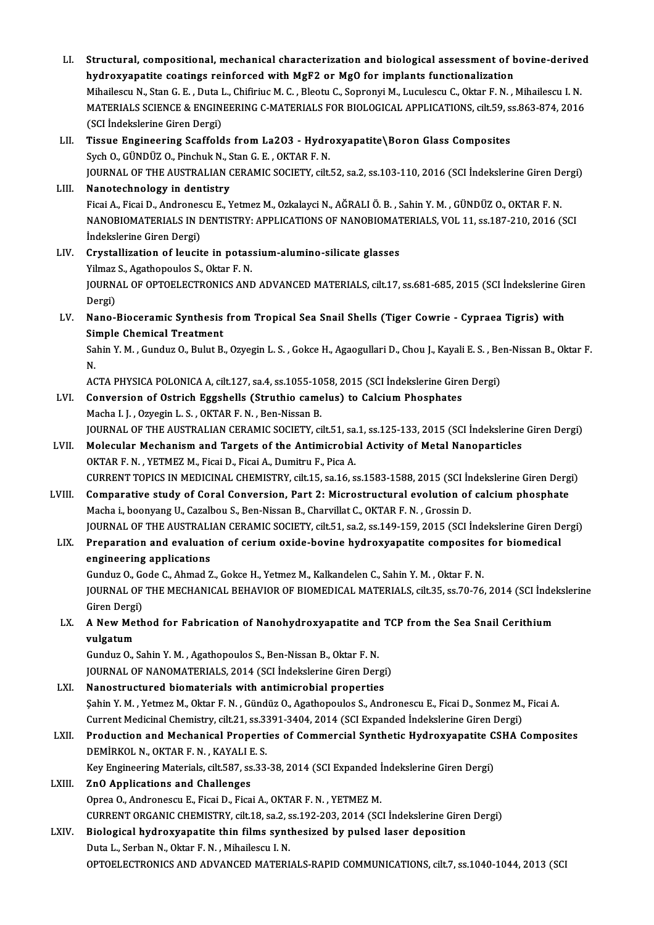LI. Structural, compositional,mechanical characterization and biological assessment of bovine-derived Structural, compositional, mechanical characterization and biological assessment of b<br>hydroxyapatite coatings reinforced with MgF2 or MgO for implants functionalization<br>Mihailessu N. Star C. E., Duta L. Chifinius M. C., Bl Structural, compositional, mechanical characterization and biological assessment of bovine-derive<br>hydroxyapatite coatings reinforced with MgF2 or Mg0 for implants functionalization<br>Mihailescu N., Stan G. E. , Duta L., Chif hydroxyapatite coatings reinforced with MgF2 or Mg0 for implants functionalization<br>Mihailescu N., Stan G. E. , Duta L., Chifiriuc M. C. , Bleotu C., Sopronyi M., Luculescu C., Oktar F. N. , Mihailescu I. N.<br>MATERIALS SCIEN Mihailescu N., Stan G. E. , Duta I<br>MATERIALS SCIENCE & ENGIN<br>(SCI İndekslerine Giren Dergi)<br>Tissue Engineering Scaffeld LII. Tissue Engineering Scaffolds from La2O3 - Hydroxyapatite\Boron Glass Composites (SCI İndekslerine Giren Dergi)<br>Tissue Engineering Scaffolds from La2O3 - Hydro<br>Sych O., GÜNDÜZ O., Pinchuk N., Stan G. E. , OKTAR F. N.<br>JOUPNAL OF THE AUSTRALIAN CERAMIC SOCIETY silt JOURNAL OF THE AUSTRALIAN CERAMIC SOCIETY, cilt.52, sa.2, ss.103-110, 2016 (SCI İndekslerine Giren Dergi)<br>Nanotechnology in dentistry Sych O., GÜNDÜZ O., Pinchuk N., S<br>JOURNAL OF THE AUSTRALIAN (<br>LIII. Nanotechnology in dentistry JOURNAL OF THE AUSTRALIAN CERAMIC SOCIETY, cilt.52, sa.2, ss.103-110, 2016 (SCI İndekslerine Giren De<br>Nanotechnology in dentistry<br>Ficai A., Ficai D., Andronescu E., Yetmez M., Ozkalayci N., AĞRALI Ö. B. , Sahin Y. M. , GÜN Nanotechnology in dentistry<br>Ficai A., Ficai D., Andronescu E., Yetmez M., Ozkalayci N., AĞRALI Ö. B. , Sahin Y. M. , GÜNDÜZ O., OKTAR F. N<br>NANOBIOMATERIALS IN DENTISTRY: APPLICATIONS OF NANOBIOMATERIALS, VOL 11, ss.187-210 Ficai A., Ficai D., Andrones<br>NANOBIOMATERIALS IN I<br>İndekslerine Giren Dergi)<br>Cuvatallization of lougit NANOBIOMATERIALS IN DENTISTRY: APPLICATIONS OF NANOBIOMATERIALS, VOL 11, ss.187-210, 2016 (SCI<br>Indekslerine Giren Dergi)<br>LIV. Crystallization of leucite in potassium-alumino-silicate glasses Indekslerine Giren Dergi)<br>Crystallization of leucite in potas<br>Yilmaz S., Agathopoulos S., Oktar F. N.<br>JOUPNAL OF OPTOFLECTRONICS AND JOURNAL OF OPTOELECTRONICS AND ADVANCED MATERIALS, cilt.17, ss.681-685, 2015 (SCI İndekslerine Giren<br>Dergi) Yilmaz<br>JOURN<br>Dergi)<br>Nano JOURNAL OF OPTOELECTRONICS AND ADVANCED MATERIALS, cilt.17, ss.681-685, 2015 (SCI İndekslerine G<br>Dergi)<br>LV. Nano-Bioceramic Synthesis from Tropical Sea Snail Shells (Tiger Cowrie - Cypraea Tigris) with<br>Simple Chamical Trea Dergi)<br>Nano-Bioceramic Synthesis<br>Simple Chemical Treatment<br>Sehin Y.M., Cundur O. Bulut B Nano-Bioceramic Synthesis from Tropical Sea Snail Shells (Tiger Cowrie - Cypraea Tigris) with<br>Simple Chemical Treatment<br>Sahin Y. M. , Gunduz O., Bulut B., Ozyegin L. S. , Gokce H., Agaogullari D., Chou J., Kayali E. S. , B Sil<br>Sa<br>N. Sahin Y. M. , Gunduz O., Bulut B., Ozyegin L. S. , Gokce H., Agaogullari D., Chou J., Kayali E. S. , Be<br>N.<br>ACTA PHYSICA POLONICA A, cilt.127, sa.4, ss.1055-1058, 2015 (SCI İndekslerine Giren Dergi)<br>Convergion of Ostrich Eg N.<br>ACTA PHYSICA POLONICA A, cilt.127, sa.4, ss.1055-1058, 2015 (SCI İndekslerine Giren Dergi)<br>LVI. Conversion of Ostrich Eggshells (Struthio camelus) to Calcium Phosphates Macha I. J., Ozyegin L. S., OKTAR F. N., Ben-Nissan B. Conversion of Ostrich Eggshells (Struthio camelus) to Calcium Phosphates<br>Macha I. J. , Ozyegin L. S. , OKTAR F. N. , Ben-Nissan B.<br>JOURNAL OF THE AUSTRALIAN CERAMIC SOCIETY, cilt.51, sa.1, ss.125-133, 2015 (SCI İndekslerin Macha I. J. , Ozyegin L. S. , OKTAR F. N. , Ben-Nissan B.<br>JOURNAL OF THE AUSTRALIAN CERAMIC SOCIETY, cilt.51, sa.1, ss.125-133, 2015 (SCI Indekslerine<br>LVII. Molecular Mechanism and Targets of the Antimicrobial Activity of JOURNAL OF THE AUSTRALIAN CERAMIC SOCIETY, cilt.51, sa<br>Molecular Mechanism and Targets of the Antimicrobia<br>OKTAR F. N. , YETMEZ M., Ficai D., Ficai A., Dumitru F., Pica A.<br>CURRENT TORICS IN MEDICINAL CHEMISTRY silt 15, sa Molecular Mechanism and Targets of the Antimicrobial Activity of Metal Nanoparticles<br>OKTAR F. N. , YETMEZ M., Ficai D., Ficai A., Dumitru F., Pica A.<br>CURRENT TOPICS IN MEDICINAL CHEMISTRY, cilt.15, sa.16, ss.1583-1588, 201 OKTAR F. N. , YETMEZ M., Ficai D., Ficai A., Dumitru F., Pica A.<br>CURRENT TOPICS IN MEDICINAL CHEMISTRY, cilt.15, sa.16, ss.1583-1588, 2015 (SCI İndekslerine Giren Derg<br>LVIII. Comparative study of Coral Conversion, Part 2: Comparative study of Coral Conversion, Part 2: Microstructural evolution of calcium phosphate<br>Macha i., boonyang U., Cazalbou S., Ben-Nissan B., Charvillat C., OKTAR F. N., Grossin D. Comparative study of Coral Conversion, Part 2: Microstructural evolution of calcium phosphate<br>Macha i., boonyang U., Cazalbou S., Ben-Nissan B., Charvillat C., OKTAR F. N. , Grossin D.<br>JOURNAL OF THE AUSTRALIAN CERAMIC SOC LIX. Preparation and evaluation of cerium oxide-bovine hydroxyapatite composites for biomedical engineering applications **JOURNAL OF THE AUSTRALI<br>Preparation and evaluations<br>engineering applications** Preparation and evaluation of cerium oxide-bovine hydroxyapatite composites<br>engineering applications<br>Gunduz O., Gode C., Ahmad Z., Gokce H., Yetmez M., Kalkandelen C., Sahin Y. M. , Oktar F. N.<br>JOUPMAL OF THE MECHANICAL PE JOURNAL OF THE MECHANICAL BEHAVIOR OF BIOMEDICAL MATERIALS, cilt.35, ss.70-76, 2014 (SCI İndekslerine Gunduz O., Go<br>JOURNAL OF<br>Giren Dergi)<br>A Now Moth LX. A New Method for Fabrication of Nanohydroxyapatite and TCP from the Sea Snail Cerithium<br>vulgatum Giren Dergi) A New Method for Fabrication of Nanohydroxyapatite and<br>vulgatum<br>Gunduz O., Sahin Y. M. , Agathopoulos S., Ben-Nissan B., Oktar F. N.<br>JOUPNAL OE NANOMATERIALS 2014 (SCL Indekslering Giren Der. vulgatum<br>Gunduz O., Sahin Y. M. , Agathopoulos S., Ben-Nissan B., Oktar F. N.<br>JOURNAL OF NANOMATERIALS, 2014 (SCI İndekslerine Giren Dergi)<br>Nanostrustured biomaterials with antimisrabial properties Gunduz O., Sahin Y. M., Agathopoulos S., Ben-Nissan B., Oktar F. N.<br>JOURNAL OF NANOMATERIALS, 2014 (SCI Indekslerine Giren Dergi<br>LXI. Nanostructured biomaterials with antimicrobial properties<br>Sohin Y. M., Yotmar M. Oktar E JOURNAL OF NANOMATERIALS, 2014 (SCI İndekslerine Giren Dergi)<br>Nanostructured biomaterials with antimicrobial properties<br>Şahin Y. M. , Yetmez M., Oktar F. N. , Gündüz O., Agathopoulos S., Andronescu E., Ficai D., Sonmez M., Nanostructured biomaterials with antimicrobial properties<br>Sahin Y. M. , Yetmez M., Oktar F. N. , Gündüz O., Agathopoulos S., Andronescu E., Ficai D., Sonmez M.,<br>Current Medicinal Chemistry, cilt.21, ss.3391-3404, 2014 (SCI Sahin Y. M. , Yetmez M., Oktar F. N. , Gündüz O., Agathopoulos S., Andronescu E., Ficai D., Sonmez M., Ficai A.<br>Current Medicinal Chemistry, cilt.21, ss.3391-3404, 2014 (SCI Expanded Indekslerine Giren Dergi)<br>LXII. Product Current Medicinal Chemistry, cilt.21, ss.3391-3404, 2014 (SCI Expanded İndekslerine Giren Dergi)<br>Production and Mechanical Properties of Commercial Synthetic Hydroxyapatite CSHA (<br>DEMİRKOL N., OKTAR F. N., KAYALI E. S. Production and Mechanical Properties of Commercial Synthetic Hydroxyapatite CSHA Composites LXIII. ZnO Applications and Challenges<br>Oprea O., Andronescu E., Ficai D., Ficai A., OKTAR F. N., YETMEZ M. Key Engineering Materials, cilt.587, ss.33-38, 2014 (SCI Expanded Indekslerine Giren Dergi) ZnO Applications and Challenges<br>Oprea O., Andronescu E., Ficai D., Ficai A., OKTAR F. N. , YETMEZ M.<br>CURRENT ORGANIC CHEMISTRY, cilt.18, sa.2, ss.192-203, 2014 (SCI İndekslerine Giren Dergi)<br>Pielogiael hydrovyanatite thin Oprea O., Andronescu E., Ficai D., Ficai A., OKTAR F. N. , YETMEZ M.<br>CURRENT ORGANIC CHEMISTRY, cilt.18, sa.2, ss.192-203, 2014 (SCI Indekslerine Girer<br>LXIV. Biological hydroxyapatite thin films synthesized by pulsed laser CURRENT ORGANIC CHEMISTRY, cilt.18, sa.2, s<br>Biological hydroxyapatite thin films synt<br>Duta L., Serban N., Oktar F. N. , Mihailescu I. N.<br>OPTOELECTRONICS AND ADVANCED MATERL Biological hydroxyapatite thin films synthesized by pulsed laser deposition<br>Duta L., Serban N., Oktar F. N. , Mihailescu I. N.<br>OPTOELECTRONICS AND ADVANCED MATERIALS-RAPID COMMUNICATIONS, cilt.7, ss.1040-1044, 2013 (SCI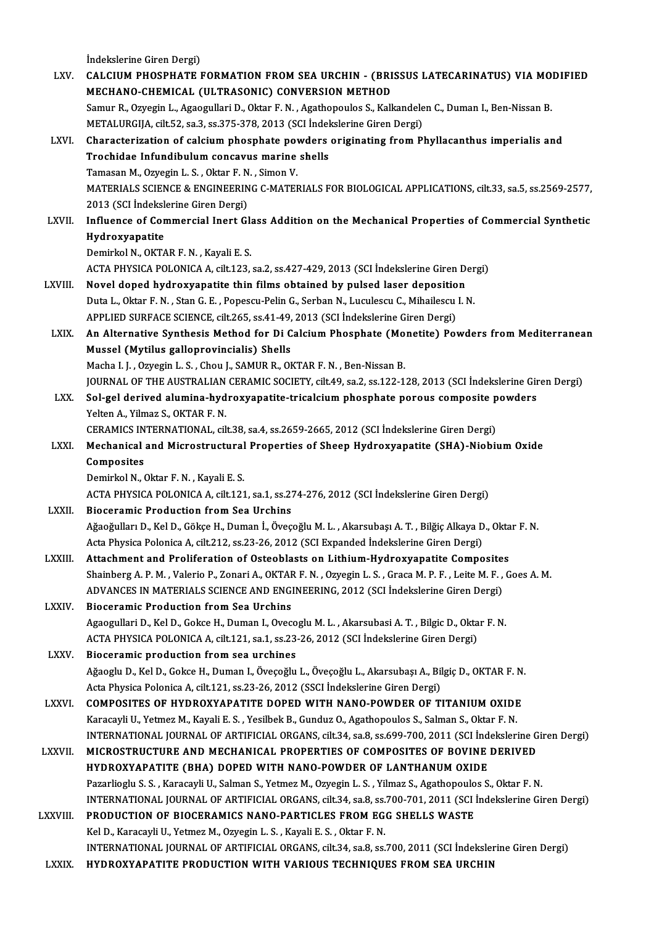İndekslerine Giren Dergi)<br>CALCUIM PHOSPHATE I

|               | Indekslerine Giren Dergi)                                                                                                                                                                                            |
|---------------|----------------------------------------------------------------------------------------------------------------------------------------------------------------------------------------------------------------------|
| LXV.          | CALCIUM PHOSPHATE FORMATION FROM SEA URCHIN - (BRISSUS LATECARINATUS) VIA MODIFIED<br>MECHANO-CHEMICAL (ULTRASONIC) CONVERSION METHOD                                                                                |
|               | Samur R., Ozyegin L., Agaogullari D., Oktar F. N., Agathopoulos S., Kalkandelen C., Duman I., Ben-Nissan B.                                                                                                          |
|               | METALURGIJA, cilt.52, sa.3, ss.375-378, 2013 (SCI Indekslerine Giren Dergi)                                                                                                                                          |
| LXVI.         | Characterization of calcium phosphate powders originating from Phyllacanthus imperialis and                                                                                                                          |
|               | Trochidae Infundibulum concavus marine shells                                                                                                                                                                        |
|               | Tamasan M., Ozyegin L. S., Oktar F. N., Simon V.                                                                                                                                                                     |
|               | MATERIALS SCIENCE & ENGINEERING C-MATERIALS FOR BIOLOGICAL APPLICATIONS, cilt.33, sa.5, ss.2569-2577,                                                                                                                |
|               | 2013 (SCI İndekslerine Giren Dergi)                                                                                                                                                                                  |
| LXVII.        | Influence of Commercial Inert Glass Addition on the Mechanical Properties of Commercial Synthetic                                                                                                                    |
|               | Hydroxyapatite                                                                                                                                                                                                       |
|               | Demirkol N., OKTAR F. N., Kayali E. S.                                                                                                                                                                               |
|               | ACTA PHYSICA POLONICA A, cilt.123, sa.2, ss.427-429, 2013 (SCI Indekslerine Giren Dergi)                                                                                                                             |
| LXVIII.       | Novel doped hydroxyapatite thin films obtained by pulsed laser deposition                                                                                                                                            |
|               | Duta L., Oktar F. N., Stan G. E., Popescu-Pelin G., Serban N., Luculescu C., Mihailescu I. N.                                                                                                                        |
|               | APPLIED SURFACE SCIENCE, cilt.265, ss.41-49, 2013 (SCI Indekslerine Giren Dergi)                                                                                                                                     |
| LXIX.         | An Alternative Synthesis Method for Di Calcium Phosphate (Monetite) Powders from Mediterranean                                                                                                                       |
|               | Mussel (Mytilus galloprovincialis) Shells                                                                                                                                                                            |
|               | Macha I. J., Ozyegin L. S., Chou J., SAMUR R., OKTAR F. N., Ben-Nissan B.                                                                                                                                            |
|               | JOURNAL OF THE AUSTRALIAN CERAMIC SOCIETY, cilt.49, sa.2, ss.122-128, 2013 (SCI Indekslerine Giren Dergi)                                                                                                            |
| LXX.          | Sol-gel derived alumina-hydroxyapatite-tricalcium phosphate porous composite powders                                                                                                                                 |
|               | Yelten A., Yilmaz S., OKTAR F. N.                                                                                                                                                                                    |
| LXXI.         | CERAMICS INTERNATIONAL, cilt.38, sa.4, ss.2659-2665, 2012 (SCI İndekslerine Giren Dergi)<br>Mechanical and Microstructural Properties of Sheep Hydroxyapatite (SHA)-Niobium Oxide                                    |
|               | Composites                                                                                                                                                                                                           |
|               | Demirkol N., Oktar F. N., Kayali E. S.                                                                                                                                                                               |
|               | ACTA PHYSICA POLONICA A, cilt.121, sa.1, ss.274-276, 2012 (SCI Indekslerine Giren Dergi)                                                                                                                             |
| LXXII.        | <b>Bioceramic Production from Sea Urchins</b>                                                                                                                                                                        |
|               | Ağaoğulları D., Kel D., Gökçe H., Duman İ., Öveçoğlu M. L., Akarsubaşı A. T., Bilğiç Alkaya D., Oktar F. N.                                                                                                          |
|               | Acta Physica Polonica A, cilt.212, ss.23-26, 2012 (SCI Expanded Indekslerine Giren Dergi)                                                                                                                            |
| <b>LXXIII</b> | Attachment and Proliferation of Osteoblasts on Lithium-Hydroxyapatite Composites                                                                                                                                     |
|               | Shainberg A. P. M., Valerio P., Zonari A., OKTAR F. N., Ozyegin L. S., Graca M. P. F., Leite M. F., Goes A. M.                                                                                                       |
|               | ADVANCES IN MATERIALS SCIENCE AND ENGINEERING, 2012 (SCI Indekslerine Giren Dergi)                                                                                                                                   |
| <b>LXXIV</b>  | <b>Bioceramic Production from Sea Urchins</b>                                                                                                                                                                        |
|               | Agaogullari D., Kel D., Gokce H., Duman I., Ovecoglu M. L., Akarsubasi A. T., Bilgic D., Oktar F. N.                                                                                                                 |
|               | ACTA PHYSICA POLONICA A, cilt.121, sa.1, ss.23-26, 2012 (SCI Indekslerine Giren Dergi)                                                                                                                               |
| <b>LXXV</b>   | Bioceramic production from sea urchines                                                                                                                                                                              |
|               | Ağaoglu D., Kel D., Gokce H., Duman I., Öveçoğlu L., Öveçoğlu L., Akarsubaşı A., Bilgiç D., OKTAR F. N.                                                                                                              |
|               | Acta Physica Polonica A, cilt.121, ss.23-26, 2012 (SSCI İndekslerine Giren Dergi)                                                                                                                                    |
| <b>LXXVI</b>  | COMPOSITES OF HYDROXYAPATITE DOPED WITH NANO-POWDER OF TITANIUM OXIDE                                                                                                                                                |
|               | Karacayli U., Yetmez M., Kayali E. S., Yesilbek B., Gunduz O., Agathopoulos S., Salman S., Oktar F. N.<br>INTERNATIONAL JOURNAL OF ARTIFICIAL ORGANS, cilt.34, sa.8, ss.699-700, 2011 (SCI İndekslerine Giren Dergi) |
| <b>LXXVII</b> | MICROSTRUCTURE AND MECHANICAL PROPERTIES OF COMPOSITES OF BOVINE DERIVED                                                                                                                                             |
|               | HYDROXYAPATITE (BHA) DOPED WITH NANO-POWDER OF LANTHANUM OXIDE                                                                                                                                                       |
|               | Pazarlioglu S. S., Karacayli U., Salman S., Yetmez M., Ozyegin L. S., Yilmaz S., Agathopoulos S., Oktar F. N.                                                                                                        |
|               | INTERNATIONAL JOURNAL OF ARTIFICIAL ORGANS, cilt.34, sa.8, ss.700-701, 2011 (SCI İndekslerine Giren Dergi)                                                                                                           |
| LXXVIII.      | PRODUCTION OF BIOCERAMICS NANO-PARTICLES FROM EGG SHELLS WASTE                                                                                                                                                       |
|               | Kel D., Karacayli U., Yetmez M., Ozyegin L. S., Kayali E. S., Oktar F. N.                                                                                                                                            |
|               | INTERNATIONAL JOURNAL OF ARTIFICIAL ORGANS, cilt.34, sa.8, ss.700, 2011 (SCI İndekslerine Giren Dergi)                                                                                                               |
| <b>LXXIX</b>  | HYDROXYAPATITE PRODUCTION WITH VARIOUS TECHNIQUES FROM SEA URCHIN                                                                                                                                                    |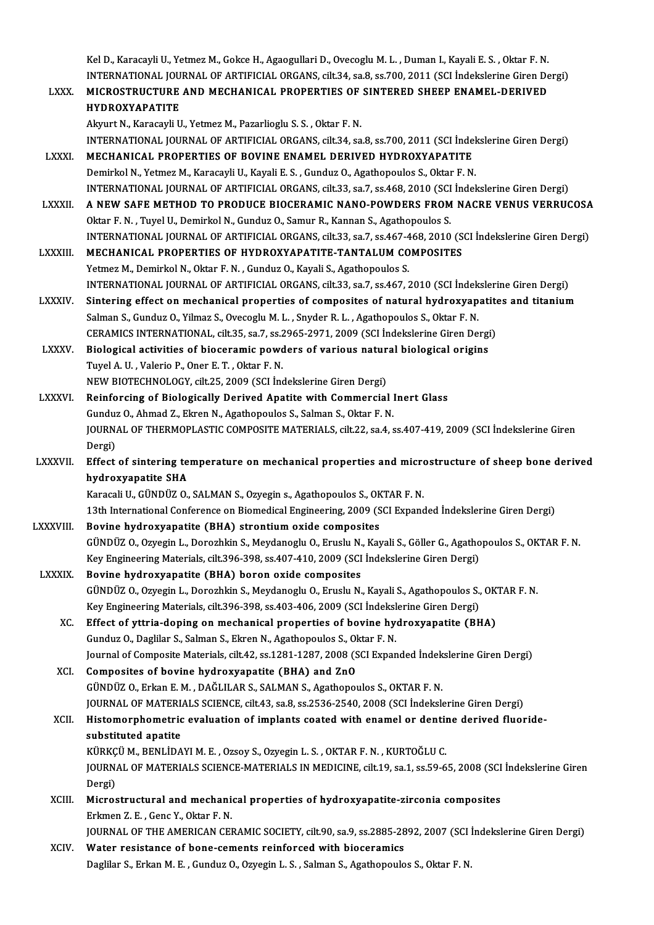Kel D., Karacayli U., Yetmez M., Gokce H., Agaogullari D., Ovecoglu M. L. , Duman I., Kayali E. S. , Oktar F. N<br>INTERNATIONAL JOURNAL OF ARTIFICIAL ORGANS, silt 34, so 8, ss 700, 2011 (SCL Indekslering Giren De Kel D., Karacayli U., Yetmez M., Gokce H., Agaogullari D., Ovecoglu M. L. , Duman I., Kayali E. S. , Oktar F. N<br>INTERNATIONAL JOURNAL OF ARTIFICIAL ORGANS, cilt.34, sa.8, ss.700, 2011 (SCI İndekslerine Giren Dergi)<br>MICROST

Kel D., Karacayli U., Yetmez M., Gokce H., Agaogullari D., Ovecoglu M. L. , Duman I., Kayali E. S. , Oktar F. N.<br>INTERNATIONAL JOURNAL OF ARTIFICIAL ORGANS, cilt.34, sa.8, ss.700, 2011 (SCI İndekslerine Giren De<br>LXXX. MICR INTERNATIONAL JOURNAL OF ARTIFICIAL ORGANS, cilt.34, sa.8, ss.700, 2011 (SCI İndekslerine Giren Dergi)<br>MICROSTRUCTURE AND MECHANICAL PROPERTIES OF SINTERED SHEEP ENAMEL-DERIVED<br>HYDROXYAPATITE Akyurt N., Karacayli U., Yetmez M., Pazarlioglu S. S., Oktar F. N. HYDROXYAPATITE<br>Akyurt N., Karacayli U., Yetmez M., Pazarlioglu S. S. , Oktar F. N.<br>INTERNATIONAL JOURNAL OF ARTIFICIAL ORGANS, cilt.34, sa.8, ss.700, 2011 (SCI İndekslerine Giren Dergi)<br>MECHANICAL PROPERTIES OF POVINE ENAM Akyurt N., Karacayli U., Yetmez M., Pazarlioglu S. S. , Oktar F. N.<br>INTERNATIONAL JOURNAL OF ARTIFICIAL ORGANS, cilt.34, sa.8, ss.700, 2011 (SCI Inde<br>LXXXI. MECHANICAL PROPERTIES OF BOVINE ENAMEL DERIVED HYDROXYAPATITE INTERNATIONAL JOURNAL OF ARTIFICIAL ORGANS, cilt.34, sa.8, ss.700, 2011 (SCI Indel<br>MECHANICAL PROPERTIES OF BOVINE ENAMEL DERIVED HYDROXYAPATITE<br>Demirkol N., Yetmez M., Karacayli U., Kayali E. S. , Gunduz O., Agathopoulos MECHANICAL PROPERTIES OF BOVINE ENAMEL DERIVED HYDROXYAPATITE<br>Demirkol N., Yetmez M., Karacayli U., Kayali E. S. , Gunduz O., Agathopoulos S., Oktar F. N.<br>INTERNATIONAL JOURNAL OF ARTIFICIAL ORGANS, cilt.33, sa.7, ss.468, Demirkol N., Yetmez M., Karacayli U., Kayali E. S. , Gunduz O., Agathopoulos S., Oktar F. N.<br>INTERNATIONAL JOURNAL OF ARTIFICIAL ORGANS, cilt.33, sa.7, ss.468, 2010 (SCI İndekslerine Giren Dergi)<br>LXXXII. A NEW SAFE METHOD INTERNATIONAL JOURNAL OF ARTIFICIAL ORGANS, cilt.33, sa.7, ss.468, 2010 (SCI<br>A NEW SAFE METHOD TO PRODUCE BIOCERAMIC NANO-POWDERS FROM<br>Oktar F. N. , Tuyel U., Demirkol N., Gunduz O., Samur R., Kannan S., Agathopoulos S.<br>IN A NEW SAFE METHOD TO PRODUCE BIOCERAMIC NANO-POWDERS FROM NACRE VENUS VERRUCOSA<br>Oktar F. N. , Tuyel U., Demirkol N., Gunduz O., Samur R., Kannan S., Agathopoulos S.<br>INTERNATIONAL JOURNAL OF ARTIFICIAL ORGANS, cilt.33, sa.7 Oktar F. N. , Tuyel U., Demirkol N., Gunduz O., Samur R., Kannan S., Agathopoulos S.<br>INTERNATIONAL JOURNAL OF ARTIFICIAL ORGANS, cilt.33, sa.7, ss.467-468, 2010 (SCI İndekslerine Giren Dergi)<br>LXXXIII. MECHANICAL PROPERTIES Yetmez M., Demirkol N., Oktar F. N., Gunduz O., Kayali S., Agathopoulos S. MECHANICAL PROPERTIES OF HYDROXYAPATITE-TANTALUM COMPOSITES<br>Yetmez M., Demirkol N., Oktar F. N. , Gunduz O., Kayali S., Agathopoulos S.<br>INTERNATIONAL JOURNAL OF ARTIFICIAL ORGANS, cilt.33, sa.7, ss.467, 2010 (SCI İndeksler Yetmez M., Demirkol N., Oktar F. N. , Gunduz O., Kayali S., Agathopoulos S.<br>INTERNATIONAL JOURNAL OF ARTIFICIAL ORGANS, cilt.33, sa.7, ss.467, 2010 (SCI Indekslerine Giren Dergi)<br>LXXXIV. Sintering effect on mechanical prop INTERNATIONAL JOURNAL OF ARTIFICIAL ORGANS, cilt.33, sa.7, ss.467, 2010 (SCI İndek<br>Sintering effect on mechanical properties of composites of natural hydroxyap<br>Salman S., Gunduz O., Yilmaz S., Ovecoglu M. L. , Snyder R. L. Sintering effect on mechanical properties of composites of natural hydroxyapatites and titanium<br>Salman S., Gunduz O., Yilmaz S., Ovecoglu M. L. , Snyder R. L. , Agathopoulos S., Oktar F. N.<br>CERAMICS INTERNATIONAL, cilt.35, Salman S., Gunduz O., Yilmaz S., Ovecoglu M. L. , Snyder R. L. , Agathopoulos S., Oktar F. N.<br>CERAMICS INTERNATIONAL, cilt.35, sa.7, ss.2965-2971, 2009 (SCI Indekslerine Giren Dergi<br>LXXXV. Biological activities of bioceram CERAMICS INTERNATIONAL, cilt.35, sa.7, ss.2<br>Biological activities of bioceramic power<br>Tuyel A. U. , Valerio P., Oner E. T. , Oktar F. N.<br>NEW PIOTECUNOLOCY silt 25, 2000 (SCL Inc Biological activities of bioceramic powders of various natur<br>Tuyel A. U. , Valerio P., Oner E. T. , Oktar F. N.<br>NEW BIOTECHNOLOGY, cilt.25, 2009 (SCI İndekslerine Giren Dergi)<br>Peinforsing of Biologically Derived Anatite wi Tuyel A. U. , Valerio P., Oner E. T. , Oktar F. N.<br>NEW BIOTECHNOLOGY, cilt.25, 2009 (SCI Indekslerine Giren Dergi)<br>LXXXVI. Reinforcing of Biologically Derived Apatite with Commercial Inert Glass NEW BIOTECHNOLOGY, cilt.25, 2009 (SCI Indekslerine Giren Dergi)<br>Reinforcing of Biologically Derived Apatite with Commercial I<br>Gunduz O., Ahmad Z., Ekren N., Agathopoulos S., Salman S., Oktar F. N.<br>JOUPMAL OF THEPMOPLASTIC Reinforcing of Biologically Derived Apatite with Commercial Inert Glass<br>Gunduz O., Ahmad Z., Ekren N., Agathopoulos S., Salman S., Oktar F. N.<br>JOURNAL OF THERMOPLASTIC COMPOSITE MATERIALS, cilt.22, sa.4, ss.407-419, 2009 ( Gundu<mark>:</mark><br>JOURN<br>Dergi)<br>Effect JOURNAL OF THERMOPLASTIC COMPOSITE MATERIALS, cilt.22, sa.4, ss.407-419, 2009 (SCI İndekslerine Giren<br>Dergi)<br>LXXXVII. Effect of sintering temperature on mechanical properties and microstructure of sheep bone derived<br>hydrow Dergi)<br>Effect of sintering te<br>hydroxyapatite SHA<br>Karagali U. CÜNDÜZ Q Effect of sintering temperature on mechanical properties and micro<br>hydroxyapatite SHA<br>Karacali U., GÜNDÜZ O., SALMAN S., Ozyegin s., Agathopoulos S., OKTAR F. N.<br>12th International Conference on Biomedical Engineering, 200 hydroxyapatite SHA<br>Karacali U., GÜNDÜZ O., SALMAN S., Ozyegin s., Agathopoulos S., OKTAR F. N.<br>13th International Conference on Biomedical Engineering, 2009 (SCI Expanded İndekslerine Giren Dergi)<br>Rovine hydrovyanatite (PH Karacali U., GÜNDÜZ O., SALMAN S., Ozyegin s., Agathopoulos S., OK<br>13th International Conference on Biomedical Engineering, 2009 (S<br>LXXXVIII. Bovine hydroxyapatite (BHA) strontium oxide composites<br>(CÜNDÜZ O. Ozyegin J. Dor 13th International Conference on Biomedical Engineering, 2009 (SCI Expanded Indekslerine Giren Dergi)<br>Bovine hydroxyapatite (BHA) strontium oxide composites<br>GÜNDÜZ O., Ozyegin L., Dorozhkin S., Meydanoglu O., Eruslu N., Ka Bovine hydroxyapatite (BHA) strontium oxide composites<br>GÜNDÜZ O., Ozyegin L., Dorozhkin S., Meydanoglu O., Eruslu N., Kayali S., Göller G., Agatho<br>Key Engineering Materials, cilt.396-398, ss.407-410, 2009 (SCI İndekslerine GÜNDÜZ O., Ozyegin L., Dorozhkin S., Meydanoglu O., Eruslu N.<br>Key Engineering Materials, cilt.396-398, ss.407-410, 2009 (SCI<br>LXXXIX. Bovine hydroxyapatite (BHA) boron oxide composites Bovine hydroxyapatite (BHA) boron oxide composites<br>GÜNDÜZ O., Ozyegin L., Dorozhkin S., Meydanoglu O., Eruslu N., Kayali S., Agathopoulos S., OKTAR F. N. Bovine hydroxyapatite (BHA) boron oxide composites<br>GÜNDÜZ O., Ozyegin L., Dorozhkin S., Meydanoglu O., Eruslu N., Kayali S., Agathopoulos S.,<br>Key Engineering Materials, cilt.396-398, ss.403-406, 2009 (SCI İndekslerine Gire XC. Effect of yttria-doping on mechanical properties of bovine hydroxyapatite (BHA)<br>Gunduz O., Daglilar S., Salman S., Ekren N., Agathopoulos S., Oktar F. N. Key Engineering Materials, cilt.396-398, ss.403-406, 2009 (SCI İndeksl<br>Effect of yttria-doping on mechanical properties of bovine hydenduz O., Daglilar S., Salman S., Ekren N., Agathopoulos S., Oktar F. N. Effect of yttria-doping on mechanical properties of bovine hydroxyapatite (BHA)<br>Gunduz O., Daglilar S., Salman S., Ekren N., Agathopoulos S., Oktar F. N.<br>Journal of Composite Materials, cilt.42, ss.1281-1287, 2008 (SCI Exp XCI. Composites of bovine hydroxyapatite (BHA) and ZnO<br>GÜNDÜZ O., Erkan E. M., DAĞLILAR S., SALMAN S., Agathopoulos S., OKTAR F. N. Journal of Composite Materials, cilt.42, ss.1281-1287, 2008 (SCI Expanded Indek<br>Composites of bovine hydroxyapatite (BHA) and ZnO<br>GÜNDÜZ O., Erkan E. M. , DAĞLILAR S., SALMAN S., Agathopoulos S., OKTAR F. N.<br>JOURNAL OE MAT Composites of bovine hydroxyapatite (BHA) and ZnO<br>GÜNDÜZ O., Erkan E. M. , DAĞLILAR S., SALMAN S., Agathopoulos S., OKTAR F. N.<br>JOURNAL OF MATERIALS SCIENCE, cilt.43, sa.8, ss.2536-2540, 2008 (SCI İndekslerine Giren Dergi) GÜNDÜZ 0., Erkan E. M. , DAĞLILAR S., SALMAN S., Agathopoulos S., OKTAR F. N.<br>JOURNAL OF MATERIALS SCIENCE, cilt.43, sa.8, ss.2536-2540, 2008 (SCI İndekslerine Giren Dergi)<br>XCII. Histomorphometric evaluation of implants co **JOURNAL OF MATERL<br>Histomorphometric<br>substituted apatite<br>KÜPKCÜ M. PENLIDA** Histomorphometric evaluation of implants coated with enamel or dentin<br>substituted apatite<br>KÜRKÇÜ M., BENLİDAYI M. E. , Ozsoy S., Ozyegin L. S. , OKTAR F. N. , KURTOĞLU C.<br>JOUPNAL OF MATERIALS SCIENCE MATERIALS IN MEDICINE substituted apatite<br>KÜRKÇÜ M., BENLİDAYI M. E. , Ozsoy S., Ozyegin L. S. , OKTAR F. N. , KURTOĞLU C.<br>JOURNAL OF MATERIALS SCIENCE-MATERIALS IN MEDICINE, cilt.19, sa.1, ss.59-65, 2008 (SCI İndekslerine Giren<br>Dergi) KÜRKÇÜ M., BENLİDAYI M. E., Ozsov S., Ozvegin L. S., OKTAR F. N., KURTOĞLU C. JOURNAL OF MATERIALS SCIENCE-MATERIALS IN MEDICINE, cilt.19, sa.1, ss.59-65, 2008 (SCI<br>Dergi)<br>XCIII. Microstructural and mechanical properties of hydroxyapatite-zirconia composites Dergi)<br>Microstructural and mechani<br>Erkmen Z. E. , Genc Y., Oktar F. N.<br>JOUPMAL OF THE AMERICAN CEL Microstructural and mechanical properties of hydroxyapatite-zirconia composites<br>Erkmen Z. E. , Genc Y., Oktar F. N.<br>JOURNAL OF THE AMERICAN CERAMIC SOCIETY, cilt.90, sa.9, ss.2885-2892, 2007 (SCI İndekslerine Giren Dergi)<br> Erkmen Z. E., Genc Y., Oktar F. N.<br>JOURNAL OF THE AMERICAN CERAMIC SOCIETY, cilt.90, sa.9, ss.2885-28<br>XCIV. Water resistance of bone-cements reinforced with bioceramics<br>Deciller S. Erken M. E., Cundur O. Owesin J. S. Selme JOURNAL OF THE AMERICAN CERAMIC SOCIETY, cilt.90, sa.9, ss.2885-2892, 2007 (SCI i<br>Water resistance of bone-cements reinforced with bioceramics<br>Daglilar S., Erkan M. E. , Gunduz O., Ozyegin L. S. , Salman S., Agathopoulos S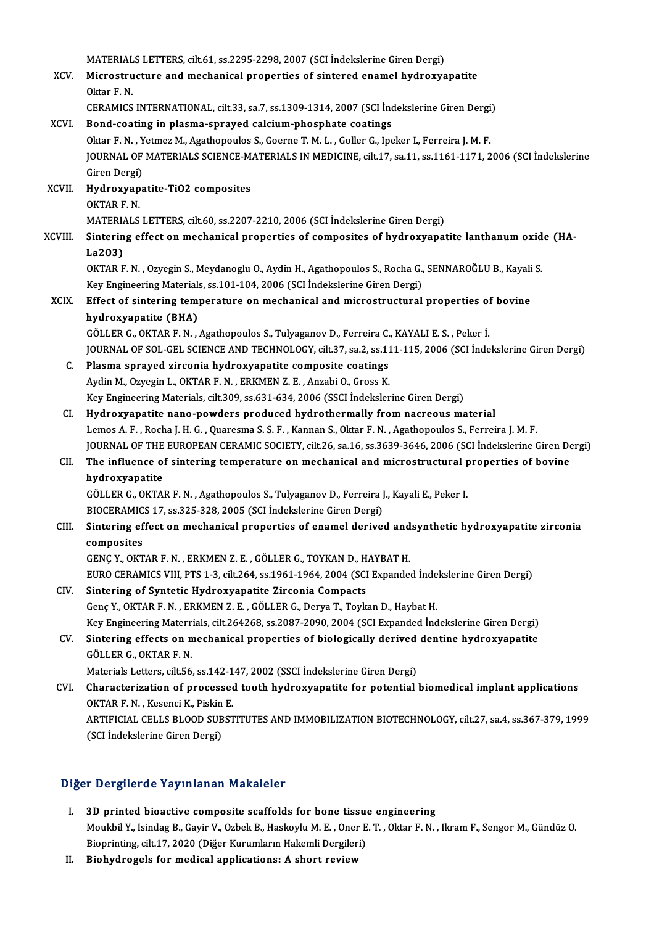|                | MATERIALS LETTERS, cilt.61, ss.2295-2298, 2007 (SCI Indekslerine Giren Dergi)                                                                                                                                            |
|----------------|--------------------------------------------------------------------------------------------------------------------------------------------------------------------------------------------------------------------------|
| XCV.           | Microstructure and mechanical properties of sintered enamel hydroxyapatite                                                                                                                                               |
|                | Oktar F N                                                                                                                                                                                                                |
|                | CERAMICS INTERNATIONAL, cilt.33, sa.7, ss.1309-1314, 2007 (SCI Indekslerine Giren Dergi)                                                                                                                                 |
| XCVI.          | Bond-coating in plasma-sprayed calcium-phosphate coatings                                                                                                                                                                |
|                | Oktar F. N., Yetmez M., Agathopoulos S., Goerne T. M. L., Goller G., Ipeker I., Ferreira J. M. F.                                                                                                                        |
|                | JOURNAL OF MATERIALS SCIENCE-MATERIALS IN MEDICINE, cilt.17, sa.11, ss.1161-1171, 2006 (SCI İndekslerine                                                                                                                 |
|                | Giren Dergi)                                                                                                                                                                                                             |
| <b>XCVII</b>   | Hydroxyapatite-TiO2 composites                                                                                                                                                                                           |
|                | OKTAR F N                                                                                                                                                                                                                |
|                | MATERIALS LETTERS, cilt.60, ss.2207-2210, 2006 (SCI Indekslerine Giren Dergi)                                                                                                                                            |
| XCVIII.        | Sintering effect on mechanical properties of composites of hydroxyapatite lanthanum oxide (HA-                                                                                                                           |
|                | La203)                                                                                                                                                                                                                   |
|                | OKTAR F. N., Ozyegin S., Meydanoglu O., Aydin H., Agathopoulos S., Rocha G., SENNAROĞLU B., Kayali S.                                                                                                                    |
|                | Key Engineering Materials, ss 101-104, 2006 (SCI Indekslerine Giren Dergi)                                                                                                                                               |
| <b>XCIX</b>    | Effect of sintering temperature on mechanical and microstructural properties of bovine                                                                                                                                   |
|                | hydroxyapatite (BHA)                                                                                                                                                                                                     |
|                | GÖLLER G., OKTAR F. N., Agathopoulos S., Tulyaganov D., Ferreira C., KAYALI E. S., Peker I.                                                                                                                              |
|                | JOURNAL OF SOL-GEL SCIENCE AND TECHNOLOGY, cilt.37, sa.2, ss.111-115, 2006 (SCI Indekslerine Giren Dergi)                                                                                                                |
| $\mathsf{C}$ . | Plasma sprayed zirconia hydroxyapatite composite coatings                                                                                                                                                                |
|                | Aydin M., Ozyegin L., OKTAR F. N., ERKMEN Z. E., Anzabi O., Gross K.                                                                                                                                                     |
|                | Key Engineering Materials, cilt.309, ss.631-634, 2006 (SSCI İndekslerine Giren Dergi)                                                                                                                                    |
| CI.            | Hydroxyapatite nano-powders produced hydrothermally from nacreous material                                                                                                                                               |
|                | Lemos A. F., Rocha J. H. G., Quaresma S. S. F., Kannan S., Oktar F. N., Agathopoulos S., Ferreira J. M. F.<br>JOURNAL OF THE EUROPEAN CERAMIC SOCIETY, cilt.26, sa.16, ss.3639-3646, 2006 (SCI İndekslerine Giren Dergi) |
| CII.           | The influence of sintering temperature on mechanical and microstructural properties of bovine                                                                                                                            |
|                | hydroxyapatite                                                                                                                                                                                                           |
|                | GÖLLER G., OKTAR F. N., Agathopoulos S., Tulyaganov D., Ferreira J., Kayali E., Peker I.                                                                                                                                 |
|                | BIOCERAMICS 17, ss.325-328, 2005 (SCI Indekslerine Giren Dergi)                                                                                                                                                          |
| CIII.          | Sintering effect on mechanical properties of enamel derived andsynthetic hydroxyapatite zirconia                                                                                                                         |
|                | composites                                                                                                                                                                                                               |
|                | GENÇ Y., OKTAR F. N., ERKMEN Z. E., GÖLLER G., TOYKAN D., HAYBAT H.                                                                                                                                                      |
|                | EURO CERAMICS VIII, PTS 1-3, cilt.264, ss.1961-1964, 2004 (SCI Expanded Indekslerine Giren Dergi)                                                                                                                        |
| CIV.           | Sintering of Syntetic Hydroxyapatite Zirconia Compacts                                                                                                                                                                   |
|                | Genç Y., OKTAR F. N., ERKMEN Z. E., GÖLLER G., Derya T., Toykan D., Haybat H.                                                                                                                                            |
|                | Key Engineering Materrials, cilt.264268, ss.2087-2090, 2004 (SCI Expanded İndekslerine Giren Dergi)                                                                                                                      |
| CV.            | Sintering effects on mechanical properties of biologically derived dentine hydroxyapatite                                                                                                                                |
|                | GÖLLER G., OKTAR F. N.                                                                                                                                                                                                   |
|                | Materials Letters, cilt.56, ss.142-147, 2002 (SSCI İndekslerine Giren Dergi)                                                                                                                                             |
| CVI.           | Characterization of processed tooth hydroxyapatite for potential biomedical implant applications                                                                                                                         |
|                | OKTAR F. N., Kesenci K., Piskin E.                                                                                                                                                                                       |
|                | ARTIFICIAL CELLS BLOOD SUBSTITUTES AND IMMOBILIZATION BIOTECHNOLOGY, cilt.27, sa.4, ss.367-379, 1999                                                                                                                     |
|                | (SCI İndekslerine Giren Dergi)                                                                                                                                                                                           |
|                |                                                                                                                                                                                                                          |

#### Diğer Dergilerde Yayınlanan Makaleler

- Iger Dergilerde Yayınlanan Makaleler<br>I. 3D printed bioactive composite scaffolds for bone tissue engineering<br>Maulthi V, Jaindag B, Cavin V, Orbel: B, Haskavh, M, E, Open E, T, Olten E, N Moukbil Y., Isindag B., Gayir V., Ozbek B., Haskoylu M. E. , Oner E. T. , Oktar F. N. , Ikram F., Sengor M., Gündüz O.<br>Bioprinting, cilt.17, 2020 (Diğer Kurumların Hakemli Dergileri) 3D printed bioactive composite scaffolds for bone tissue<br>Moukbil Y., Isindag B., Gayir V., Ozbek B., Haskoylu M. E. , Oner E<br>Bioprinting, cilt.17, 2020 (Diğer Kurumların Hakemli Dergileri)<br>Biohydnogala for modiaal annlisat
- II. Biohydrogels for medical applications: A short review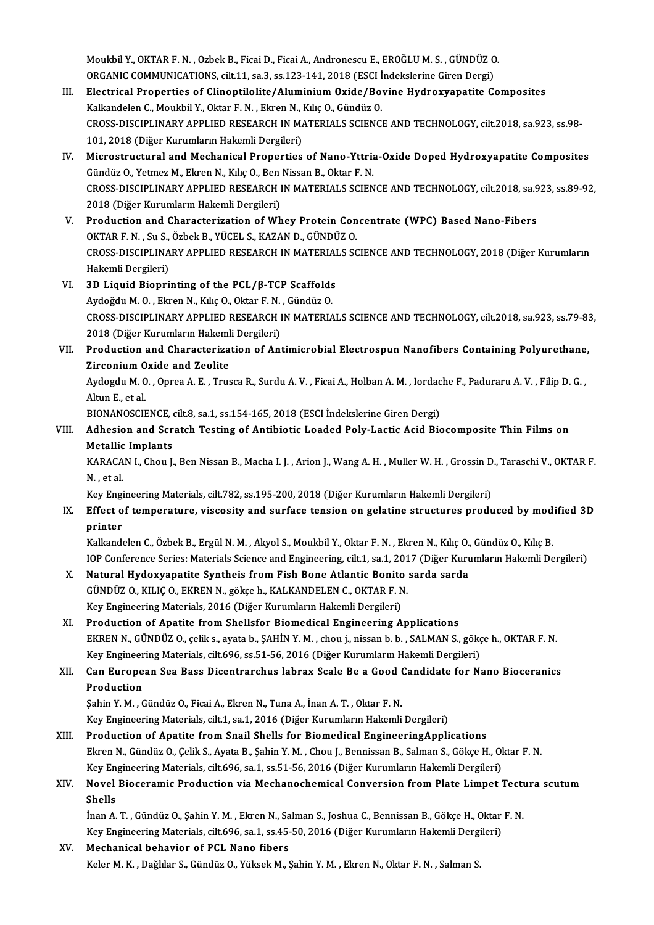Moukbil Y., OKTAR F. N. , Ozbek B., Ficai D., Ficai A., Andronescu E., EROĞLU M. S. , GÜNDÜZ O.<br>ORCANIC COMMINICATIONS, silt 11, sə 3, sə 133, 141, 2019 (ESCI İndekakına Ciran Dergi). Moukbil Y., OKTAR F. N. , Ozbek B., Ficai D., Ficai A., Andronescu E., EROĞLU M. S. , GÜNDÜZ O<br>ORGANIC COMMUNICATIONS, cilt.11, sa.3, ss.123-141, 2018 (ESCI İndekslerine Giren Dergi)<br>Flastniaal Proportias of Clipoptilalite ORGANIC COMMUNICATIONS, cilt.11, sa.3, ss.123-141, 2018 (ESCI Indekslerine Giren Dergi)

- III. Electrical Properties of Clinoptilolite/Aluminium Oxide/Bovine Hydroxyapatite Composites CROSS-DISCIPLINARY APPLIED RESEARCH IN MATERIALS SCIENCE AND TECHNOLOGY, cilt.2018, sa.923, ss.98-<br>101, 2018 (Diğer Kurumların Hakemli Dergileri) Kalkandelen C., Moukbil Y., Oktar F. N., Ekren N., Kılıç O., Gündüz O. CROSS-DISCIPLINARY APPLIED RESEARCH IN MATERIALS SCIENCE AND TECHNOLOGY, cilt.2018, sa.923, ss.98-<br>101, 2018 (Diğer Kurumların Hakemli Dergileri)<br>IV. Microstructural and Mechanical Properties of Nano-Yttria-Oxide Doped Hyd
- 101, 2018 (Diğer Kurumların Hakemli Dergileri)<br>Microstructural and Mechanical Properties of Nano-Yttria<br>Gündüz O., Yetmez M., Ekren N., Kılıç O., Ben Nissan B., Oktar F. N.<br>CPOSS DISCIPLINARY ARRUED RESEARCH IN MATERIALS S Microstructural and Mechanical Properties of Nano-Yttria-Oxide Doped Hydroxyapatite Composites<br>Gündüz O., Yetmez M., Ekren N., Kılıç O., Ben Nissan B., Oktar F. N.<br>CROSS-DISCIPLINARY APPLIED RESEARCH IN MATERIALS SCIENCE A Gündüz O., Yetmez M., Ekren N., Kılıç O., Ben<br>CROSS-DISCIPLINARY APPLIED RESEARCH I<br>2018 (Diğer Kurumların Hakemli Dergileri)<br>Produstion and Charasterisation of Wh CROSS-DISCIPLINARY APPLIED RESEARCH IN MATERIALS SCIENCE AND TECHNOLOGY, cilt.2018, sa.9<br>2018 (Diğer Kurumların Hakemli Dergileri)<br>V. Production and Characterization of Whey Protein Concentrate (WPC) Based Nano-Fibers<br>OKTA
- 2018 (Diğer Kurumların Hakemli Dergileri)<br>Production and Characterization of Whey Protein Con<br>OKTAR F. N. , Su S., Özbek B., YÜCEL S., KAZAN D., GÜNDÜZ O.<br>CPOSS DISCIPLINARY APRLIED RESEARCH IN MATERIALS SC Production and Characterization of Whey Protein Concentrate (WPC) Based Nano-Fibers<br>OKTAR F. N. , Su S., Özbek B., YÜCEL S., KAZAN D., GÜNDÜZ O.<br>CROSS-DISCIPLINARY APPLIED RESEARCH IN MATERIALS SCIENCE AND TECHNOLOGY, 2018 OKTAR F. N. , Su S., Özbek B., YÜCEL S., KAZAN D., GÜNDÜZ O.<br>CROSS-DISCIPLINARY APPLIED RESEARCH IN MATERIALS SCIENCE AND TECHNOLOGY, 2018 (Diğer Kurumların<br>Hakemli Dergileri) CROSS-DISCIPLINARY APPLIED RESEARCH IN MATERIAL<br>Hakemli Dergileri)<br>VI. 3D Liquid Bioprinting of the PCL/β-TCP Scaffolds<br>Audoždu M.O. Flynan N. KikoO. Okton E.N. Cündüz O.
- Hakemli Dergileri)<br>3D Liquid Bioprinting of the PCL/β-TCP Scaffolds<br>Aydoğdu M.O., Ekren N., Kılıç O., Oktar F. N. , Gündüz O.<br>CPOSS DISCIPLINARY APPLIED PESEARCH IN MATERIA 3D Liquid Bioprinting of the PCL/β-TCP Scaffolds<br>Aydoğdu M. O. , Ekren N., Kılıç O., Oktar F. N. , Gündüz O.<br>CROSS-DISCIPLINARY APPLIED RESEARCH IN MATERIALS SCIENCE AND TECHNOLOGY, cilt.2018, sa.923, ss.79-83,<br>2018 (Diže Aydoğdu M. O. , Ekren N., Kılıç O., Oktar F. N.<br>CROSS-DISCIPLINARY APPLIED RESEARCH I<br>2018 (Diğer Kurumların Hakemli Dergileri)<br>Production and Characterisation of Ari CROSS-DISCIPLINARY APPLIED RESEARCH IN MATERIALS SCIENCE AND TECHNOLOGY, cilt.2018, sa.923, ss.79-83<br>2018 (Diğer Kurumların Hakemli Dergileri)<br>VII. Production and Characterization of Antimicrobial Electrospun Nanofibers Co
- 2018 (Diğer Kurumların Hakeml<br>Production and Characteriza<br>Zirconium Oxide and Zeolite<br>Audardu M.O. Opres A.E. Trus Production and Characterization of Antimicrobial Electrospun Nanofibers Containing Polyurethane<br>Zirconium Oxide and Zeolite<br>Aydogdu M. O. , Oprea A. E. , Trusca R., Surdu A. V. , Ficai A., Holban A. M. , Iordache F., Padur

Zirconium Oxide and Zeolite<br>Aydogdu M. O. , Oprea A. E. , Trusca R., Surdu A. V. , Ficai A., Holban A. M. , Iordache F., Paduraru A. V. , Filip D. G. ,<br>Altun E., et al. Aydogdu M. O. , Oprea A. E. , Trusca R., Surdu A. V. , Ficai A., Holban A. M. , Iordac<br>Altun E., et al.<br>BIONANOSCIENCE, cilt.8, sa.1, ss.154-165, 2018 (ESCI İndekslerine Giren Dergi)<br>Adhasian and Saratah Tasting of Antihia

#### VIII. Adhesion and Scratch Testing of Antibiotic Loaded Poly-Lactic Acid Biocomposite Thin Films on<br>Metallic Implants BIONANOSCIENCE, o<br>Adhesion and Scr<br>Metallic Implants<br>KABACAN L Chou L Adhesion and Scratch Testing of Antibiotic Loaded Poly-Lactic Acid Biocomposite Thin Films on<br>Metallic Implants<br>KARACAN I., Chou J., Ben Nissan B., Macha I. J. , Arion J., Wang A. H. , Muller W. H. , Grossin D., Taraschi V

Metallic<br>KARACA<br>N. , et al.<br>Kov Engi KARACAN I., Chou J., Ben Nissan B., Macha I. J. , Arion J., Wang A. H. , Muller W. H. , Grossin D<br>N. , et al.<br>Key Engineering Materials, cilt.782, ss.195-200, 2018 (Diğer Kurumların Hakemli Dergileri)<br>Effect of temperature

### N. , et al.<br>Key Engineering Materials, cilt.782, ss.195-200, 2018 (Diğer Kurumların Hakemli Dergileri)<br>IX. Effect of temperature, viscosity and surface tension on gelatine structures produced by modified 3D<br>nnintor Key Engi<br><mark>Effect o</mark><br>printer<br><sup>Kolkand</sup> Effect of temperature, viscosity and surface tension on gelatine structures produced by mod<br>printer<br>Kalkandelen C., Özbek B., Ergül N. M. , Akyol S., Moukbil Y., Oktar F. N. , Ekren N., Kılıç O., Gündüz O., Kılıç B.<br>JOB Co

printer<br>Kalkandelen C., Özbek B., Ergül N. M. , Akyol S., Moukbil Y., Oktar F. N. , Ekren N., Kılıç O., Gündüz O., Kılıç B.<br>IOP Conference Series: Materials Science and Engineering, cilt.1, sa.1, 2017 (Diğer Kurumların Hak Kalkandelen C., Özbek B., Ergül N. M., Akyol S., Moukbil Y., Oktar F. N., Ekren N., Kılıç O.,<br>IOP Conference Series: Materials Science and Engineering, cilt.1, sa.1, 2017 (Diğer Kuru<br>X. Natural Hydoxyapatite Syntheis from

### IOP Conference Series: Materials Science and Engineering, cilt.1, sa.1, 201<br>Natural Hydoxyapatite Syntheis from Fish Bone Atlantic Bonito<br>GÜNDÜZ O., KILIÇ O., EKREN N., gökçe h., KALKANDELEN C., OKTAR F. N.<br>Kav Engineering X. Natural Hydoxyapatite Syntheis from Fish Bone Atlantic Bonito sarda sarda<br>GÜNDÜZ O., KILIÇ O., EKREN N., gökçe h., KALKANDELEN C., OKTAR F. N.<br>Key Engineering Materials, 2016 (Diğer Kurumların Hakemli Dergileri)

XI. Production of Apatite from Shellsfor Biomedical Engineering Applications EKREN N., GÜNDÜZ O., çelik s., ayata b., ŞAHİN Y. M., chou j., nissan b. b., SALMAN S., gökçe h., OKTAR F. N. Production of Apatite from Shellsfor Biomedical Engineering Applications<br>EKREN N., GÜNDÜZ O., çelik s., ayata b., ŞAHİN Y. M. , chou j., nissan b. b. , SALMAN S., gökç<br>Key Engineering Materials, cilt.696, ss.51-56, 2016 (D

### XII. Can European Sea Bass Dicentrarchus labrax Scale Be a Good Candidate for Nano Bioceranics<br>Production Key Engineer<br>Can Europe<br>Production<br>Sabin Y.M. G

ŞahinY.M. ,GündüzO.,FicaiA.,EkrenN.,TunaA., İnanA.T. ,Oktar F.N.

Key Engineering Materials, cilt.1, sa.1, 2016 (Diğer Kurumların Hakemli Dergileri)

#### XIII. Production of Apatite from Snail Shells for Biomedical EngineeringApplications Key Engineering Materials, cilt.1, sa.1, 2016 (Diğer Kurumların Hakemli Dergileri)<br>Production of Apatite from Snail Shells for Biomedical EngineeringApplications<br>Ekren N., Gündüz O., Çelik S., Ayata B., Şahin Y. M. , Chou Production of Apatite from Snail Shells for Biomedical EngineeringApplications<br>Ekren N., Gündüz O., Çelik S., Ayata B., Şahin Y. M. , Chou J., Bennissan B., Salman S., Gökçe H., O.<br>Key Engineering Materials, cilt.696, sa.1 Key Engineering Materials, cilt.696, sa.1, ss.51-56, 2016 (Diğer Kurumların Hakemli Dergileri)

### XIV. Novel Bioceramic Production via Mechanochemical Conversion from Plate Limpet Tectura scutum<br>Shells Novel Bioceramic Production via Mechanochemical Conversion from Plate Limpet Tect<mark><br>Shells</mark><br>İnan A.T. , Gündüz O., Şahin Y. M. , Ekren N., Salman S., Joshua C., Bennissan B., Gökçe H., Oktar F. N.<br>Kay Engineering Materials,

Shells<br>İnan A. T. , Gündüz O., Şahin Y. M. , Ekren N., Salman S., Joshua C., Bennissan B., Gökçe H., Oktar<br>Key Engineering Materials, cilt.696, sa.1, ss.45-50, 2016 (Diğer Kurumların Hakemli Dergileri)<br>Meshanisal habayiar Key Engineering Materials, cilt.696, sa.1, ss.45-50, 2016 (Diğer Kurumların Hakemli Dergileri) XV. Mechanical behavior of PCL Nano fibers

### Keler M.K., Dağlılar S., Gündüz O., Yüksek M., Şahin Y.M., Ekren N., Oktar F.N., Salman S.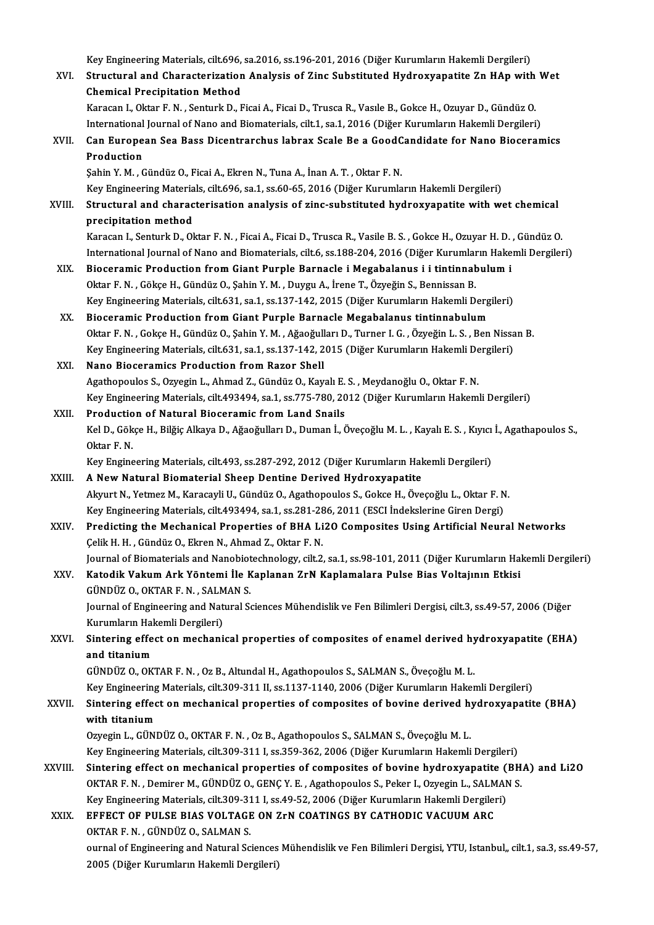Key Engineering Materials, cilt.696, sa.2016, ss.196-201, 2016 (Diğer Kurumların Hakemli Dergileri)<br>Structural and Characterization Analysis of Zins Substituted Hydrowyanatite Zn HAn with

|         | Key Engineering Materials, cilt.696, sa.2016, ss.196-201, 2016 (Diğer Kurumların Hakemli Dergileri)                                                                                             |
|---------|-------------------------------------------------------------------------------------------------------------------------------------------------------------------------------------------------|
| XVI.    | Structural and Characterization Analysis of Zinc Substituted Hydroxyapatite Zn HAp with Wet                                                                                                     |
|         | <b>Chemical Precipitation Method</b>                                                                                                                                                            |
|         | Karacan I., Oktar F. N., Senturk D., Ficai A., Ficai D., Trusca R., Vasıle B., Gokce H., Ozuyar D., Gündüz O.                                                                                   |
|         | International Journal of Nano and Biomaterials, cilt.1, sa.1, 2016 (Diğer Kurumların Hakemli Dergileri)                                                                                         |
| XVII.   | Can European Sea Bass Dicentrarchus labrax Scale Be a GoodCandidate for Nano Bioceramics                                                                                                        |
|         | Production                                                                                                                                                                                      |
|         | Şahin Y. M., Gündüz O., Ficai A., Ekren N., Tuna A., İnan A. T., Oktar F. N.                                                                                                                    |
|         | Key Engineering Materials, cilt.696, sa.1, ss.60-65, 2016 (Diğer Kurumların Hakemli Dergileri)                                                                                                  |
| XVIII.  | Structural and characterisation analysis of zinc-substituted hydroxyapatite with wet chemical                                                                                                   |
|         | precipitation method                                                                                                                                                                            |
|         | Karacan I., Senturk D., Oktar F. N., Ficai A., Ficai D., Trusca R., Vasile B. S., Gokce H., Ozuyar H. D., Gündüz O.                                                                             |
|         | International Journal of Nano and Biomaterials, cilt.6, ss.188-204, 2016 (Diğer Kurumların Hakemli Dergileri)                                                                                   |
| XIX.    | Bioceramic Production from Giant Purple Barnacle i Megabalanus i i tintinnabulum i                                                                                                              |
|         | Oktar F. N., Gökçe H., Gündüz O., Şahin Y. M., Duygu A., İrene T., Özyeğin S., Bennissan B.<br>Key Engineering Materials, cilt.631, sa.1, ss.137-142, 2015 (Diğer Kurumların Hakemli Dergileri) |
| XX.     |                                                                                                                                                                                                 |
|         | Bioceramic Production from Giant Purple Barnacle Megabalanus tintinnabulum<br>Oktar F. N., Gokçe H., Gündüz O., Şahin Y. M., Ağaoğulları D., Turner I. G., Özyeğin L. S., Ben Nissan B.         |
|         | Key Engineering Materials, cilt.631, sa.1, ss.137-142, 2015 (Diğer Kurumların Hakemli Dergileri)                                                                                                |
| XXI.    | Nano Bioceramics Production from Razor Shell                                                                                                                                                    |
|         | Agathopoulos S., Ozyegin L., Ahmad Z., Gündüz O., Kayalı E. S., Meydanoğlu O., Oktar F. N.                                                                                                      |
|         | Key Engineering Materials, cilt.493494, sa.1, ss.775-780, 2012 (Diğer Kurumların Hakemli Dergileri)                                                                                             |
| XXII.   | Production of Natural Bioceramic from Land Snails                                                                                                                                               |
|         | Kel D., Gökçe H., Bilğiç Alkaya D., Ağaoğulları D., Duman İ., Öveçoğlu M. L. , Kayalı E. S. , Kıyıcı İ., Agathapoulos S.,                                                                       |
|         | Oktar F N                                                                                                                                                                                       |
|         | Key Engineering Materials, cilt.493, ss.287-292, 2012 (Diğer Kurumların Hakemli Dergileri)                                                                                                      |
| XXIII.  | A New Natural Biomaterial Sheep Dentine Derived Hydroxyapatite                                                                                                                                  |
|         | Akyurt N., Yetmez M., Karacayli U., Gündüz O., Agathopoulos S., Gokce H., Öveçoğlu L., Oktar F. N.                                                                                              |
|         | Key Engineering Materials, cilt.493494, sa.1, ss.281-286, 2011 (ESCI İndekslerine Giren Dergi)                                                                                                  |
| XXIV.   | Predicting the Mechanical Properties of BHA Li2O Composites Using Artificial Neural Networks                                                                                                    |
|         | Çelik H. H., Gündüz O., Ekren N., Ahmad Z., Oktar F. N.                                                                                                                                         |
|         | Journal of Biomaterials and Nanobiotechnology, cilt.2, sa.1, ss.98-101, 2011 (Diğer Kurumların Hakemli Dergileri)                                                                               |
| XXV.    | Katodik Vakum Ark Yöntemi İle Kaplanan ZrN Kaplamalara Pulse Bias Voltajının Etkisi                                                                                                             |
|         | GÜNDÜZ O., OKTAR F. N., SALMAN S.                                                                                                                                                               |
|         | Journal of Engineering and Natural Sciences Mühendislik ve Fen Bilimleri Dergisi, cilt.3, ss.49-57, 2006 (Diğer                                                                                 |
|         | Kurumların Hakemli Dergileri)                                                                                                                                                                   |
| XXVI.   | Sintering effect on mechanical properties of composites of enamel derived hydroxyapatite (EHA)                                                                                                  |
|         | and titanium                                                                                                                                                                                    |
|         | GÜNDÜZ O., OKTAR F. N., Oz B., Altundal H., Agathopoulos S., SALMAN S., Öveçoğlu M. L.                                                                                                          |
|         | Key Engineering Materials, cilt.309-311 II, ss.1137-1140, 2006 (Diğer Kurumların Hakemli Dergileri)                                                                                             |
| XXVII.  | Sintering effect on mechanical properties of composites of bovine derived hydroxyapatite (BHA)                                                                                                  |
|         | with titanium                                                                                                                                                                                   |
|         | Ozyegin L., GÜNDÜZ O., OKTAR F. N., Oz B., Agathopoulos S., SALMAN S., Öveçoğlu M. L.                                                                                                           |
|         | Key Engineering Materials, cilt.309-311 I, ss.359-362, 2006 (Diğer Kurumların Hakemli Dergileri)                                                                                                |
| XXVIII. | Sintering effect on mechanical properties of composites of bovine hydroxyapatite (BHA) and Li2O                                                                                                 |
|         | OKTAR F. N., Demirer M., GÜNDÜZ O., GENÇ Y. E., Agathopoulos S., Peker I., Ozyegin L., SALMAN S.                                                                                                |
|         | Key Engineering Materials, cilt.309-311 I, ss.49-52, 2006 (Diğer Kurumların Hakemli Dergileri)                                                                                                  |
| XXIX.   | EFFECT OF PULSE BIAS VOLTAGE ON ZrN COATINGS BY CATHODIC VACUUM ARC                                                                                                                             |
|         | OKTAR F. N., GÜNDÜZ O., SALMAN S.                                                                                                                                                               |
|         | ournal of Engineering and Natural Sciences Mühendislik ve Fen Bilimleri Dergisi, YTU, Istanbul,, cilt.1, sa.3, ss.49-57,                                                                        |
|         | 2005 (Diğer Kurumların Hakemli Dergileri)                                                                                                                                                       |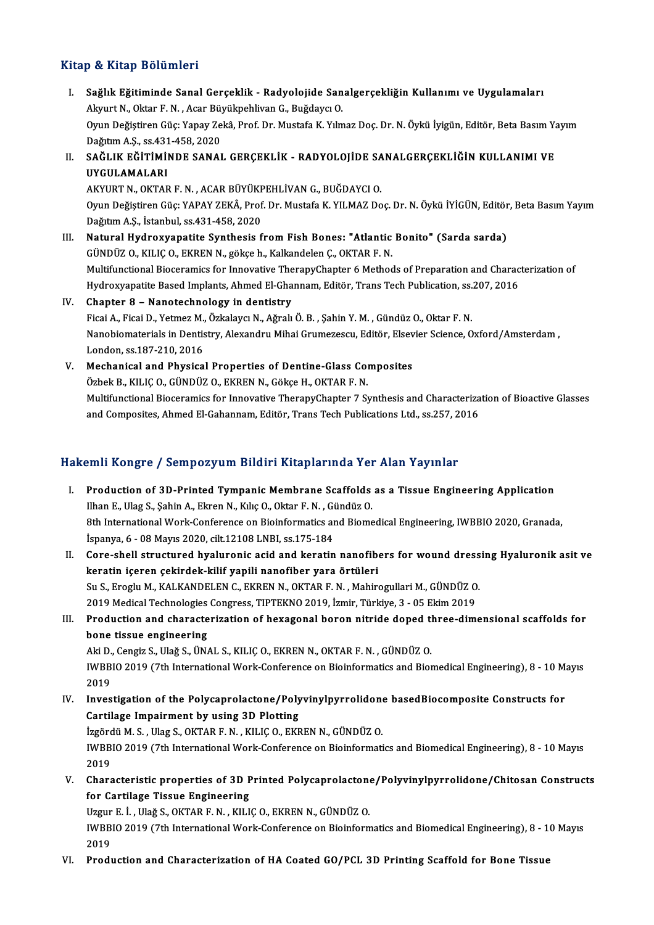#### Kitap & Kitap Bölümleri

İtap & Kitap Bölümleri<br>I. Sağlık Eğitiminde Sanal Gerçeklik - Radyolojide Sanalgerçekliğin Kullanımı ve Uygulamaları<br>Alpurt N. Oktar E.N. Asar Büyülmebliyen C. Buğdaya O p & III (Brotamici)<br>Sağlık Eğitiminde Sanal Gerçeklik - Radyolojide San<br>Akyurt N., Oktar F. N. , Acar Büyükpehlivan G., Buğdaycı O.<br>Orun Değistiren Güs: Yanev Zeltê, Bref. Dr. Mustafa K. Yılm Sağlık Eğitiminde Sanal Gerçeklik - Radyolojide Sanalgerçekliğin Kullanımı ve Uygulamaları<br>Akyurt N., Oktar F. N. , Acar Büyükpehlivan G., Buğdaycı O.<br>Oyun Değiştiren Güç: Yapay Zekâ, Prof. Dr. Mustafa K. Yılmaz Doç. Dr. N Akyurt N., Oktar F. N. , Acar Büy<br>Oyun Değiştiren Güç: Yapay Ze<br>Dağıtım A.Ş., ss.431-458, 2020<br>SAĞLIK FĞİTİMİNDE SANAL Oyun Değiştiren Güç: Yapay Zekâ, Prof. Dr. Mustafa K. Yılmaz Doç. Dr. N. Öykü İyigün, Editör, Beta Basım Ya<br>Dağıtım A.Ş., ss.431-458, 2020<br>II. SAĞLIK EĞİTİMİNDE SANAL GERÇEKLİK - RADYOLOJİDE SANALGERÇEKLİĞİN KULLANIMI Dağıtım A.Ş., ss.431<br>SAĞLIK EĞİTİMİ!<br>UYGULAMALARI<br>AKVUPT N. OKTAR SAĞLIK EĞİTİMİNDE SANAL GERÇEKLİK - RADYOLOJİDE SA<br>UYGULAMALARI<br>AKYURT N., OKTAR F. N. , ACAR BÜYÜKPEHLİVAN G., BUĞDAYCI O.<br>Onun Doğistinen Cüsu YARAY ZEKÂ, Bref. Dr. Mustafa K. XII MAZ Da

UYGULAMALARI<br>AKYURT N., OKTAR F. N. , ACAR BÜYÜKPEHLİVAN G., BUĞDAYCI O.<br>Oyun Değiştiren Güç: YAPAY ZEKÂ, Prof. Dr. Mustafa K. YILMAZ Doç. Dr. N. Öykü İYİGÜN, Editör, Beta Basım Yayım DağıtımA.Ş., İstanbul, ss.431-458,2020

- III. Natural Hydroxyapatite Synthesis from Fish Bones: "Atlantic Bonito" (Sarda sarda) GÜNDÜZ O., KILIÇ O., EKREN N., gökçe h., Kalkandelen Ç., OKTAR F. N. Natural Hydroxyapatite Synthesis from Fish Bones: "Atlantic Bonito" (Sarda sarda)<br>GÜNDÜZ O., KILIÇ O., EKREN N., gökçe h., Kalkandelen Ç., OKTAR F. N.<br>Multifunctional Bioceramics for Innovative TherapyChapter 6 Methods of GÜNDÜZ O., KILIÇ O., EKREN N., gökçe h., Kalkandelen Ç., OKTAR F. N.<br>Multifunctional Bioceramics for Innovative TherapyChapter 6 Methods of Preparation and Charac<br>Hydroxyapatite Based Implants, Ahmed El-Ghannam, Editör, Tr Multifunctional Bioceramics for Innovative The<br>Hydroxyapatite Based Implants, Ahmed El-Gha<br>IV. Chapter 8 – Nanotechnology in dentistry<br>Eisei A. Fisei D. Yetmer M. Örkelaver N. Ağralı
- Hydroxyapatite Based Implants, Ahmed El-Ghannam, Editör, Trans Tech Publication, ss.<br>Chapter 8 Nanotechnology in dentistry<br>Ficai A., Ficai D., Yetmez M., Özkalaycı N., Ağralı Ö. B. , Şahin Y. M. , Gündüz O., Oktar F. N.<br> IV. Chapter 8 – Nanotechnology in dentistry<br>Ficai A., Ficai D., Yetmez M., Özkalaycı N., Ağralı Ö. B., Şahin Y. M., Gündüz O., Oktar F. N.<br>Nanobiomaterials in Dentistry, Alexandru Mihai Grumezescu, Editör, Elsevier Science Ficai A., Ficai D., Yetmez M.,<br>Nanobiomaterials in Dentis<br>London, ss.187-210, 2016<br>Mechanical and Physica Nanobiomaterials in Dentistry, Alexandru Mihai Grumezescu, Editör, Elsev<br>London, ss.187-210, 2016<br>V. Mechanical and Physical Properties of Dentine-Glass Composites<br>Örbel: B. KU ICO, CÜNDÜZ O, EKREN N. CÖLECH, OKTAR E. N.
- London, ss.187-210, 2016<br>Mechanical and Physical Properties of Dentine-Glass Com<br>Özbek B., KILIÇ O., GÜNDÜZ O., EKREN N., Gökçe H., OKTAR F. N.<br>Multifungtional Biogeramics for Innevative TherepuChenter 7 S. Özbek B., KILIÇ O., GÜNDÜZ O., EKREN N., Gökçe H., OKTAR F. N.<br>Multifunctional Bioceramics for Innovative TherapyChapter 7 Synthesis and Characterization of Bioactive Glasses and Composites, Ahmed El-Gahannam, Editör, Trans Tech Publications Ltd., ss.257, 2016

#### Hakemli Kongre / Sempozyum Bildiri Kitaplarında Yer Alan Yayınlar

- akemli Kongre / Sempozyum Bildiri Kitaplarında Yer Alan Yayınlar<br>I. Production of 3D-Printed Tympanic Membrane Scaffolds as a Tissue Engineering Application<br>Ilhan E. Was Sobin A. Elman N. Kılıs O. Oktar E. N. Gündüz O. Ilhan Ilhang S., Somponyam Diam Ilhang Ilhan Ilhan<br>Production of 3D-Printed Tympanic Membrane Scaffolds<br>Ilhan E., Ulag S., Şahin A., Ekren N., Kılıç O., Oktar F. N. , Gündüz O.<br>9th International Werk Conference on Bioinfer Production of 3D-Printed Tympanic Membrane Scaffolds as a Tissue Engineering Application<br>Ilhan E., Ulag S., Şahin A., Ekren N., Kılıç O., Oktar F. N. , Gündüz O.<br>8th International Work-Conference on Bioinformatics and Biom Ilhan E., Ulag S., Şahin A., Ekren N., Kılıç O., Oktar F. N. , Gi<br>8th International Work-Conference on Bioinformatics an<br>İspanya, 6 - 08 Mayıs 2020, cilt.12108 LNBI, ss.175-184<br>Care shall structured byelurenis asid and kar Ispanya, 6 - 08 Mayıs 2020, cilt.12108 LNBI, ss.175-184<br>II. Core-shell structured hyaluronic acid and keratin nanofibers for wound dressing Hyaluronik asit ve
- keratin içeren çekirdek-kilif yapili nanofiber yara örtüleri Core-shell structured hyaluronic acid and keratin nanofibers for wound dress<br>keratin içeren çekirdek-kilif yapili nanofiber yara örtüleri<br>Su S., Eroglu M., KALKANDELEN C., EKREN N., OKTAR F. N. , Mahirogullari M., GÜNDÜZ O keratin içeren çekirdek-kilif yapili nanofiber yara örtüleri<br>Su S., Eroglu M., KALKANDELEN C., EKREN N., OKTAR F. N. , Mahirogullari M., GÜNDÜZ O<br>2019 Medical Technologies Congress, TIPTEKNO 2019, İzmir, Türkiye, 3 - 05 Ek Su S., Eroglu M., KALKANDELEN C., EKREN N., OKTAR F. N. , Mahirogullari M., GÜNDÜZ O.<br>2019 Medical Technologies Congress, TIPTEKNO 2019, İzmir, Türkiye, 3 - 05 Ekim 2019<br>III. Production and characterization of hexagonal bo
- 2019 Medical Technologies<br>Production and characte<br>bone tissue engineering<br>Ali D. Congin S. Uloğ S. ÜNA Production and characterization of hexagonal boron nitride doped th<br>bone tissue engineering<br>Aki D., Cengiz S., Ulağ S., ÜNAL S., KILIÇ O., EKREN N., OKTAR F. N. , GÜNDÜZ O.<br>IWPPIO 2019 (7th International Wark Conference on

bone tissue engineering<br>Aki D., Cengiz S., Ulağ S., ÜNAL S., KILIÇ O., EKREN N., OKTAR F. N. , GÜNDÜZ O.<br>IWBBIO 2019 (7th International Work-Conference on Bioinformatics and Biomedical Engineering), 8 - 10 Mayıs<br>2019 Aki D<br>IWBB<br>2019<br>Invec IWBBIO 2019 (7th International Work-Conference on Bioinformatics and Biomedical Engineering), 8 - 10 M.<br>2019<br>IV. Investigation of the Polycaprolactone/Polyvinylpyrrolidone basedBiocomposite Constructs for<br>Contileze Impoinm

2019<br>Investigation of the Polycaprolactone/Poly<br>Cartilage Impairment by using 3D Plotting IV. Investigation of the Polycaprolactone/Polyvinylpyrrolidone basedBiocomposite Constructs for

IWBBIO 2019 (7th International Work-Conference on Bioinformatics and Biomedical Engineering), 8 - 10 Mayıs<br>2019 İzgördü M. S., Ulag S., OKTAR F. N., KILIÇ O., EKREN N., GÜNDÜZ O. IWBBIO 2019 (7th International Work-Conference on Bioinformatics and Biomedical Engineering), 8 - 10 Mayıs<br>2019<br>V. Characteristic properties of 3D Printed Polycaprolactone/Polyvinylpyrrolidone/Chitosan Constructs<br>for Conti

2019<br>Characteristic properties of 3D P<br>for Cartilage Tissue Engineering<br>Uggur E.J. Ulağ S. OKTAB E.N., KU L

for Cartilage Tissue Engineering<br>Uzgur E. İ. , Ulağ S., OKTAR F. N. , KILIÇ O., EKREN N., GÜNDÜZ O.

for Cartilage Tissue Engineering<br>Uzgur E. İ. , Ulağ S., OKTAR F. N. , KILIÇ O., EKREN N., GÜNDÜZ O.<br>IWBBIO 2019 (7th International Work-Conference on Bioinformatics and Biomedical Engineering), 8 - 10 Mayıs<br>2019 Uzgur<br>IWBB<br>2019<br>Pred: IWBBIO 2019 (7th International Work-Conference on Bioinformatics and Biomedical Engineering), 8 - 1<br>2019<br>VI. Production and Characterization of HA Coated GO/PCL 3D Printing Scaffold for Bone Tissue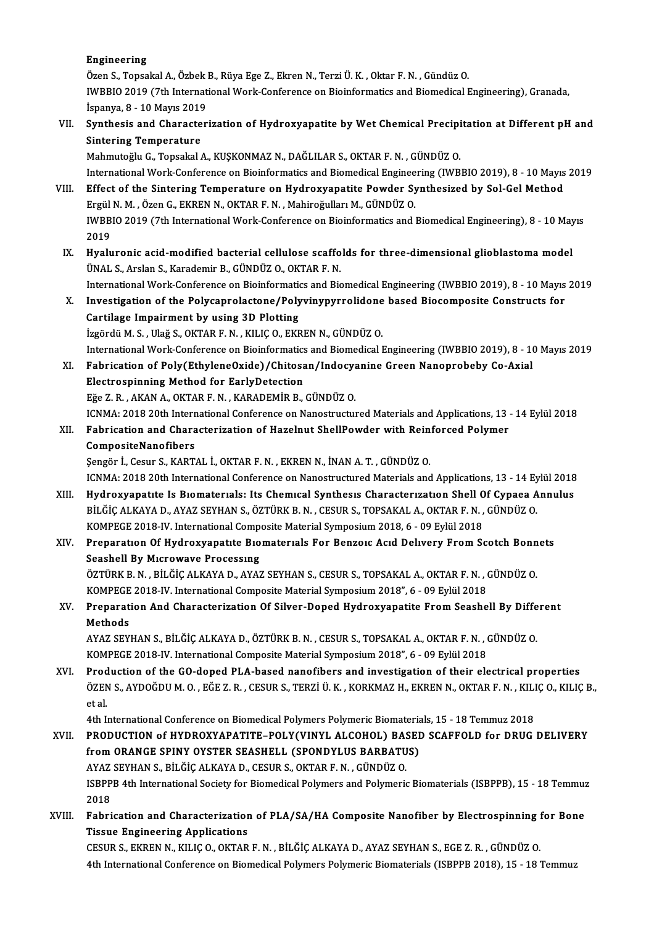#### Engineering

E<mark>ngineering</mark><br>Özen S., Topsakal A., Özbek B., Rüya Ege Z., Ekren N., Terzi Ü. K. , Oktar F. N. , Gündüz O.<br>WRRHO 2019 (7th International Work Conference on Pieinformatics and Piemodical I IWBBIO 2019 (7th International Work-Conference on Bioinformatics and Biomedical Engineering), Granada, İspanya, 8 - 10 Mayıs 2019 Özen S., Topsakal A., Özbek<br>IWBBIO 2019 (7th Internat<br>İspanya, 8 - 10 Mayıs 2019<br>Sunthesis and Chanastar IWBBIO 2019 (7th International Work-Conference on Bioinformatics and Biomedical Engineering), Granada,<br>İspanya, 8 - 10 Mayıs 2019<br>VII. Synthesis and Characterization of Hydroxyapatite by Wet Chemical Precipitation at Diffe

İspanya, 8 - 10 Mayıs 2019<br>Synthesis and Characte<br>Sintering Temperature<br>Mahmutoğlu C. Tensakal Synthesis and Characterization of Hydroxyapatite by Wet Chemical Precipi<br>Sintering Temperature<br>Mahmutoğlu G., Topsakal A., KUŞKONMAZ N., DAĞLILAR S., OKTAR F. N. , GÜNDÜZ O.<br>International Werk Conference en Bioinfermatics

Sintering Temperature<br>Mahmutoğlu G., Topsakal A., KUŞKONMAZ N., DAĞLILAR S., OKTAR F. N. , GÜNDÜZ O.<br>International Work-Conference on Bioinformatics and Biomedical Engineering (IWBBIO 2019), 8 - 10 Mayıs 2019 Mahmutoğlu G., Topsakal A., KUŞKONMAZ N., DAĞLILAR S., OKTAR F. N. , GÜNDÜZ O.<br>International Work-Conference on Bioinformatics and Biomedical Engineering (IWBBIO 2019), 8 - 10 Mayıs<br>VIII. Effect of the Sintering Temperatur International Work-Conference on Bioinformatics and Biomedical Enginee<br>Effect of the Sintering Temperature on Hydroxyapatite Powder Sy<br>Ergül N. M., Özen G., EKREN N., OKTAR F. N., Mahiroğulları M., GÜNDÜZ O.<br>WPPLO 2019 (7t

Effect of the Sintering Temperature on Hydroxyapatite Powder Synthesized by Sol-Gel Method<br>Ergül N. M. , Özen G., EKREN N., OKTAR F. N. , Mahiroğulları M., GÜNDÜZ O.<br>IWBBIO 2019 (7th International Work-Conference on Bioinf Ergül N. M. , Özen G., EKREN N., OKTAR F. N. , Mahiroğulları M., GÜNDÜZ O.<br>IWBBIO 2019 (7th International Work-Conference on Bioinformatics and Biomedical Engineering), 8 - 10 Mayıs<br>2019 IWBBIO 2019 (7th International Work-Conference on Bioinformatics and Biomedical Engineering), 8 - 10 May<br>2019<br>IX. Hyaluronic acid-modified bacterial cellulose scaffolds for three-dimensional glioblastoma model<br><sup>TIMAL S</sup>. A

2019<br><mark>Hyaluronic acid-modified bacterial cellulose scaffo</mark><br>ÜNAL S., Arslan S., Karademir B., GÜNDÜZ O., OKTAR F. N.<br>International Work Conference on Bioinfermatics and Bio Hyaluronic acid-modified bacterial cellulose scaffolds for three-dimensional glioblastoma model<br>ÜNAL S., Arslan S., Karademir B., GÜNDÜZ O., OKTAR F. N.<br>International Work-Conference on Bioinformatics and Biomedical Engine

UNAL S., Arslan S., Karademir B., GUNDUZ O., OKTAR F. N.<br>International Work-Conference on Bioinformatics and Biomedical Engineering (IWBBIO 2019), 8 - 10 Mayıs<br>X. Investigation of the Polycaprolactone/Polyvinypyrrolidone b International Work-Conference on Bioinformation<br>Investigation of the Polycaprolactone/Poly<br>Cartilage Impairment by using 3D Plotting<br>Issaed: M.S. Hež S. OKTAB E.N., KH C.O. EKE X. Investigation of the Polycaprolactone/Polyvinypyrrolidone based Biocomposite Constructs for<br>Cartilage Impairment by using 3D Plotting<br>İzgördü M.S., Ulağ S., OKTAR F.N., KILIÇ O., EKREN N., GÜNDÜZ O.

Cartilage Impairment by using 3D Plotting<br>İzgördü M. S. , Ulağ S., OKTAR F. N. , KILIÇ O., EKREN N., GÜNDÜZ O.<br>International Work-Conference on Bioinformatics and Biomedical Engineering (IWBBIO 2019), 8 - 10 Mayıs 2019<br>Feb İzgördü M. S. , Ulağ S., OKTAR F. N. , KILIÇ O., EKREN N., GÜNDÜZ O.<br>International Work-Conference on Bioinformatics and Biomedical Engineering (IWBBIO 2019), 8 - 10<br>XI. Fabrication of Poly(EthyleneOxide)/Chitosan/Indocyan

- International Work-Conference on Bioinformatics<br>Fabrication of Poly(EthyleneOxide)/Chitosa<br>Electrospinning Method for EarlyDetection<br>Fĕe 7 P AKAN A OKTAR E N KARADEMIR R Fabrication of Poly(EthyleneOxide)/Chitosan/Indocy<br>Electrospinning Method for EarlyDetection<br>Eğe Z.R., AKAN A., OKTAR F.N., KARADEMİR B., GÜNDÜZ O.<br>ICNMA: 2019 20th International Conference on Nanostructu Electrospinning Method for EarlyDetection<br>Eğe Z. R. , AKAN A., OKTAR F. N. , KARADEMİR B., GÜNDÜZ O.<br>ICNMA: 2018 20th International Conference on Nanostructured Materials and Applications, 13 - 14 Eylül 2018<br>Eskrigation an Eğe Z. R. , AKAN A., OKTAR F. N. , KARADEMİR B., GÜNDÜZ O.<br>ICNMA: 2018 20th International Conference on Nanostructured Materials and Applications, 13<br>XII. Fabrication and Characterization of Hazelnut ShellPowder with Reinf
- ICNMA: 2018 20th Intern<br>Fabrication and Chara<br>CompositeNanofibers<br>Sengër <sup>I</sup>. Cesur S. KAPT Fabrication and Characterization of Hazelnut ShellPowder with Rein<br>CompositeNanofibers<br>Şengör İ., Cesur S., KARTAL İ., OKTAR F. N. , EKREN N., İNAN A. T. , GÜNDÜZ O.<br>ICNMA: 2019 20th International Conference on Nanostrustu

CompositeNanofibers<br>Sengör İ., Cesur S., KARTAL İ., OKTAR F. N. , EKREN N., İNAN A. T. , GÜNDÜZ O.<br>ICNMA: 2018 20th International Conference on Nanostructured Materials and Applications, 13 - 14 Eylül 2018

- XIII. Hydroxyapatıte Is Biomaterials: Its Chemical Synthesis Characterization Shell Of Cypaea Annulus ICNMA: 2018 20th International Conference on Nanostructured Materials and Applications, 13 - 14 Ey<br>Hydroxyapatite Is Biomaterials: Its Chemical Synthesis Characterization Shell Of Cypaea A<br>BİLĞİÇ ALKAYA D., AYAZ SEYHAN S., Hydroxyapatıte Is Bıomaterials: Its Chemical Synthesis Characterization Shell O<br>BİLĞİÇ ALKAYA D., AYAZ SEYHAN S., ÖZTÜRK B. N. , CESUR S., TOPSAKAL A., OKTAR F. N. ,<br>KOMPEGE 2018-IV. International Composite Material Sympos BİLĞİÇ ALKAYA D., AYAZ SEYHAN S., ÖZTÜRK B. N. , CESUR S., TOPSAKAL A., OKTAR F. N. , GÜNDÜZ O.<br>KOMPEGE 2018-IV. International Composite Material Symposium 2018, 6 - 09 Eylül 2018<br>XIV. Preparation Of Hydroxyapatite Bio
- KOMPEGE 2018-IV. International Composite Material Symposium 2018, 6 09 Eylül 2018<br>Preparation Of Hydroxyapatite Biomaterials For Benzoic Acid Delivery From Scotch Bonnets<br>Seashell By Microwave Processing Preparation Of Hydroxyapatite Biomaterials For Benzoic Acid Delivery From Scotch Bonn<br>Seashell By Microwave Processing<br>ÖZTÜRK B.N. , BİLĞİÇ ALKAYA D., AYAZ SEYHAN S., CESUR S., TOPSAKAL A., OKTAR F.N. , GÜNDÜZ O.<br>KOMBECE 2

Seashell By Microwave Processing<br>ÖZTÜRK B. N. , BİLĞİÇ ALKAYA D., AYAZ SEYHAN S., CESUR S., TOPSAKAL A., OKTAR F. N. , (<br>KOMPEGE 2018-IV. International Composite Material Symposium 2018", 6 - 09 Eylül 2018<br>Preperation And ÖZTÜRK B. N. , BİLĞİÇ ALKAYA D., AYAZ SEYHAN S., CESUR S., TOPSAKAL A., OKTAR F. N. , GÜNDÜZ O.<br>KOMPEGE 2018-IV. International Composite Material Symposium 2018", 6 - 09 Eylül 2018<br>XV. Preparation And Characterization

## KOMPEGE<br>Preparat<br>Methods<br>AVAZ SEV Preparation And Characterization Of Silver-Doped Hydroxyapatite From Seashell By Diffe<br>Methods<br>AYAZ SEYHAN S., BİLĞİÇ ALKAYA D., ÖZTÜRK B. N. , CESUR S., TOPSAKAL A., OKTAR F. N. , GÜNDÜZ O.<br>KOMBECE 2019 IV. International

Methods<br>AYAZ SEYHAN S., BİLĞİÇ ALKAYA D., ÖZTÜRK B. N. , CESUR S., TOPSAKAL A., OKTAR F. N. , GÜNDÜZ O.<br>KOMPEGE 2018-IV. International Composite Material Symposium 2018", 6 - 09 Eylül 2018 AYAZ SEYHAN S., BİLĞİÇ ALKAYA D., ÖZTÜRK B. N. , CESUR S., TOPSAKAL A., OKTAR F. N. , GÜNDÜZ O.<br>KOMPEGE 2018-IV. International Composite Material Symposium 2018", 6 - 09 Eylül 2018<br>XVI. Production of the GO-doped PLA-based

KOMPEGE 2018-IV. International Composite Material Symposium 2018", 6 - 09 Eylül 2018<br>Production of the GO-doped PLA-based nanofibers and investigation of their electrical properties<br>ÖZEN S., AYDOĞDU M. O. , EĞE Z. R. , CES Prod<br>ÖZEN<br>et al.<br>4th L ÖZEN S., AYDOĞDU M. O. , EĞE Z. R. , CESUR S., TERZİ Ü. K. , KORKMAZ H., EKREN N., OKTAR F. N. , KILI<br>et al.<br>4th International Conference on Biomedical Polymers Polymeric Biomaterials, 15 - 18 Temmuz 2018<br>PRODUCTION of HYD

- et al.<br>4th International Conference on Biomedical Polymers Polymeric Biomaterials, 15 18 Temmuz 2018<br>XVII. PRODUCTION of HYDROXYAPATITE–POLY(VINYL ALCOHOL) BASED SCAFFOLD for DRUG DELIVERY<br>from OBANCE SPINY OVSTER SEASUE 4th International Conference on Biomedical Polymers Polymeric Biomateria<br>PRODUCTION of HYDROXYAPATITE–POLY(VINYL ALCOHOL) BASEI<br>from ORANGE SPINY OYSTER SEASHELL (SPONDYLUS BARBATUS)<br>AXAZ SEXHAN S. PU ČÍC ALKAYA D. CESUR S PRODUCTION 0f HYDROXYAPATITE–POLY(VINYL ALCOHOL) BAS<br>from ORANGE SPINY OYSTER SEASHELL (SPONDYLUS BARBATU<br>AYAZ SEYHAN S., BİLĞİÇ ALKAYA D., CESUR S., OKTAR F. N. , GÜNDÜZ O.<br>ISPPPP 4th International Seciety for Biomedical from ORANGE SPINY OYSTER SEASHELL (SPONDYLUS BARBATUS)<br>AYAZ SEYHAN S., BİLĞİÇ ALKAYA D., CESUR S., OKTAR F. N. , GÜNDÜZ O.<br>ISBPPB 4th International Society for Biomedical Polymers and Polymeric Biomaterials (ISBPPB), 15 - AYAZ<br>ISBPP<br>2018<br>Echri ISBPPB 4th International Society for Biomedical Polymers and Polymeric Biomaterials (ISBPPB), 15 - 18 Temmuz<br>2018<br>XVIII. Fabrication and Characterization of PLA/SA/HA Composite Nanofiber by Electrospinning for Bone
- 2018<br>Fabrication and Characterization<br>Tissue Engineering Applications<br>CESUP S. EVPEN N. VU IC O. OVTAP Fabrication and Characterization of PLA/SA/HA Composite Nanofiber by Electrospinning !<br>Tissue Engineering Applications<br>CESUR S., EKREN N., KILIÇ O., OKTAR F. N. , BİLĞİÇ ALKAYA D., AYAZ SEYHAN S., EGE Z. R. , GÜNDÜZ O.<br>4th

Tissue Engineering Applications<br>CESUR S., EKREN N., KILIÇ O., OKTAR F. N. , BİLĞİÇ ALKAYA D., AYAZ SEYHAN S., EGE Z. R. , GÜNDÜZ O.<br>4th International Conference on Biomedical Polymers Polymeric Biomaterials (ISBPPB 2018),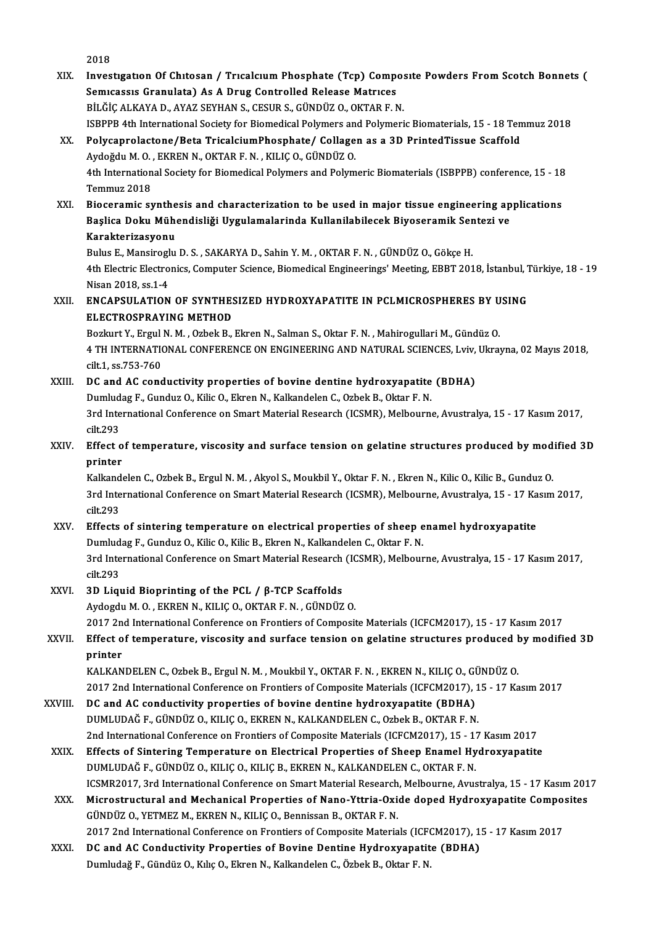|         | 2018                                                                                                                                            |
|---------|-------------------------------------------------------------------------------------------------------------------------------------------------|
| XIX.    | Investigation Of Chitosan / Tricalcium Phosphate (Tcp) Composite Powders From Scotch Bonnets (                                                  |
|         | Semicassis Granulata) As A Drug Controlled Release Matrices                                                                                     |
|         | BİLĞİÇ ALKAYA D., AYAZ SEYHAN S., CESUR S., GÜNDÜZ O., OKTAR F. N.                                                                              |
|         | ISBPPB 4th International Society for Biomedical Polymers and Polymeric Biomaterials, 15 - 18 Temmuz 2018                                        |
| XX.     | Polycaprolactone/Beta TricalciumPhosphate/ Collagen as a 3D PrintedTissue Scaffold<br>Aydoğdu M. O., EKREN N., OKTAR F. N., KILIÇ O., GÜNDÜZ O. |
|         | 4th International Society for Biomedical Polymers and Polymeric Biomaterials (ISBPPB) conference, 15 - 18                                       |
|         | Temmuz 2018                                                                                                                                     |
| XXI.    | Bioceramic synthesis and characterization to be used in major tissue engineering applications                                                   |
|         | Başlica Doku Mühendisliği Uygulamalarinda Kullanilabilecek Biyoseramik Sentezi ve                                                               |
|         | Karakterizasyonu                                                                                                                                |
|         | Bulus E., Mansiroglu D. S., SAKARYA D., Sahin Y. M., OKTAR F. N., GÜNDÜZ O., Gökçe H.                                                           |
|         | 4th Electric Electronics, Computer Science, Biomedical Engineerings' Meeting, EBBT 2018, İstanbul, Türkiye, 18 - 19                             |
|         | Nisan 2018, ss 1-4                                                                                                                              |
| XXII.   | ENCAPSULATION OF SYNTHESIZED HYDROXYAPATITE IN PCLMICROSPHERES BY USING                                                                         |
|         | <b>ELECTROSPRAYING METHOD</b>                                                                                                                   |
|         | Bozkurt Y., Ergul N. M., Ozbek B., Ekren N., Salman S., Oktar F. N., Mahirogullari M., Gündüz O.                                                |
|         | 4 TH INTERNATIONAL CONFERENCE ON ENGINEERING AND NATURAL SCIENCES, Lviv, Ukrayna, 02 Mayıs 2018,                                                |
|         | cilt 1, ss 753-760                                                                                                                              |
| XXIII.  | DC and AC conductivity properties of bovine dentine hydroxyapatite (BDHA)                                                                       |
|         | Dumludag F., Gunduz O., Kilic O., Ekren N., Kalkandelen C., Ozbek B., Oktar F. N.                                                               |
|         | 3rd International Conference on Smart Material Research (ICSMR), Melbourne, Avustralya, 15 - 17 Kasım 2017,                                     |
|         | cilt 293                                                                                                                                        |
| XXIV.   | Effect of temperature, viscosity and surface tension on gelatine structures produced by modified 3D                                             |
|         | printer                                                                                                                                         |
|         | Kalkandelen C., Ozbek B., Ergul N. M., Akyol S., Moukbil Y., Oktar F. N., Ekren N., Kilic O., Kilic B., Gunduz O.                               |
|         | 3rd International Conference on Smart Material Research (ICSMR), Melbourne, Avustralya, 15 - 17 Kasım 2017,                                     |
|         | cilt 293                                                                                                                                        |
| XXV.    | Effects of sintering temperature on electrical properties of sheep enamel hydroxyapatite                                                        |
|         | Dumludag F., Gunduz O., Kilic O., Kilic B., Ekren N., Kalkandelen C., Oktar F. N.                                                               |
|         | 3rd International Conference on Smart Material Research (ICSMR), Melbourne, Avustralya, 15 - 17 Kasım 2017,                                     |
|         | cilt 293                                                                                                                                        |
| XXVI.   | 3D Liquid Bioprinting of the PCL / $\beta$ -TCP Scaffolds<br>Aydogdu M. O., EKREN N., KILIÇ O., OKTAR F. N., GÜNDÜZ O.                          |
|         | 2017 2nd International Conference on Frontiers of Composite Materials (ICFCM2017), 15 - 17 Kasım 2017                                           |
| XXVII.  | Effect of temperature, viscosity and surface tension on gelatine structures produced by modified 3D                                             |
|         | printer                                                                                                                                         |
|         | KALKANDELEN C., Ozbek B., Ergul N. M., Moukbil Y., OKTAR F. N., EKREN N., KILIC O., GÜNDÜZ O.                                                   |
|         | 2017 2nd International Conference on Frontiers of Composite Materials (ICFCM2017), 15 - 17 Kasım 2017                                           |
| XXVIII. | DC and AC conductivity properties of bovine dentine hydroxyapatite (BDHA)                                                                       |
|         | DUMLUDAĞ F., GÜNDÜZ O., KILIÇ O., EKREN N., KALKANDELEN C., Ozbek B., OKTAR F. N.                                                               |
|         | 2nd International Conference on Frontiers of Composite Materials (ICFCM2017), 15 - 17 Kasım 2017                                                |
| XXIX.   | Effects of Sintering Temperature on Electrical Properties of Sheep Enamel Hydroxyapatite                                                        |
|         | DUMLUDAĞ F., GÜNDÜZ O., KILIÇ O., KILIÇ B., EKREN N., KALKANDELEN C., OKTAR F. N.                                                               |
|         | ICSMR2017, 3rd International Conference on Smart Material Research, Melbourne, Avustralya, 15 - 17 Kasım 2017                                   |
| XXX.    | Microstructural and Mechanical Properties of Nano-Yttria-Oxide doped Hydroxyapatite Composites                                                  |
|         | GÜNDÜZ O., YETMEZ M., EKREN N., KILIÇ O., Bennissan B., OKTAR F. N.                                                                             |
|         | 2017 2nd International Conference on Frontiers of Composite Materials (ICFCM2017), 15 - 17 Kasım 2017                                           |
| XXXI.   | DC and AC Conductivity Properties of Bovine Dentine Hydroxyapatite (BDHA)                                                                       |
|         | Dumludağ F., Gündüz O., Kılıç O., Ekren N., Kalkandelen C., Özbek B., Oktar F. N.                                                               |
|         |                                                                                                                                                 |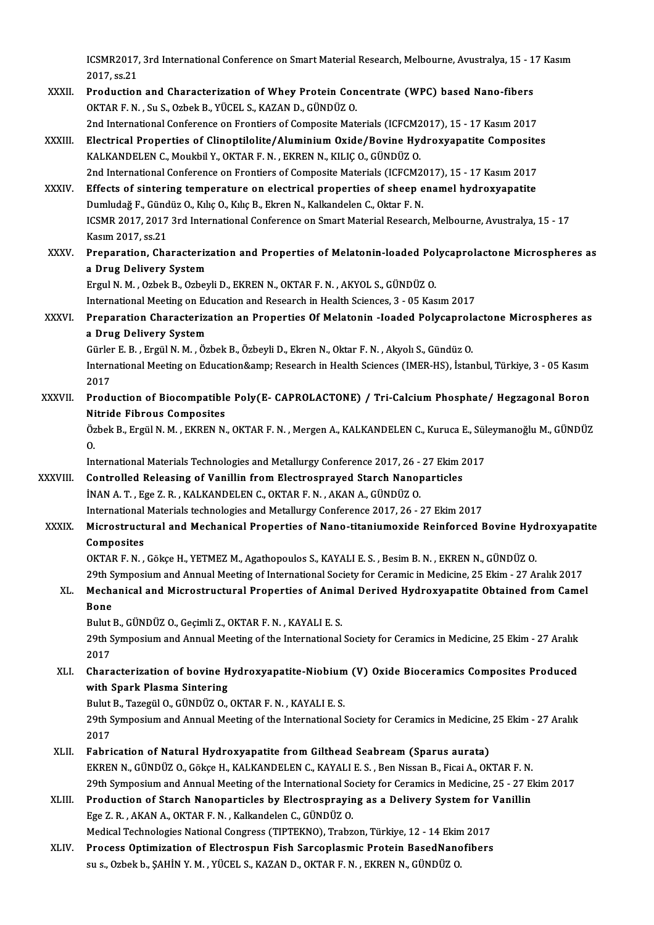ICSMR2017, 3rd International Conference on Smart Material Research, Melbourne, Avustralya, 15 - 17 Kasım<br>2017-62.21 **ICSMR2017,<br>2017, ss.21**<br>Production ICSMR2017, 3rd International Conference on Smart Material Research, Melbourne, Avustralya, 15 - 1<br>2017, ss.21<br>XXXII. Production and Characterization of Whey Protein Concentrate (WPC) based Nano-fibers<br>QVTAR E.N. Su.S. Orbe

2017, ss.21<br>Production and Characterization of Whey Protein Concentrate (WPC) based Nano-fibers<br>OKTAR F. N. , Su S., Ozbek B., YÜCEL S., KAZAN D., GÜNDÜZ O. OKTAR F. N. , Su S., Ozbek B., YÜCEL S., KAZAN D., GÜNDÜZ O.<br>2nd International Conference on Frontiers of Composite Materials (ICFCM2017), 15 - 17 Kasım 2017<br>XXXIII. Electrical Properties of Clinoptilolite/Aluminium Oxide/

2nd International Conference on Frontiers of Composite Materials (ICFCM2017), 15 - 17 Kasım 2017

KALKANDELEN C., Moukbil Y., OKTAR F. N. , EKREN N., KILIÇ O., GÜNDÜZ O.<br>2nd International Conference on Frontiers of Composite Materials (ICFCM2017), 15 - 17 Kasım 2017 Electrical Properties of Clinoptilolite/Aluminium Oxide/Bovine Hydroxyapatite Composite<br>KALKANDELEN C., Moukbil Y., OKTAR F. N. , EKREN N., KILIÇ O., GÜNDÜZ O.<br>2nd International Conference on Frontiers of Composite Materia

XXXIV. Effects of sintering temperature on electrical properties of sheep enamel hydroxyapatite 2nd International Conference on Frontiers of Composite Materials (ICFCM2)<br>Effects of sintering temperature on electrical properties of sheep e<br>Dumludağ F., Gündüz O., Kılıç O., Kılıç B., Ekren N., Kalkandelen C., Oktar F. ICSMR 2017, 2017 3rd International Conference on Smart Material Research, Melbourne, Avustralya, 15 - 17<br>Kasım 2017. ss.21 Dumludağ F., Günd<br>ICSMR 2017, 2017<br>Kasım 2017, ss.21<br>Proporation, Cha ICSMR 2017, 2017 3rd International Conference on Smart Material Research, Melbourne, Avustralya, 15 - 17<br>Kasım 2017, ss.21<br>XXXV. Preparation, Characterization and Properties of Melatonin-loaded Polycaprolactone Microsphere

a Drug Delivery System<br>Ergul N. M. , Ozbek B., Ozbeyli D., EKREN N., OKTAR F. N. , AKYOL S., GÜNDÜZ O. Preparation, Characterization and Properties of Melatonin-loaded Pol<br>a Drug Delivery System<br>Ergul N. M. , Ozbek B., Ozbeyli D., EKREN N., OKTAR F. N. , AKYOL S., GÜNDÜZ O.<br>International Meeting on Education and Bessensh in

International Meeting on Education and Research in Health Sciences, 3 - 05 Kasım 2017

### Ergul N. M. , Ozbek B., Ozbeyli D., EKREN N., OKTAR F. N. , AKYOL S., GÜNDÜZ O.<br>International Meeting on Education and Research in Health Sciences, 3 - 05 Kasım 2017<br>XXXVI. Preparation Characterization an Properties Of Mel International Meeting on Ed<br>Preparation Characteriza<br>a Drug Delivery System<br>Cürler E.B., Fraül N.M., Öz Preparation Characterization an Properties Of Melatonin -Ioaded Polycaprol:<br>a Drug Delivery System<br>Gürler E. B. , Ergül N. M. , Özbek B., Özbeyli D., Ekren N., Oktar F. N. , Akyolı S., Gündüz O.<br>International Meeting on Ed

a Drug Delivery System<br>Gürler E. B. , Ergül N. M. , Özbek B., Özbeyli D., Ekren N., Oktar F. N. , Akyolı S., Gündüz O.<br>International Meeting on Education&amp; Research in Health Sciences (IMER-HS), İstanbul, Türkiye, 3 - 0 Gürler E. B. , Ergül N. M. , Özbek B., Özbeyli D., Ekren N., Oktar F. N. , Akyolı S., Gündüz O.<br>International Meeting on Education&amp; Research in Health Sciences (IMER-HS), İstan<br>2017 International Meeting on Education& Research in Health Sciences (IMER-HS), İstanbul, Türkiye, 3 - 05 Kasım<br>2017<br>XXXVII. Production of Biocompatible Poly(E- CAPROLACTONE) / Tri-Calcium Phosphate/ Hegzagonal Boron<br>Nitrid

#### Production of Biocompatible Poly(E-CAPROLACTONE) / Tri-Calcium Phosphate/ Hegzagonal Boron<br>Nitride Fibrous Composites Production of Biocompatible Poly(E- CAPROLACTONE) / Tri-Calcium Phosphate/ Hegzagonal Boron<br>Nitride Fibrous Composites<br>Özbek B., Ergül N. M. , EKREN N., OKTAR F. N. , Mergen A., KALKANDELEN C., Kuruca E., Süleymanoğlu M., Ni<br>Öz<br>In:

Özbek B., Ergül N. M. , EKREN N., OKTAR F. N. , Mergen A., KALKANDELEN C., Kuruca E., Sül<br>O.<br>International Materials Technologies and Metallurgy Conference 2017, 26 - 27 Ekim 2017<br>Controlled Beleasing of Vanillin from Elec

International Materials Technologies and Metallurgy Conference 2017, 26 - 27 Ekim 2017

0.<br>International Materials Technologies and Metallurgy Conference 2017, 26 - 27 Ekim 2<br>XXXVIII. Controlled Releasing of Vanillin from Electrosprayed Starch Nanoparticles<br>İNAN A. T. , Ege Z. R. , KALKANDELEN C., OKTAR F. N. Controlled Releasing of Vanillin from Electrosprayed Starch Nanoparticles<br>INAN A. T. , Ege Z. R. , KALKANDELEN C., OKTAR F. N. , AKAN A., GÜNDÜZ O.<br>International Materials technologies and Metallurgy Conference 2017, 26 -

### XXXIX. Microstructural and Mechanical Properties of Nano-titaniumoxide Reinforced Bovine Hydroxyapatite International<br>Microstructi<br>Composites<br>OVTAD E N

OKTARF.N. ,GökçeH.,YETMEZM.,Agathopoulos S.,KAYALIE.S. ,BesimB.N. ,EKRENN.,GÜNDÜZO.

# Composites<br>OKTAR F. N. , Gökçe H., YETMEZ M., Agathopoulos S., KAYALI E. S. , Besim B. N. , EKREN N., GÜNDÜZ O.<br>29th Symposium and Annual Meeting of International Society for Ceramic in Medicine, 25 Ekim - 27 Aralık 2017<br>M

### OKTAR F. N. , Gökçe H., YETMEZ M., Agathopoulos S., KAYALI E. S. , Besim B. N. , EKREN N., GÜNDÜZ O.<br>29th Symposium and Annual Meeting of International Society for Ceramic in Medicine, 25 Ekim - 27 Aralık 2017<br>29th Symposi 29th S<br>Mecha<br>Bone<br><sup>Bulut l</sub></sup> Mechanical and Microstructural Properties of Anim<br>Bone<br>Bulut B., GÜNDÜZ O., Geçimli Z., OKTAR F. N. , KAYALI E. S.<br>20th Symposium and Annual Meeting of the International

Bulut B., GÜNDÜZ O., Geçimli Z., OKTAR F. N., KAYALI E. S.

Bone<br>Bulut B., GÜNDÜZ O., Geçimli Z., OKTAR F. N. , KAYALI E. S.<br>29th Symposium and Annual Meeting of the International Society for Ceramics in Medicine, 25 Ekim - 27 Aralık<br>2017 29th Symposium and Annual Meeting of the International Society for Ceramics in Medicine, 25 Ekim - 27 Aralık<br>2017<br>XLI. Characterization of bovine Hydroxyapatite-Niobium (V) Oxide Bioceramics Composites Produced<br>with Spark

## 2017<br>Characterization of bovine H<br>with Spark Plasma Sintering<br>Pulut B. Tazegül O. CÜNDÜZ O Characterization of bovine Hydroxyapatite-Niobium<br>with Spark Plasma Sintering<br>Bulut B., Tazegül O., GÜNDÜZ O., OKTAR F. N. , KAYALI E. S.<br>20th Sympesium and Annual Mesting of the International S

with Spark Plasma Sintering<br>Bulut B., Tazegül O., GÜNDÜZ O., OKTAR F. N. , KAYALI E. S.<br>29th Symposium and Annual Meeting of the International Society for Ceramics in Medicine, 25 Ekim - 27 Aralık<br>2017 Bulut<br>29th S<br>2017<br>Febri 29th Symposium and Annual Meeting of the International Society for Ceramics in Medicine,<br>2017<br>XLII. Fabrication of Natural Hydroxyapatite from Gilthead Seabream (Sparus aurata)<br>EXPEN N. CÜNDÜZ O. GÖİKO H. KALKANDELEN G. KA

- 2017<br>Fabrication of Natural Hydroxyapatite from Gilthead Seabream (Sparus aurata)<br>EKREN N., GÜNDÜZ O., Gökçe H., KALKANDELEN C., KAYALI E. S. , Ben Nissan B., Ficai A., OKTAR F. N.<br>20th Sumposium and Annual Meeting of the Fabrication of Natural Hydroxyapatite from Gilthead Seabream (Sparus aurata)<br>EKREN N., GÜNDÜZ O., Gökçe H., KALKANDELEN C., KAYALI E. S. , Ben Nissan B., Ficai A., OKTAR F. N.<br>29th Symposium and Annual Meeting of the Inter EKREN N., GÜNDÜZ O., Gökçe H., KALKANDELEN C., KAYALI E. S. , Ben Nissan B., Ficai A., OKTAR F. N.<br>29th Symposium and Annual Meeting of the International Society for Ceramics in Medicine, 25 - 27 El<br>XLIII. Production of St
- Ege Z.R. ,AKANA.,OKTARF.N. ,KalkandelenC.,GÜNDÜZO. Production of Starch Nanoparticles by Electrospraying as a Delivery System for Vanillin Medical Technologies National Congress (TIPTEKNO), Trabzon, Türkiye, 12 - 14 Ekim 2017
- XLIV. Process Optimization of Electrospun Fish Sarcoplasmic Protein BasedNanofibers<br>su s., Ozbek b., SAHİN Y. M., YÜCEL S., KAZAN D., OKTAR F. N., EKREN N., GÜNDÜZ O.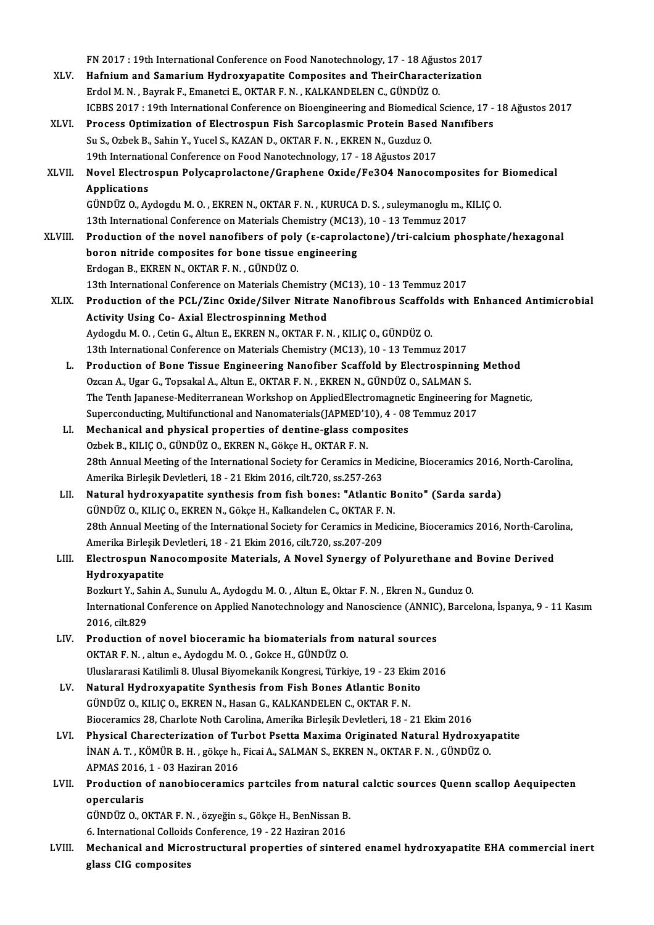FN 2017 : 19th International Conference on Food Nanotechnology, 17 - 18 Ağustos 2017<br>Hefnium and Samanium Hydrowyanatite Compositos and TheirChanatorization FN 2017 : 19th International Conference on Food Nanotechnology, 17 - 18 Ağustos 2017<br>XLV. Hafnium and Samarium Hydroxyapatite Composites and TheirCharacterization FN 2017 : 19th International Conference on Food Nanotechnology, 17 - 18 Ağust<br>Hafnium and Samarium Hydroxyapatite Composites and TheirCharacte<br>Erdol M.N. , Bayrak F., Emanetci E., OKTAR F.N. , KALKANDELEN C., GÜNDÜZ O.<br>ICB Hafnium and Samarium Hydroxyapatite Composites and TheirCharacterization<br>Erdol M. N. , Bayrak F., Emanetci E., OKTAR F. N. , KALKANDELEN C., GÜNDÜZ O.<br>ICBBS 2017 : 19th International Conference on Bioengineering and Biomed Erdol M. N. , Bayrak F., Emanetci E., OKTAR F. N. , KALKANDELEN C., GÜNDÜZ O.<br>ICBBS 2017 : 19th International Conference on Bioengineering and Biomedical Science, 17 -<br>XLVI. Process Optimization of Electrospun Fish Sarcopl ICBBS 2017 : 19th International Conference on Bioengineering and Biomedica<br>Process Optimization of Electrospun Fish Sarcoplasmic Protein Base<br>Su S., Ozbek B., Sahin Y., Yucel S., KAZAN D., OKTAR F. N. , EKREN N., Guzduz O. Process Optimization of Electrospun Fish Sarcoplasmic Protein Based<br>Su S., Ozbek B., Sahin Y., Yucel S., KAZAN D., OKTAR F. N. , EKREN N., Guzduz O.<br>19th International Conference on Food Nanotechnology, 17 - 18 Ağustos 201 Su S., Ozbek B., Sahin Y., Yucel S., KAZAN D., OKTAR F. N. , EKREN N., Guzduz O.<br>19th International Conference on Food Nanotechnology, 17 - 18 Ağustos 2017<br>XLVII. Novel Electrospun Polycaprolactone/Graphene Oxide/Fe3O4 Nan 19th International Conference on Food Nanotechnology, 17 - 18 Ağustos 2017 Novel Electrospun Polycaprolactone/Graphene Oxide/Fe3O4 Nanocomposites for<br>Applications<br>GÜNDÜZ O., Aydogdu M. O. , EKREN N., OKTAR F. N. , KURUCA D. S. , suleymanoglu m., KILIÇ O.<br>12th International Conference on Materials Applications<br>GÜNDÜZ O., Aydogdu M. O. , EKREN N., OKTAR F. N. , KURUCA D. S. , suleymanoglu m., k<br>13th International Conference on Materials Chemistry (MC13), 10 - 13 Temmuz 2017<br>Production of the novel nanofibers of nely XLVIII. Production of the novel nanofibers of poly ( $\varepsilon$ -caprolactone)/tri-calcium phosphate/hexagonal<br>boron nitride composites for bone tissue engineering 13th International Conference on Materials Chemistry (MC13), 10 - 13 Temmuz 2017 Erdogan B., EKREN N., OKTAR F. N., GÜNDÜZ O. boron nitride composites for bone tissue engineering<br>Erdogan B., EKREN N., OKTAR F. N. , GÜNDÜZ O.<br>13th International Conference on Materials Chemistry (MC13), 10 - 13 Temmuz 2017<br>Production of the PCL (Zinc Ovide (Silver Erdogan B., EKREN N., OKTAR F. N. , GÜNDÜZ O.<br>13th International Conference on Materials Chemistry (MC13), 10 - 13 Temmuz 2017<br>XLIX. Production of the PCL/Zinc Oxide/Silver Nitrate Nanofibrous Scaffolds with Enhanced Antim 13th International Conference on Materials Chemistry<br>Production of the PCL/Zinc Oxide/Silver Nitrate<br>Activity Using Co- Axial Electrospinning Method<br>Aydegdy M.O. Cetin C. Altun E. EVDEN N. OVTAD E.N Production of the PCL/Zinc Oxide/Silver Nitrate Nanofibrous Scaffol<br>Activity Using Co- Axial Electrospinning Method<br>Aydogdu M. O. , Cetin G., Altun E., EKREN N., OKTAR F. N. , KILIÇ O., GÜNDÜZ O.<br>12th International Confere 13th International Conference on Materials Method<br>13th International Conference on Materials Chemistry (MC13), 10 - 13 Temmuz 2017<br>13th International Conference on Materials Chemistry (MC13), 10 - 13 Temmuz 2017 Aydogdu M. O., Cetin G., Altun E., EKREN N., OKTAR F. N., KILIÇ O., GÜNDÜZ O.<br>13th International Conference on Materials Chemistry (MC13), 10 - 13 Temmuz 2017<br>L. Production of Bone Tissue Engineering Nanofiber Scaffold by 13th International Conference on Materials Chemistry (MC13), 10 - 13 Temmuz 2017<br>Production of Bone Tissue Engineering Nanofiber Scaffold by Electrospinnin<br>Ozcan A., Ugar G., Topsakal A., Altun E., OKTAR F. N. , EKREN N., Production of Bone Tissue Engineering Nanofiber Scaffold by Electrospinning Method<br>Ozcan A., Ugar G., Topsakal A., Altun E., OKTAR F. N. , EKREN N., GÜNDÜZ O., SALMAN S.<br>The Tenth Japanese-Mediterranean Workshop on Applied Ozcan A., Ugar G., Topsakal A., Altun E., OKTAR F. N. , EKREN N., GÜNDÜZ O., SALMAN S.<br>The Tenth Japanese-Mediterranean Workshop on AppliedElectromagnetic Engineering fo<br>Superconducting, Multifunctional and Nanomaterials(J The Tenth Japanese-Mediterranean Workshop on AppliedElectromagnetic Engineering for Magnetic,<br>Superconducting, Multifunctional and Nanomaterials(JAPMED'10), 4 - 08 Temmuz 2017<br>LI. Mechanical and physical properties of dent Superconducting, Multifunctional and Nanomaterials(JAPMED'1<br>Mechanical and physical properties of dentine-glass con<br>Ozbek B., KILIÇ O., GÜNDÜZ O., EKREN N., Gökçe H., OKTAR F. N.<br>28th Annual Mesting of the International Se Mechanical and physical properties of dentine-glass composites<br>Ozbek B., KILIÇ O., GÜNDÜZ O., EKREN N., Gökçe H., OKTAR F. N.<br>28th Annual Meeting of the International Society for Ceramics in Medicine, Bioceramics 2016, Nor Ozbek B., KILIÇ O., GÜNDÜZ O., EKREN N., Gökçe H., OKTAR F. N.<br>28th Annual Meeting of the International Society for Ceramics in Me<br>Amerika Birleşik Devletleri, 18 - 21 Ekim 2016, cilt.720, ss.257-263<br>Natural budnovyanatita Amerika Birleşik Devletleri, 18 - 21 Ekim 2016, cilt. 720, ss. 257-263<br>LII. Natural hydroxyapatite synthesis from fish bones: "Atlantic Bonito" (Sarda sarda) Amerika Birleşik Devletleri, 18 - 21 Ekim 2016, cilt.720, ss.257-263<br>Natural hydroxyapatite synthesis from fish bones: "Atlantic B<br>GÜNDÜZ O., KILIÇ O., EKREN N., Gökçe H., Kalkandelen C., OKTAR F. N.<br>28th Annual Meeting of 28th Annual Meeting of the International Society for Ceramics in Medicine, Bioceramics 2016, North-Carolina,<br>Amerika Birlesik Devletleri, 18 - 21 Ekim 2016, cilt.720, ss.207-209 GÜNDÜZ O., KILIÇ O., EKREN N., Gökçe H., Kalkandelen C., OKTAR F.<br>28th Annual Meeting of the International Society for Ceramics in Me<br>Amerika Birleşik Devletleri, 18 - 21 Ekim 2016, cilt.720, ss.207-209<br>Electrosnun Nanosom 28th Annual Meeting of the International Society for Ceramics in Medicine, Bioceramics 2016, North-Carol<br>Amerika Birleşik Devletleri, 18 - 21 Ekim 2016, cilt.720, ss.207-209<br>LIII. Electrospun Nanocomposite Materials, A Nov Amerika Birleşik I<br>Electrospun Nar<br>Hydroxyapatite<br><sup>Borlnut V. Sobin (</sup> Electrospun Nanocomposite Materials, A Novel Synergy of Polyurethane and<br>Hydroxyapatite<br>Bozkurt Y., Sahin A., Sunulu A., Aydogdu M. O. , Altun E., Oktar F. N. , Ekren N., Gunduz O.<br>International Conference on Applied Nanot Hydroxyapatite<br>Bozkurt Y., Sahin A., Sunulu A., Aydogdu M. O. , Altun E., Oktar F. N. , Ekren N., Gunduz O.<br>International Conference on Applied Nanotechnology and Nanoscience (ANNIC), Barcelona, İspanya, 9 - 11 Kasım<br>2016. Bozkurt Y., Sahin A., Sunulu A., Aydogdu M. O. , Altun E., Oktar F. N. , Ekren N., Gunduz O.<br>International Conference on Applied Nanotechnology and Nanoscience (ANNIC), Barcel<br>2016, cilt.829<br>Production of novel bioceramic International Conference on Applied Nanotechnology and Nanoscience (ANNIC<br>2016, cilt.829<br>LIV. Production of novel bioceramic ha biomaterials from natural sources<br>OVTAB E.N. altune Avdesdu M.O. Celse H. CÜNDÜZ O OKTAR F. N., altun e., Aydogdu M. O., Gokce H., GÜNDÜZ O. Production of novel bioceramic ha biomaterials from natural sources<br>OKTAR F. N. , altun e., Aydogdu M. O. , Gokce H., GÜNDÜZ O.<br>Uluslararasi Katilimli 8. Ulusal Biyomekanik Kongresi, Türkiye, 19 - 23 Ekim 2016<br>Natural Hydr OKTAR F. N. , altun e., Aydogdu M. O. , Gokce H., GÜNDÜZ O.<br>Uluslararasi Katilimli 8. Ulusal Biyomekanik Kongresi, Türkiye, 19 - 23 Ekim<br>LV. Natural Hydroxyapatite Synthesis from Fish Bones Atlantic Bonito<br>CÜNDÜZ O. KU Natural Hydroxyapatite Synthesis from Fish Bones Atlantic Bonito<br>GÜNDÜZ O., KILIÇ O., EKREN N., Hasan G., KALKANDELEN C., OKTAR F. N. Bioceramics 28, Charlote Noth Carolina, Amerika Birleşik Devletleri, 18 - 21 Ekim 2016 GÜNDÜZ O., KILIÇ O., EKREN N., Hasan G., KALKANDELEN C., OKTAR F. N.<br>Bioceramics 28, Charlote Noth Carolina, Amerika Birleşik Devletleri, 18 - 21 Ekim 2016<br>LVI. Physical Charecterization of Turbot Psetta Maxima Originated Bioceramics 28, Charlote Noth Carolina, Amerika Birleşik Devletleri, 18 - 21 Ekim 2016<br>Physical Charecterization of Turbot Psetta Maxima Originated Natural Hydroxya<br>İNAN A. T. , KÖMÜR B. H. , gökçe h., Ficai A., SALMAN S., Physical Charecterization of Tu<br>İNAN A. T. , KÖMÜR B. H. , gökçe h.,<br>APMAS 2016, 1 - 03 Haziran 2016<br>Production of nanobioseramis INAN A. T. , KÖMÜR B. H. , gökçe h., Ficai A., SALMAN S., EKREN N., OKTAR F. N. , GÜNDÜZ O.<br>APMAS 2016, 1 - 03 Haziran 2016<br>LVII. Production of nanobioceramics partciles from natural calctic sources Quenn scallop Aequipect APMAS 2016,<br><mark>Production</mark><br>opercularis<br>C<sup>inneiz</sup> 0.0 Production of nanobioceramics partciles from natura<br>opercularis<br>GÜNDÜZ O., OKTAR F. N. , özyeğin s., Gökçe H., BenNissan B.<br>6. International Colloids Conference 19, 22 Heriran 2016 opercularis<br>GÜNDÜZ O., OKTAR F. N. , özyeğin s., Gökçe H., BenNissan B<br>6. International Colloids Conference, 19 - 22 Haziran 2016<br>Meshanisal and Misnestnustural properties of sinter GÜNDÜZ O., OKTAR F. N. , özyeğin s., Gökçe H., BenNissan B.<br>6. International Colloids Conference, 19 - 22 Haziran 2016<br>LVIII. Mechanical and Microstructural properties of sintered enamel hydroxyapatite EHA commercial inert 6. International Colloids<br>Mechanical and Micr<br>glass CIG composites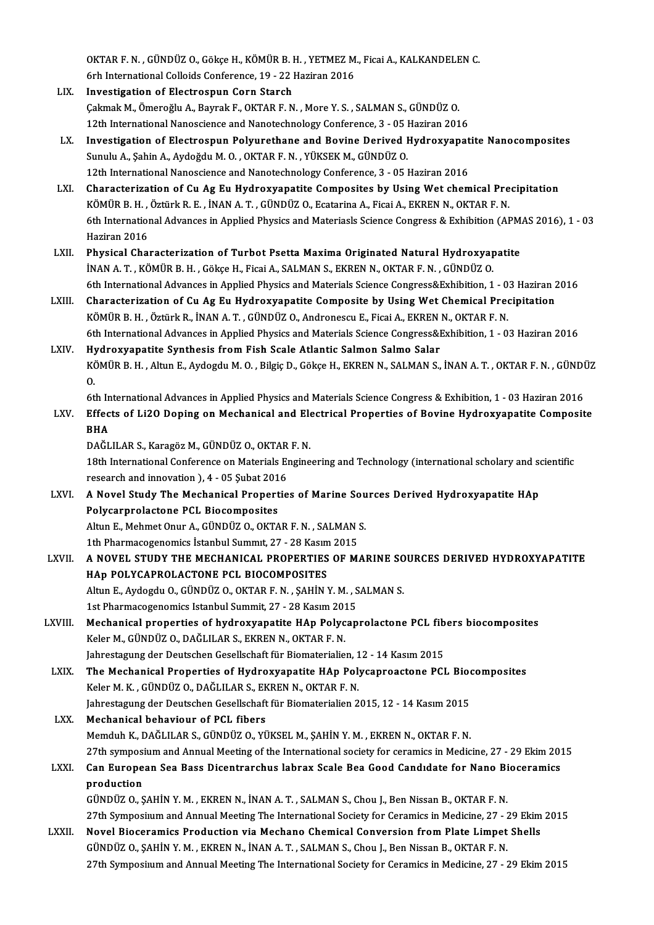OKTAR F. N. , GÜNDÜZ O., Gökçe H., KÖMÜR B. H. , YETMEZ M., Ficai A., KALKANDELEN C.<br>Erb International Callaide Conference, 19, , 22 Hariran 2016 OKTAR F. N. , GÜNDÜZ O., Gökçe H., KÖMÜR B. H. , YETMEZ M<br>6rh International Colloids Conference, 19 - 22 Haziran 2016<br>Investigation of Flestresnun Corn Starsh

- 6rh International Colloids Conference, 19 22 Haziran 2016<br>LIX. Investigation of Electrospun Corn Starch ÇakmakM.,ÖmeroğluA.,BayrakF.,OKTARF.N. ,MoreY.S. ,SALMANS.,GÜNDÜZO. 12th International Nanoscience and Nanotechnology Conference, 3 - 05 Haziran 2016 Cakmak M., Ömeroğlu A., Bayrak F., OKTAR F. N. , More Y. S. , SALMAN S., GÜNDÜZ O.<br>12th International Nanoscience and Nanotechnology Conference, 3 - 05 Haziran 2016<br>LX. Investigation of Electrospun Polyurethane and Bovine
- Sunulu A., Şahin A., Aydoğdu M. O. , OKTAR F. N. , YÜKSEK M., GÜNDÜZ O.<br>12th International Nanoscience and Nanotechnology Conference, 3 05 Haziran 2016 Investigation of Electrospun Polyurethane and Bovine Derived Hydroxyapat<br>Sunulu A., Şahin A., Aydoğdu M. O. , OKTAR F. N. , YÜKSEK M., GÜNDÜZ O.<br>12th International Nanoscience and Nanotechnology Conference, 3 - 05 Haziran Sunulu A., Şahin A., Aydoğdu M. O. , OKTAR F. N. , YÜKSEK M., GÜNDÜZ O.<br>12th International Nanoscience and Nanotechnology Conference, 3 - 05 Haziran 2016<br>LXI. Characterization of Cu Ag Eu Hydroxyapatite Composites by Using
- 12th International Nanoscience and Nanotechnology Conference, 3 05 Haziran 2016<br>Characterization of Cu Ag Eu Hydroxyapatite Composites by Using Wet chemical Pre<br>KÖMÜR B. H. , Öztürk R. E. , İNAN A. T. , GÜNDÜZ O., Ecatar Characterization of Cu Ag Eu Hydroxyapatite Composites by Using Wet chemical Precipitation<br>KÖMÜR B. H. , Öztürk R. E. , İNAN A. T. , GÜNDÜZ O., Ecatarina A., Ficai A., EKREN N., OKTAR F. N.<br>6th International Advances in Ap KÖMÜR B. H. , Öztürk R. E. , İNAN A. T. , GÜNDÜZ O., Ecatarina A., Ficai A., EKREN N., OKTAR F. N.<br>6th International Advances in Applied Physics and Materiasls Science Congress & Exhibition (APMAS 2016), 1 - 03<br>Haziran 201
- LXII. Physical Characterization of Turbot Psetta Maxima Originated Natural Hydroxyapatite İNAN A.T., KÖMÜR B.H., Gökçe H., Ficai A., SALMAN S., EKREN N., OKTAR F.N., GÜNDÜZ O. Physical Characterization of Turbot Psetta Maxima Originated Natural Hydroxyapatite<br>INAN A. T., KÖMÜR B. H., Gökçe H., Ficai A., SALMAN S., EKREN N., OKTAR F. N., GÜNDÜZ O.<br>6th International Advances in Applied Physics and
- LXIII. Characterization of Cu Ag Eu Hydroxyapatite Composite by Using Wet Chemical Precipitation<br>KÖMÜR B. H., Öztürk R., İNAN A. T., GÜNDÜZ O., Andronescu E., Ficai A., EKREN N., OKTAR F. N. 6th International Advances in Applied Physics and Materials Science Congress&Exhibition, 1 - 0.<br>Characterization of Cu Ag Eu Hydroxyapatite Composite by Using Wet Chemical Pred<br>KÖMÜR B. H. , Öztürk R., İNAN A. T. , GÜNDÜZ 6th International Advances in Applied Physics and Materials Science Congress&Exhibition, 1 - 03 Haziran 2016
- LXIV. Hydroxyapatite Synthesis from Fish Scale Atlantic Salmon Salmo Salar 6th International Advances in Applied Physics and Materials Science Congress&Exhibition, 1 - 03 Haziran 2016<br>Hydroxyapatite Synthesis from Fish Scale Atlantic Salmon Salmo Salar<br>KÖMÜR B. H. , Altun E., Aydogdu M. O. , Bilg Hy<br>KČ<br>G. KÖMÜR B. H. , Altun E., Aydogdu M. O. , Bilgiç D., Gökçe H., EKREN N., SALMAN S., İNAN A. T. , OKTAR F. N. , GÜNDİ<br>O.<br>6th International Advances in Applied Physics and Materials Science Congress & Exhibition, 1 - 03 Hazira

### 0.<br>6th International Advances in Applied Physics and Materials Science Congress & Exhibition, 1 - 03 Haziran 2016<br>1.XV. Effects of Li2O Doping on Mechanical and Electrical Properties of Bovine Hydroxyapatite Composite<br> 6th In<br>Effec<br>BHA<br>DAČI Effects of Li2O Doping on Mechanical and Ele<br>BHA<br>DAĞLILAR S., Karagöz M., GÜNDÜZ O., OKTAR F. N.<br>19th International Conference on Materials Engine

DAĞLILAR S., Karagöz M., GÜNDÜZ O., OKTAR F. N.

18th International Conference on Materials Engineering and Technology (international scholary and scientific<br>18th International Conference on Materials Engineering and Technology (international scholary and scientific<br>18th 18th International Conference on Materials Engineering and Technology (international scholary and solution of the Mechanical Properties of Marine Sources Derived Hydroxyapatite HAp<br>Relixernical and innovation a PCI. Biogen

- Polycarprolactone PCL Biocomposites A Novel Study The Mechanical Properties of Marine Sou<br>Polycarprolactone PCL Biocomposites<br>Altun E., Mehmet Onur A., GÜNDÜZ O., OKTAR F.N. , SALMAN S.<br>1th Pharmacessanamics İstanbul Summut 27 , 28 Kasım 2015 Altun E., Mehmet Onur A., GÜNDÜZ O., OKTAR F. N., SALMAN S.<br>1th Pharmacogenomics İstanbul Summit, 27 - 28 Kasım 2015 Altun E., Mehmet Onur A., GÜNDÜZ O., OKTAR F. N. , SALMAN S.<br>1th Pharmacogenomics İstanbul Summit, 27 - 28 Kasım 2015<br>LXVII. – A NOVEL STUDY THE MECHANICAL PROPERTIES OF MARINE SOURCES DERIVED HYDROXYAPATITE
- 1th Pharmacogenomics İstanbul Summit, 27 28 Kasım<br>A NOVEL STUDY THE MECHANICAL PROPERTIES<br>HAp POLYCAPROLACTONE PCL BIOCOMPOSITES A NOVEL STUDY THE MECHANICAL PROPERTIES OF MARINE SO<br>HAp POLYCAPROLACTONE PCL BIOCOMPOSITES<br>Altun E., Aydogdu O., GÜNDÜZ O., OKTAR F. N. , ŞAHİN Y. M. , SALMAN S.<br>1st Pharmagaganamice Istanbul Summit, 27 – 28 Kasım 2015 HAp POLYCAPROLACTONE PCL BIOCOMPOSITES<br>Altun E., Aydogdu O., GÜNDÜZ O., OKTAR F. N. , ŞAHİN Y. M. , S<br>1st Pharmacogenomics Istanbul Summit, 27 - 28 Kasım 2015<br>Mechanisal proportias of budnowyanatite HAp Polysan
- Altun E., Aydogdu O., GÜNDÜZ O., OKTAR F. N. , ŞAHİN Y. M. , SALMAN S.<br>1st Pharmacogenomics Istanbul Summit, 27 28 Kasım 2015<br>LXVIII. Mechanical properties of hydroxyapatite HAp Polycaprolactone PCL fibers biocomposites<br> 1st Pharmacogenomics Istanbul Summit, 27 - 28 Kasım 201<br>Mechanical properties of hydroxyapatite HAp Polyc<br>Keler M., GÜNDÜZ O., DAĞLILAR S., EKREN N., OKTAR F. N.<br>Jahrestagung der Deutschen Cesellschaft für Biematerialie Mechanical properties of hydroxyapatite HAp Polycaprolactone PCL fib<br>Keler M., GÜNDÜZ O., DAĞLILAR S., EKREN N., OKTAR F. N.<br>Jahrestagung der Deutschen Gesellschaft für Biomaterialien, 12 - 14 Kasım 2015<br>The Mechanical Pro Keler M., GÜNDÜZ O., DAĞLILAR S., EKREN N., OKTAR F. N.<br>Jahrestagung der Deutschen Gesellschaft für Biomaterialien, 12 - 14 Kasım 2015<br>LXIX. The Mechanical Properties of Hydroxyapatite HAp Polycaproactone PCL Biocomposites
- Jahrestagung der Deutschen Gesellschaft für Biomaterialien, 1<br>The Mechanical Properties of Hydroxyapatite HAp Pol<br>Keler M. K. , GÜNDÜZ O., DAĞLILAR S., EKREN N., OKTAR F. N.<br>Jahrestagung der Deutschen Cesellschaft für Biom The Mechanical Properties of Hydroxyapatite HAp Polycaproactone PCL Bioon<br>Keler M. K. , GÜNDÜZ O., DAĞLILAR S., EKREN N., OKTAR F. N.<br>Jahrestagung der Deutschen Gesellschaft für Biomaterialien 2015, 12 - 14 Kasım 2015<br>Mech Keler M. K., GÜNDÜZ O., DAĞLILAR S., EKREN N., OKTAR F. N.<br>Jahrestagung der Deutschen Gesellschaft für Biomaterialien 2015, 12 - 14 Kasım 2015<br>LXX. Mechanical behaviour of PCL fibers
- MemduhK.,DAĞLILARS.,GÜNDÜZO.,YÜKSELM.,ŞAHİNY.M. ,EKRENN.,OKTARF.N. Mechanical behaviour of PCL fibers<br>Memduh K., DAĞLILAR S., GÜNDÜZ O., YÜKSEL M., ŞAHİN Y. M. , EKREN N., OKTAR F. N.<br>27th symposium and Annual Meeting of the International society for ceramics in Medicine, 27 - 29 Ekim 201 Memduh K., DAĞLILAR S., GÜNDÜZ O., YÜKSEL M., ŞAHİN Y. M. , EKREN N., OKTAR F. N.<br>27th symposium and Annual Meeting of the International society for ceramics in Medicine, 27 - 29 Ekim 20:<br>LXXI. Can European Sea Bass Di

### 27th symposi<br>**Can Europe**<br>production<br>CiNDI7.0.5 Can European Sea Bass Dicentrarchus labrax Scale Bea Good Candidate for Nano Bioceramics<br>production<br>GÜNDÜZ O., ŞAHİN Y. M. , EKREN N., İNAN A. T. , SALMAN S., Chou J., Ben Nissan B., OKTAR F. N. production<br>GÜNDÜZ O., ŞAHİN Y. M. , EKREN N., İNAN A. T. , SALMAN S., Chou J., Ben Nissan B., OKTAR F. N.<br>27th Symposium and Annual Meeting The International Society for Ceramics in Medicine, 27 - 29 Ekim 2015<br>Novel Bioser

GÜNDÜZ O., ŞAHİN Y. M. , EKREN N., İNAN A. T. , SALMAN S., Chou J., Ben Nissan B., OKTAR F. N.<br>27th Symposium and Annual Meeting The International Society for Ceramics in Medicine, 27 - 29 Ekim<br>LXXII. Novel Bioceramics Pro 27th Symposium and Annual Meeting The International Society for Ceramics in Medicine, 27 - 2<br>Novel Bioceramics Production via Mechano Chemical Conversion from Plate Limpet<br>GÜNDÜZ O., ŞAHİN Y. M. , EKREN N., İNAN A. T. , SA Novel Bioceramics Production via Mechano Chemical Conversion from Plate Limpet Shells<br>GÜNDÜZ O., ŞAHİN Y. M. , EKREN N., İNAN A. T. , SALMAN S., Chou J., Ben Nissan B., OKTAR F. N.<br>27th Symposium and Annual Meeting The Int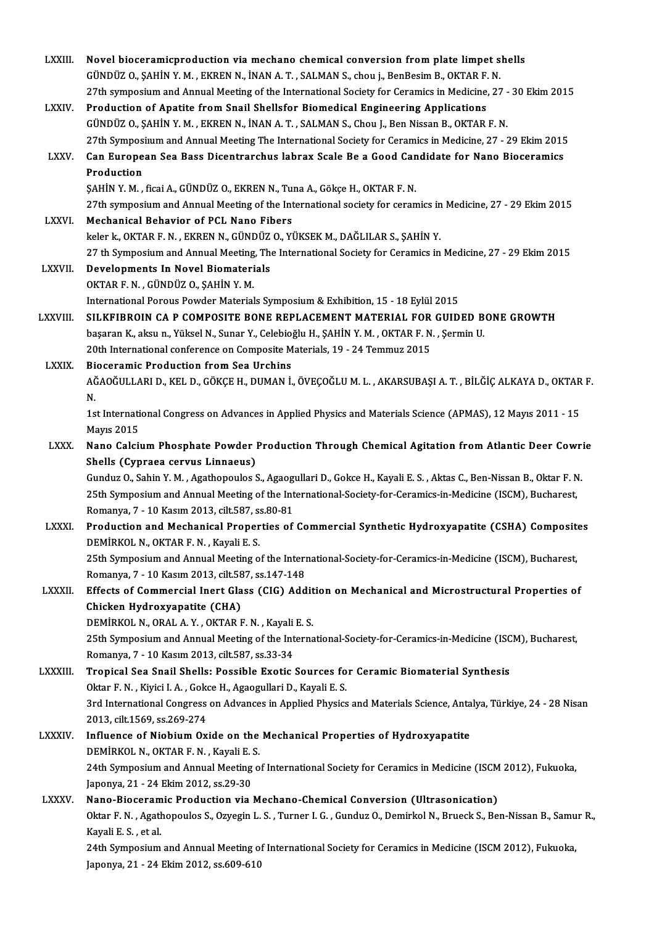| <b>LXXIII</b> | Novel bioceramicproduction via mechano chemical conversion from plate limpet shells                                    |
|---------------|------------------------------------------------------------------------------------------------------------------------|
|               | GÜNDÜZ O., ŞAHİN Y. M., EKREN N., İNAN A. T., SALMAN S., chou j., BenBesim B., OKTAR F. N.                             |
|               | 27th symposium and Annual Meeting of the International Society for Ceramics in Medicine, 27 - 30 Ekim 2015             |
| <b>LXXIV</b>  | Production of Apatite from Snail Shellsfor Biomedical Engineering Applications                                         |
|               | GÜNDÜZ O., ŞAHİN Y. M., EKREN N., İNAN A. T., SALMAN S., Chou J., Ben Nissan B., OKTAR F. N.                           |
|               | 27th Symposium and Annual Meeting The International Society for Ceramics in Medicine, 27 - 29 Ekim 2015                |
| LXXV.         | Can European Sea Bass Dicentrarchus labrax Scale Be a Good Candidate for Nano Bioceramics                              |
|               | Production                                                                                                             |
|               | ŞAHİN Y. M., ficai A., GÜNDÜZ O., EKREN N., Tuna A., Gökçe H., OKTAR F. N.                                             |
|               | 27th symposium and Annual Meeting of the International society for ceramics in Medicine, 27 - 29 Ekim 2015             |
|               |                                                                                                                        |
| <b>LXXVI</b>  | Mechanical Behavior of PCL Nano Fibers                                                                                 |
|               | keler k., OKTAR F. N., EKREN N., GÜNDÜZ O., YÜKSEK M., DAĞLILAR S., ŞAHİN Y.                                           |
|               | 27 th Symposium and Annual Meeting, The International Society for Ceramics in Medicine, 27 - 29 Ekim 2015              |
| <b>LXXVII</b> | Developments In Novel Biomaterials                                                                                     |
|               | OKTAR F. N., GÜNDÜZ O., ŞAHİN Y. M.                                                                                    |
|               | International Porous Powder Materials Symposium & Exhibition, 15 - 18 Eylül 2015                                       |
| LXXVIII.      | SILKFIBROIN CA P COMPOSITE BONE REPLACEMENT MATERIAL FOR GUIDED BONE GROWTH                                            |
|               | başaran K., aksu n., Yüksel N., Sunar Y., Celebioğlu H., ŞAHİN Y. M. , OKTAR F. N. , Şermin U.                         |
|               | 20th International conference on Composite Materials, 19 - 24 Temmuz 2015                                              |
| <b>LXXIX</b>  | <b>Bioceramic Production from Sea Urchins</b>                                                                          |
|               | AĞAOĞULLARI D., KEL D., GÖKÇE H., DUMAN İ., ÖVEÇOĞLU M. L. , AKARSUBAŞI A. T. , BİLĞİÇ ALKAYA D., OKTAR F.             |
|               | N.                                                                                                                     |
|               | 1st International Congress on Advances in Applied Physics and Materials Science (APMAS), 12 Mayıs 2011 - 15            |
|               | <b>Mayıs 2015</b>                                                                                                      |
| <b>LXXX</b>   | Nano Calcium Phosphate Powder Production Through Chemical Agitation from Atlantic Deer Cowrie                          |
|               | Shells (Cypraea cervus Linnaeus)                                                                                       |
|               | Gunduz O., Sahin Y. M., Agathopoulos S., Agaogullari D., Gokce H., Kayali E. S., Aktas C., Ben-Nissan B., Oktar F. N.  |
|               | 25th Symposium and Annual Meeting of the International-Society-for-Ceramics-in-Medicine (ISCM), Bucharest,             |
|               | Romanya, 7 - 10 Kasım 2013, cilt 587, ss 80-81                                                                         |
| <b>LXXXI</b>  | Production and Mechanical Properties of Commercial Synthetic Hydroxyapatite (CSHA) Composites                          |
|               | DEMİRKOL N., OKTAR F. N., Kayali E. S.                                                                                 |
|               | 25th Symposium and Annual Meeting of the International-Society-for-Ceramics-in-Medicine (ISCM), Bucharest,             |
|               | Romanya, 7 - 10 Kasım 2013, cilt 587, ss. 147-148                                                                      |
| LXXXII.       | Effects of Commercial Inert Glass (CIG) Addition on Mechanical and Microstructural Properties of                       |
|               | Chicken Hydroxyapatite (CHA)                                                                                           |
|               | DEMIRKOL N., ORAL A. Y., OKTAR F. N., Kayali E. S.                                                                     |
|               |                                                                                                                        |
|               | 25th Symposium and Annual Meeting of the International-Society-for-Ceramics-in-Medicine (ISCM), Bucharest,             |
|               | Romanya, 7 - 10 Kasım 2013, cilt 587, ss.33-34                                                                         |
| LXXXIII.      | Tropical Sea Snail Shells: Possible Exotic Sources for Ceramic Biomaterial Synthesis                                   |
|               | Oktar F. N., Kiyici I. A., Gokce H., Agaogullari D., Kayali E. S.                                                      |
|               | 3rd International Congress on Advances in Applied Physics and Materials Science, Antalya, Türkiye, 24 - 28 Nisan       |
|               | 2013, cilt 1569, ss 269-274                                                                                            |
| <b>LXXXIV</b> | Influence of Niobium Oxide on the Mechanical Properties of Hydroxyapatite                                              |
|               | DEMIRKOL N., OKTAR F. N., Kayali E. S.                                                                                 |
|               | 24th Symposium and Annual Meeting of International Society for Ceramics in Medicine (ISCM 2012), Fukuoka,              |
|               | Japonya, 21 - 24 Ekim 2012, ss 29-30                                                                                   |
| <b>LXXXV</b>  | Nano-Bioceramic Production via Mechano-Chemical Conversion (Ultrasonication)                                           |
|               | Oktar F. N., Agathopoulos S., Ozyegin L. S., Turner I. G., Gunduz O., Demirkol N., Brueck S., Ben-Nissan B., Samur R., |
|               | Kayali E. S., et al.                                                                                                   |
|               | 24th Symposium and Annual Meeting of International Society for Ceramics in Medicine (ISCM 2012), Fukuoka,              |
|               | Japonya, 21 - 24 Ekim 2012, ss 609-610                                                                                 |
|               |                                                                                                                        |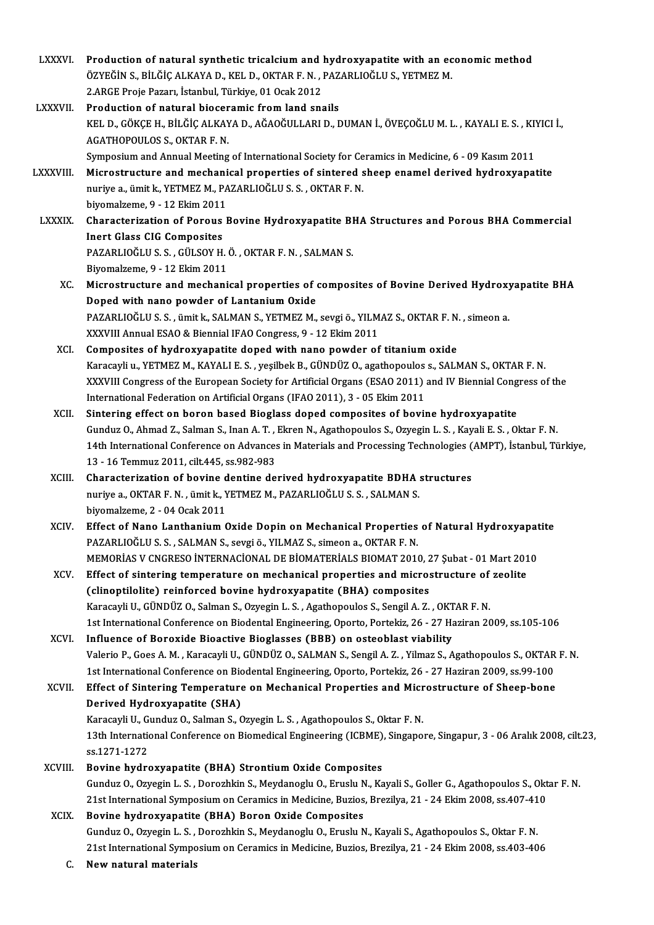- LXXXVI. Production of natural synthetic tricalcium and hydroxyapatite with an economic method<br>ÖZVEČİN S. PİLÖLCALKANA D. KELD. OKTAR E.N., RAZARLIQČLUS, VETMEZ M Production of natural synthetic tricalcium and hydroxyapatite with an ec<br>ÖZYEĞİN S., BİLĞİÇ ALKAYA D., KEL D., OKTAR F. N. , PAZARLIOĞLU S., YETMEZ M.<br>2 ARGE Proja Param, İstanbul Türkiye, 91 Qaşk 2912 Production of natural synthetic tricalcium and 1<br>ÖZYEĞİN S., BİLĞİÇ ALKAYA D., KEL D., OKTAR F. N. , 1<br>2.ARGE Proje Pazarı, İstanbul, Türkiye, 01 Ocak 2012<br>Production of natural biosoromis from land ans ÖZYEĞİN S., BİLĞİÇ ALKAYA D., KEL D., OKTAR F. N. , PAZARLIOĞLU S., YETMEZ M.<br>2.ARGE Proje Pazarı, İstanbul, Türkiye, 01 Ocak 2012<br>LXXXVII. Production of natural bioceramic from land snails 2.ARGE Proje Pazarı, İstanbul, Türkiye, 01 Ocak 2012<br>Production of natural bioceramic from land snails<br>KEL D., GÖKÇE H., BİLĞİÇ ALKAYA D., AĞAOĞULLARI D., DUMAN İ., ÖVEÇOĞLU M. L. , KAYALI E. S. , KIYICI İ.,<br>ACATHOPOULOS S Production of natural biocer<br>KEL D., GÖKÇE H., BİLĞİÇ ALKAY<br>AGATHOPOULOS S., OKTAR F. N.<br>Sumnasium and Annual Masting KEL D., GÖKÇE H., BİLĞİÇ ALKAYA D., AĞAOĞULLARI D., DUMAN İ., ÖVEÇOĞLU M. L. , KAYALI E. S. , KI'<br>AGATHOPOULOS S., OKTAR F. N.<br>Symposium and Annual Meeting of International Society for Ceramics in Medicine, 6 - 09 Kasım 20 AGATHOPOULOS S., OKTAR F. N.<br>Symposium and Annual Meeting of International Society for Ceramics in Medicine, 6 - 09 Kasım 2011<br>LXXXVIII. Microstructure and mechanical properties of sintered sheep enamel derived hydroxyapat Symposium and Annual Meeting of International Society for Ce<br>Microstructure and mechanical properties of sintered s<br>nuriye a., ümit k., YETMEZ M., PAZARLIOĞLU S. S. , OKTAR F. N.<br>bivomalzoma 0, .12 Ekim 2011 Microstructure and mechani<br>nuriye a., ümit k., YETMEZ M., PA<br>biyomalzeme, 9 - 12 Ekim 2011<br>Characterization of Borous k nuriye a., ümit k., YETMEZ M., PAZARLIOĞLU S. S. , OKTAR F. N.<br>biyomalzeme, 9 - 12 Ekim 2011<br>LXXXIX. Characterization of Porous Bovine Hydroxyapatite BHA Structures and Porous BHA Commercial biyomalzeme, 9 - 12 Ekim 2011<br>Characterization of Porous<br>Inert Glass CIG Composites<br>PAZAPLIOČLILS S - CÜLSOV H Characterization of Porous Bovine Hydroxyapatite Bl<br>Inert Glass CIG Composites<br>PAZARLIOĞLU S. S. , GÜLSOY H. Ö. , OKTAR F. N. , SALMAN S.<br>Biyomakama 0, . 12 Ekim 2011 Inert Glass CIG Composites<br>PAZARLIOĞLU S. S. , GÜLSOY H. Ö. , OKTAR F. N. , SALMAN S.<br>Biyomalzeme, 9 - 12 Ekim 2011 PAZARLIOĞLU S. S. , GÜLSOY H. Ö. , OKTAR F. N. , SALMAN S.<br>Biyomalzeme, 9 - 12 Ekim 2011<br>XC. Microstructure and mechanical properties of composites of Bovine Derived Hydroxyapatite BHA<br>Dened with nane nowder of Lantanium O Biyomalzeme, 9 - 12 Ekim 2011<br>Microstructure and mechanical properties of (<br>Doped with nano powder of Lantanium Oxide<br>PAZAPLIOČLUS S. Smith: SALMANS, VETMEZ M Microstructure and mechanical properties of composites of Bovine Derived Hydroxy<br>Doped with nano powder of Lantanium Oxide<br>PAZARLIOĞLU S. S. , ümit k., SALMAN S., YETMEZ M., sevgi ö., YILMAZ S., OKTAR F. N. , simeon a.<br>YYY Doped with nano powder of Lantanium Oxide<br>PAZARLIOĞLU S. S. , ümit k., SALMAN S., YETMEZ M., sevgi ö., YILMAZ S., OKTAR F. N. , simeon a.<br>XXXVIII Annual ESAO & Biennial IFAO Congress, 9 - 12 Ekim 2011 XCI. Composites of hydroxyapatite doped with nano powder of titaniumoxide XXXVIII Annual ESAO & Biennial IFAO Congress, 9 - 12 Ekim 2011<br>Composites of hydroxyapatite doped with nano powder of titanium oxide<br>Karacayli u., YETMEZ M., KAYALI E. S. , yeşilbek B., GÜNDÜZ O., agathopoulos s., SALMAN S Composites of hydroxyapatite doped with nano powder of titanium oxide<br>Karacayli u., YETMEZ M., KAYALI E. S. , yeşilbek B., GÜNDÜZ O., agathopoulos s., SALMAN S., OKTAR F. N.<br>XXXVIII Congress of the European Society for Art Karacayli u., YETMEZ M., KAYALI E. S. , yeşilbek B., GÜNDÜZ O., agathopoulos<br>XXXVIII Congress of the European Society for Artificial Organs (ESAO 2011)<br>International Federation on Artificial Organs (IFAO 2011), 3 - 05 Ekim XXXVIII Congress of the European Society for Artificial Organs (ESAO 2011) and IV Biennial Congress of the<br>International Federation on Artificial Organs (IFAO 2011), 3 - 05 Ekim 2011<br>XCII. Sintering effect on boron based B International Federation on Artificial Organs (IFAO 2011), 3 - 05 Ekim 2011<br>Sintering effect on boron based Bioglass doped composites of bovine hydroxyapatite<br>Gunduz O., Ahmad Z., Salman S., Inan A. T. , Ekren N., Agathopo 14th International Conference on Advances in Materials and Processing Technologies (AMPT), İstanbul, Türkiye,<br>13 - 16 Temmuz 2011, cilt.445, ss.982-983 Gunduz O., Ahmad Z., Salman S., Inan A. T., 14th International Conference on Advances<br>13 - 16 Temmuz 2011, cilt.445, ss.982-983<br>Characterization of boying danting de 14th International Conference on Advances in Materials and Processing Technologies (<br>13 - 16 Temmuz 2011, cilt.445, ss.982-983<br>XCIII. Characterization of bovine dentine derived hydroxyapatite BDHA structures<br>nurive a OKTAB 13 - 16 Temmuz 2011, cilt.445, ss.982-983<br>Characterization of bovine dentine derived hydroxyapatite BDHA :<br>nuriye a., OKTAR F. N. , ümit k., YETMEZ M., PAZARLIOĞLU S. S. , SALMAN S.<br>biyomalzama 2 - 04 Qaal: 2011 Characterization of bovine d<br>nuriye a., OKTAR F. N. , ümit k., Y<br>biyomalzeme, 2 - 04 Ocak 2011<br>Fffest of Nane Lanthanium ( nuriye a., OKTAR F. N. , ümit k., YETMEZ M., PAZARLIOĞLU S. S. , SALMAN S.<br>biyomalzeme, 2 - 04 Ocak 2011<br>XCIV. Effect of Nano Lanthanium Oxide Dopin on Mechanical Properties of Natural Hydroxyapatite<br>RAZARLIOĞLU S. S. SALM biyomalzeme, 2 - 04 Ocak 2011<br>Effect of Nano Lanthanium Oxide Dopin on Mechanical Properties<br>PAZARLIOĞLU S. S. , SALMAN S., sevgi ö., YILMAZ S., simeon a., OKTAR F. N.<br>MEMORIAS V. CNCRESO İNTERNACİONAL DE RİOMATERİALS RIOM Effect of Nano Lanthanium Oxide Dopin on Mechanical Properties of Natural Hydroxyapat<br>PAZARLIOĞLU S. S. , SALMAN S., sevgi ö., YILMAZ S., simeon a., OKTAR F. N.<br>MEMORİAS V CNGRESO İNTERNACİONAL DE BİOMATERİALS BIOMAT 2010, PAZARLIOĞLU S. S. , SALMAN S., sevgi ö., YILMAZ S., simeon a., OKTAR F. N.<br>MEMORIAS V CNGRESO INTERNACIONAL DE BIOMATERIALS BIOMAT 2010, 27 Şubat - 01 Mart 201<br>XCV. Effect of sintering temperature on mechanical properties MEMORIAS V CNGRESO INTERNACIONAL DE BIOMATERIALS BIOMAT 2010, 2<br>Effect of sintering temperature on mechanical properties and micros<br>(clinoptilolite) reinforced bovine hydroxyapatite (BHA) composites<br>Kanagayi II, CÜNDÜZ O, Effect of sintering temperature on mechanical properties and microstructure of<br>(clinoptilolite) reinforced bovine hydroxyapatite (BHA) composites<br>Karacayli U., GÜNDÜZ O., Salman S., Ozyegin L. S. , Agathopoulos S., Sengil 1st International Conference on Biodental Engineering, Oporto, Portekiz, 26 - 27 Haziran 2009, ss.105-106<br>Influence of Boroxide Bioactive Bioglasses (BBB) on osteoblast viability Karacayli U., GÜNDÜZ O., Salman S., Ozyegin L. S., Agathopoulos S., Sengil A. Z., OKT<br>1st International Conference on Biodental Engineering, Oporto, Portekiz, 26 - 27 Ha<br>XCVI. Influence of Boroxide Bioactive Bioglasses (BB 1st International Conference on Biodental Engineering, Oporto, Portekiz, 26 - 27 Haziran 2009, ss.105-106<br>Influence of Boroxide Bioactive Bioglasses (BBB) on osteoblast viability<br>Valerio P., Goes A. M. , Karacayli U., GÜND Influence of Boroxide Bioactive Bioglasses (BBB) on osteoblast viability<br>Valerio P., Goes A. M. , Karacayli U., GÜNDÜZ O., SALMAN S., Sengil A. Z. , Yilmaz S., Agathopoulos S., OKTAR<br>1st International Conference on Biodent Valerio P., Goes A. M. , Karacayli U., GÜNDÜZ O., SALMAN S., Sengil A. Z. , Yilmaz S., Agathopoulos S., OKTAR<br>1st International Conference on Biodental Engineering, Oporto, Portekiz, 26 - 27 Haziran 2009, ss.99-100<br>XCVII. 1st International Conference on Biodental Engineering, Oporto, Portekiz, 26 - 27 Haziran 2009, ss.99-100<br>Effect of Sintering Temperature on Mechanical Properties and Microstructure of Sheep-bone<br>Derived Hydroxyapatite (SHA Effect of Sintering Temperature on Mechanical Properties and Micr<br>Derived Hydroxyapatite (SHA)<br>Karacayli U., Gunduz O., Salman S., Ozyegin L. S. , Agathopoulos S., Oktar F. N.<br>12th International Conference on Biomodical En Derived Hydroxyapatite (SHA)<br>Karacayli U., Gunduz O., Salman S., Ozyegin L. S. , Agathopoulos S., Oktar F. N.<br>13th International Conference on Biomedical Engineering (ICBME), Singapore, Singapur, 3 - 06 Aralık 2008, cilt.2 Karacayli U., G<br>13th Internation<br>ss.1271-1272<br>Bovine bydre 13th International Conference on Biomedical Engineering (ICBME)<br>ss.1271-1272<br>XCVIII. Bovine hydroxyapatite (BHA) Strontium Oxide Composites<br>Gundur O. Oryggin J. S. Dengrhlin S. Maydaneglu O. Enugly N. Ka ss.1271-1272<br><mark>Bovine hydroxyapatite (BHA) Strontium Oxide Composites</mark><br>Gunduz O., Ozyegin L. S. , Dorozhkin S., Meydanoglu O., Eruslu N., Kayali S., Goller G., Agathopoulos S., Oktar F. N<br>21st International Symposium on Cer Bovine hydroxyapatite (BHA) Strontium Oxide Composites<br>Gunduz O., Ozyegin L. S. , Dorozhkin S., Meydanoglu O., Eruslu N., Kayali S., Goller G., Agathopoulos S., Okt<br>21st International Symposium on Ceramics in Medicine, Buz XCIX. Bovine hydroxyapatite (BHA) Boron Oxide Composites<br>Gunduz O., Ozyegin L. S., Dorozhkin S., Meydanoglu O., Eruslu N., Kayali S., Agathopoulos S., Oktar F. N. 21st International Symposium on Ceramics in Medicine, Buzios, Brezilya, 21 - 24 Ekim 2008, ss.407-410 21st InternationalSymposiumonCeramics inMedicine,Buzios,Brezilya,21 -24Ekim2008, ss.403-406
	- C. Newnaturalmaterials